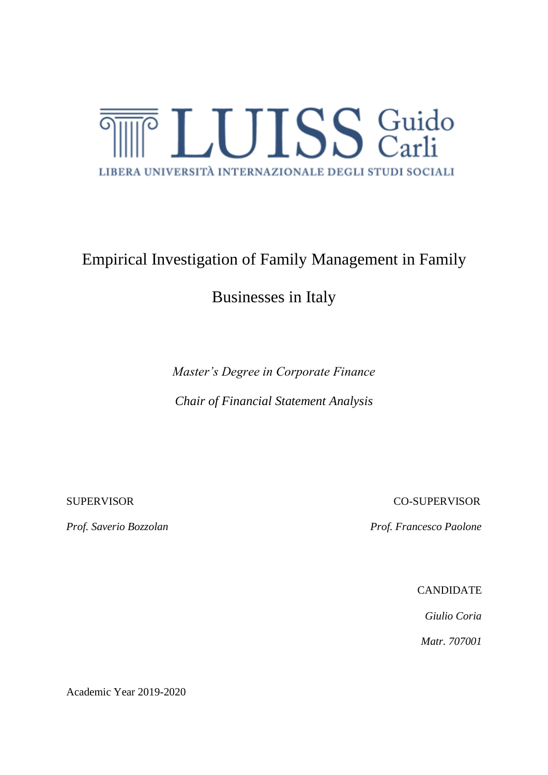

# Empirical Investigation of Family Management in Family

## Businesses in Italy

*Master's Degree in Corporate Finance Chair of Financial Statement Analysis*

SUPERVISOR CO-SUPERVISOR

*Prof. Saverio Bozzolan Prof. Francesco Paolone*

CANDIDATE

*Giulio Coria Matr. 707001*

Academic Year 2019-2020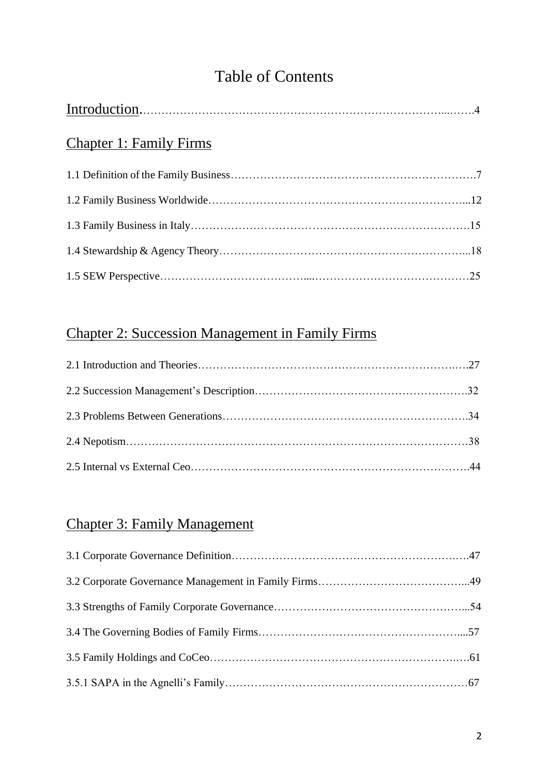# Table of Contents

| <b>Chapter 1: Family Firms</b> |  |
|--------------------------------|--|
|                                |  |
|                                |  |
|                                |  |
|                                |  |
|                                |  |

## Chapter 2: Succession Management in Family Firms

## Chapter 3: Family Management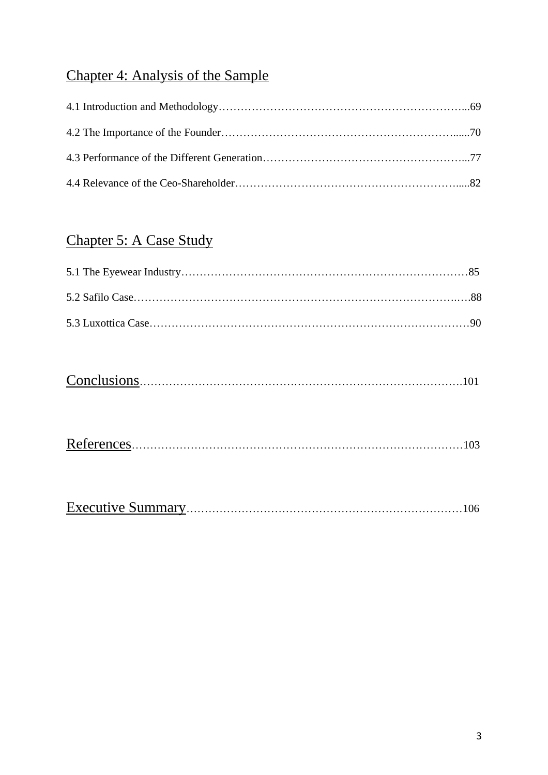# Chapter 4: Analysis of the Sample

## Chapter 5: A Case Study

|--|--|

|--|

|--|--|--|--|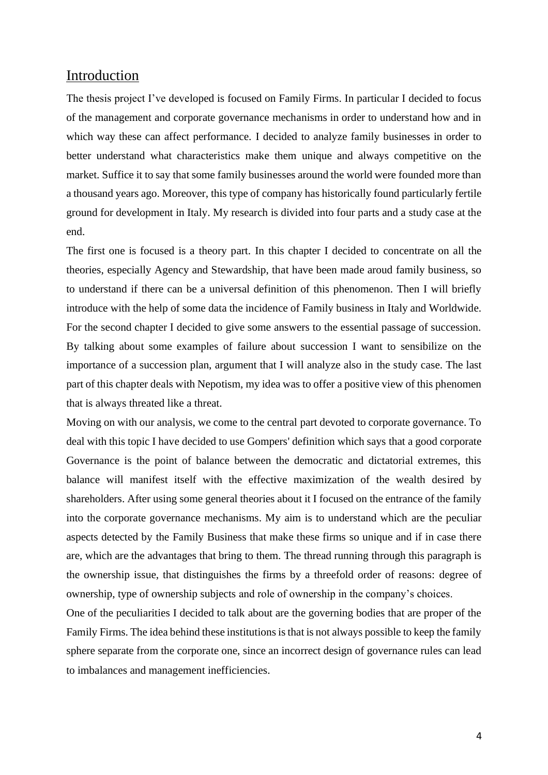### Introduction

The thesis project I've developed is focused on Family Firms. In particular I decided to focus of the management and corporate governance mechanisms in order to understand how and in which way these can affect performance. I decided to analyze family businesses in order to better understand what characteristics make them unique and always competitive on the market. Suffice it to say that some family businesses around the world were founded more than a thousand years ago. Moreover, this type of company has historically found particularly fertile ground for development in Italy. My research is divided into four parts and a study case at the end.

The first one is focused is a theory part. In this chapter I decided to concentrate on all the theories, especially Agency and Stewardship, that have been made aroud family business, so to understand if there can be a universal definition of this phenomenon. Then I will briefly introduce with the help of some data the incidence of Family business in Italy and Worldwide. For the second chapter I decided to give some answers to the essential passage of succession. By talking about some examples of failure about succession I want to sensibilize on the importance of a succession plan, argument that I will analyze also in the study case. The last part of this chapter deals with Nepotism, my idea was to offer a positive view of this phenomen that is always threated like a threat.

Moving on with our analysis, we come to the central part devoted to corporate governance. To deal with this topic I have decided to use Gompers' definition which says that a good corporate Governance is the point of balance between the democratic and dictatorial extremes, this balance will manifest itself with the effective maximization of the wealth desired by shareholders. After using some general theories about it I focused on the entrance of the family into the corporate governance mechanisms. My aim is to understand which are the peculiar aspects detected by the Family Business that make these firms so unique and if in case there are, which are the advantages that bring to them. The thread running through this paragraph is the ownership issue, that distinguishes the firms by a threefold order of reasons: degree of ownership, type of ownership subjects and role of ownership in the company's choices.

One of the peculiarities I decided to talk about are the governing bodies that are proper of the Family Firms. The idea behind these institutions is that is not always possible to keep the family sphere separate from the corporate one, since an incorrect design of governance rules can lead to imbalances and management inefficiencies.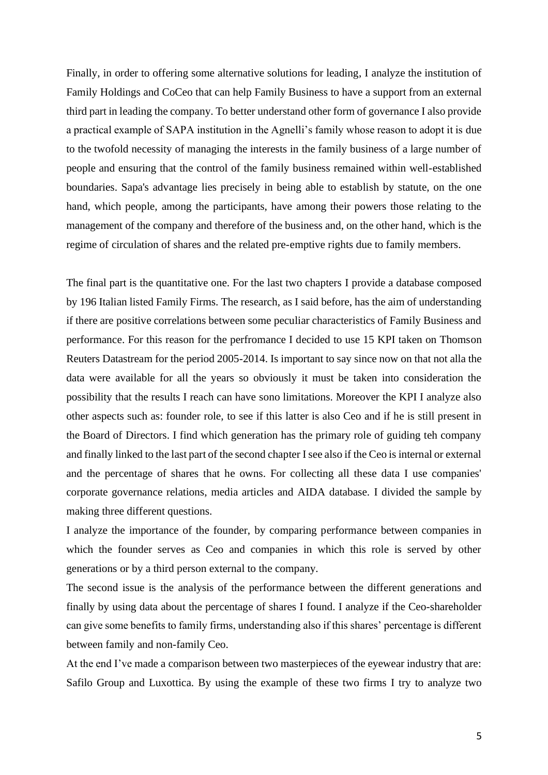Finally, in order to offering some alternative solutions for leading, I analyze the institution of Family Holdings and CoCeo that can help Family Business to have a support from an external third part in leading the company. To better understand other form of governance I also provide a practical example of SAPA institution in the Agnelli's family whose reason to adopt it is due to the twofold necessity of managing the interests in the family business of a large number of people and ensuring that the control of the family business remained within well-established boundaries. Sapa's advantage lies precisely in being able to establish by statute, on the one hand, which people, among the participants, have among their powers those relating to the management of the company and therefore of the business and, on the other hand, which is the regime of circulation of shares and the related pre-emptive rights due to family members.

The final part is the quantitative one. For the last two chapters I provide a database composed by 196 Italian listed Family Firms. The research, as I said before, has the aim of understanding if there are positive correlations between some peculiar characteristics of Family Business and performance. For this reason for the perfromance I decided to use 15 KPI taken on Thomson Reuters Datastream for the period 2005-2014. Is important to say since now on that not alla the data were available for all the years so obviously it must be taken into consideration the possibility that the results I reach can have sono limitations. Moreover the KPI I analyze also other aspects such as: founder role, to see if this latter is also Ceo and if he is still present in the Board of Directors. I find which generation has the primary role of guiding teh company and finally linked to the last part of the second chapter I see also if the Ceo is internal or external and the percentage of shares that he owns. For collecting all these data I use companies' corporate governance relations, media articles and AIDA database. I divided the sample by making three different questions.

I analyze the importance of the founder, by comparing performance between companies in which the founder serves as Ceo and companies in which this role is served by other generations or by a third person external to the company.

The second issue is the analysis of the performance between the different generations and finally by using data about the percentage of shares I found. I analyze if the Ceo-shareholder can give some benefits to family firms, understanding also if this shares' percentage is different between family and non-family Ceo.

At the end I've made a comparison between two masterpieces of the eyewear industry that are: Safilo Group and Luxottica. By using the example of these two firms I try to analyze two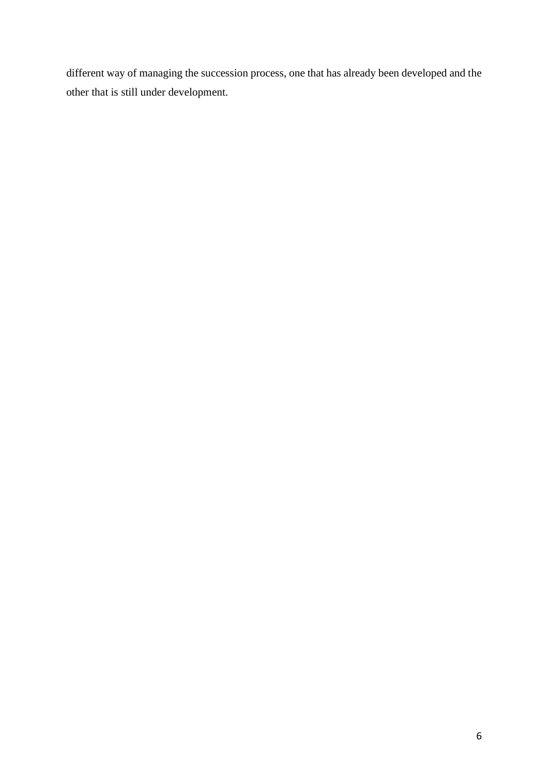different way of managing the succession process, one that has already been developed and the other that is still under development.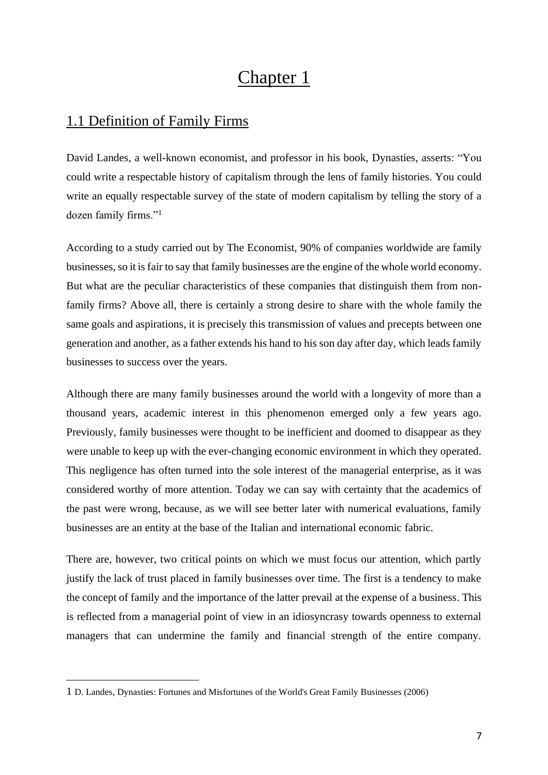# Chapter 1

## 1.1 Definition of Family Firms

David Landes, a well-known economist, and professor in his book, Dynasties, asserts: "You could write a respectable history of capitalism through the lens of family histories. You could write an equally respectable survey of the state of modern capitalism by telling the story of a dozen family firms."<sup>1</sup>

According to a study carried out by The Economist, 90% of companies worldwide are family businesses, so it is fair to say that family businesses are the engine of the whole world economy. But what are the peculiar characteristics of these companies that distinguish them from nonfamily firms? Above all, there is certainly a strong desire to share with the whole family the same goals and aspirations, it is precisely this transmission of values and precepts between one generation and another, as a father extends his hand to his son day after day, which leads family businesses to success over the years.

Although there are many family businesses around the world with a longevity of more than a thousand years, academic interest in this phenomenon emerged only a few years ago. Previously, family businesses were thought to be inefficient and doomed to disappear as they were unable to keep up with the ever-changing economic environment in which they operated. This negligence has often turned into the sole interest of the managerial enterprise, as it was considered worthy of more attention. Today we can say with certainty that the academics of the past were wrong, because, as we will see better later with numerical evaluations, family businesses are an entity at the base of the Italian and international economic fabric.

There are, however, two critical points on which we must focus our attention, which partly justify the lack of trust placed in family businesses over time. The first is a tendency to make the concept of family and the importance of the latter prevail at the expense of a business. This is reflected from a managerial point of view in an idiosyncrasy towards openness to external managers that can undermine the family and financial strength of the entire company.

<sup>1</sup> D. Landes, Dynasties: Fortunes and Misfortunes of the World's Great Family Businesses (2006)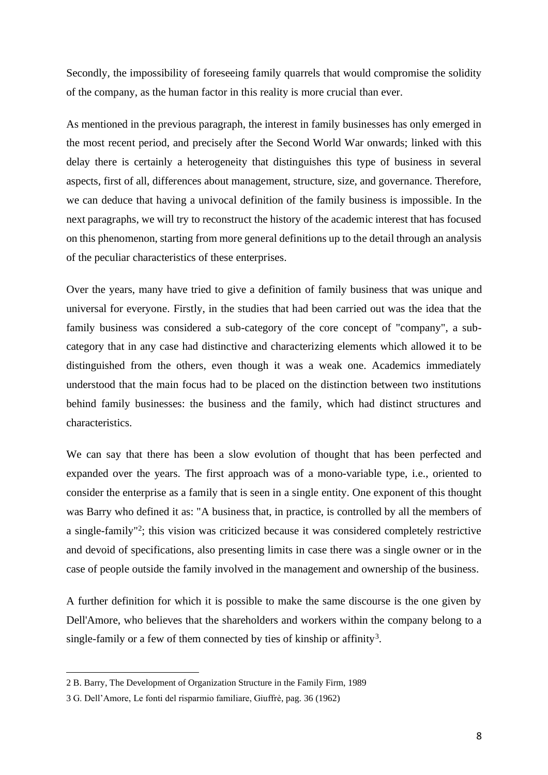Secondly, the impossibility of foreseeing family quarrels that would compromise the solidity of the company, as the human factor in this reality is more crucial than ever.

As mentioned in the previous paragraph, the interest in family businesses has only emerged in the most recent period, and precisely after the Second World War onwards; linked with this delay there is certainly a heterogeneity that distinguishes this type of business in several aspects, first of all, differences about management, structure, size, and governance. Therefore, we can deduce that having a univocal definition of the family business is impossible. In the next paragraphs, we will try to reconstruct the history of the academic interest that has focused on this phenomenon, starting from more general definitions up to the detail through an analysis of the peculiar characteristics of these enterprises.

Over the years, many have tried to give a definition of family business that was unique and universal for everyone. Firstly, in the studies that had been carried out was the idea that the family business was considered a sub-category of the core concept of "company", a subcategory that in any case had distinctive and characterizing elements which allowed it to be distinguished from the others, even though it was a weak one. Academics immediately understood that the main focus had to be placed on the distinction between two institutions behind family businesses: the business and the family, which had distinct structures and characteristics.

We can say that there has been a slow evolution of thought that has been perfected and expanded over the years. The first approach was of a mono-variable type, i.e., oriented to consider the enterprise as a family that is seen in a single entity. One exponent of this thought was Barry who defined it as: "A business that, in practice, is controlled by all the members of a single-family"<sup>2</sup>; this vision was criticized because it was considered completely restrictive and devoid of specifications, also presenting limits in case there was a single owner or in the case of people outside the family involved in the management and ownership of the business.

A further definition for which it is possible to make the same discourse is the one given by Dell'Amore, who believes that the shareholders and workers within the company belong to a single-family or a few of them connected by ties of kinship or affinity<sup>3</sup>.

<sup>2</sup> B. Barry, The Development of Organization Structure in the Family Firm, 1989

<sup>3</sup> G. Dell'Amore, Le fonti del risparmio familiare, Giuffrè, pag. 36 (1962)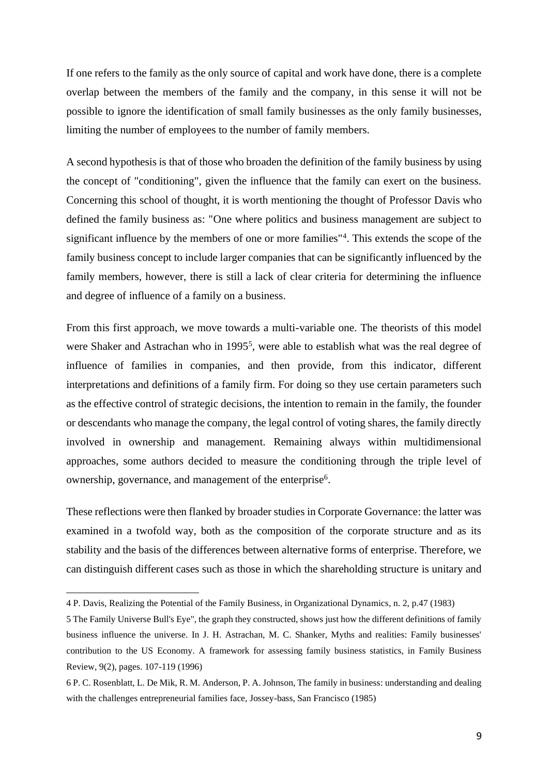If one refers to the family as the only source of capital and work have done, there is a complete overlap between the members of the family and the company, in this sense it will not be possible to ignore the identification of small family businesses as the only family businesses, limiting the number of employees to the number of family members.

A second hypothesis is that of those who broaden the definition of the family business by using the concept of "conditioning", given the influence that the family can exert on the business. Concerning this school of thought, it is worth mentioning the thought of Professor Davis who defined the family business as: "One where politics and business management are subject to significant influence by the members of one or more families"<sup>4</sup>. This extends the scope of the family business concept to include larger companies that can be significantly influenced by the family members, however, there is still a lack of clear criteria for determining the influence and degree of influence of a family on a business.

From this first approach, we move towards a multi-variable one. The theorists of this model were Shaker and Astrachan who in 1995<sup>5</sup>, were able to establish what was the real degree of influence of families in companies, and then provide, from this indicator, different interpretations and definitions of a family firm. For doing so they use certain parameters such as the effective control of strategic decisions, the intention to remain in the family, the founder or descendants who manage the company, the legal control of voting shares, the family directly involved in ownership and management. Remaining always within multidimensional approaches, some authors decided to measure the conditioning through the triple level of ownership, governance, and management of the enterprise<sup>6</sup>.

These reflections were then flanked by broader studies in Corporate Governance: the latter was examined in a twofold way, both as the composition of the corporate structure and as its stability and the basis of the differences between alternative forms of enterprise. Therefore, we can distinguish different cases such as those in which the shareholding structure is unitary and

<sup>4</sup> P. Davis, Realizing the Potential of the Family Business, in Organizational Dynamics, n. 2, p.47 (1983)

<sup>5</sup> The Family Universe Bull's Eye", the graph they constructed, shows just how the different definitions of family business influence the universe. In J. H. Astrachan, M. C. Shanker, Myths and realities: Family businesses' contribution to the US Economy. A framework for assessing family business statistics, in Family Business Review, 9(2), pages. 107-119 (1996)

<sup>6</sup> P. C. Rosenblatt, L. De Mik, R. M. Anderson, P. A. Johnson, The family in business: understanding and dealing with the challenges entrepreneurial families face, Jossey-bass, San Francisco (1985)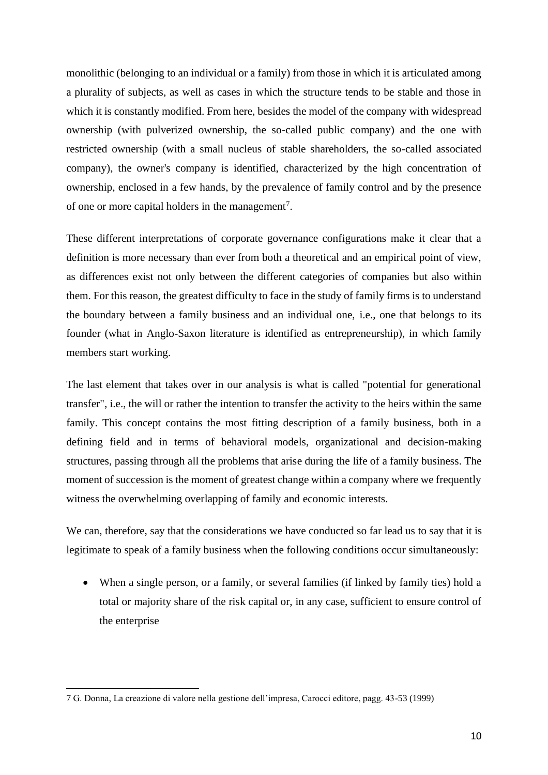monolithic (belonging to an individual or a family) from those in which it is articulated among a plurality of subjects, as well as cases in which the structure tends to be stable and those in which it is constantly modified. From here, besides the model of the company with widespread ownership (with pulverized ownership, the so-called public company) and the one with restricted ownership (with a small nucleus of stable shareholders, the so-called associated company), the owner's company is identified, characterized by the high concentration of ownership, enclosed in a few hands, by the prevalence of family control and by the presence of one or more capital holders in the management<sup>7</sup>.

These different interpretations of corporate governance configurations make it clear that a definition is more necessary than ever from both a theoretical and an empirical point of view, as differences exist not only between the different categories of companies but also within them. For this reason, the greatest difficulty to face in the study of family firms is to understand the boundary between a family business and an individual one, i.e., one that belongs to its founder (what in Anglo-Saxon literature is identified as entrepreneurship), in which family members start working.

The last element that takes over in our analysis is what is called "potential for generational transfer", i.e., the will or rather the intention to transfer the activity to the heirs within the same family. This concept contains the most fitting description of a family business, both in a defining field and in terms of behavioral models, organizational and decision-making structures, passing through all the problems that arise during the life of a family business. The moment of succession is the moment of greatest change within a company where we frequently witness the overwhelming overlapping of family and economic interests.

We can, therefore, say that the considerations we have conducted so far lead us to say that it is legitimate to speak of a family business when the following conditions occur simultaneously:

• When a single person, or a family, or several families (if linked by family ties) hold a total or majority share of the risk capital or, in any case, sufficient to ensure control of the enterprise

<sup>7</sup> G. Donna, La creazione di valore nella gestione dell'impresa, Carocci editore, pagg. 43-53 (1999)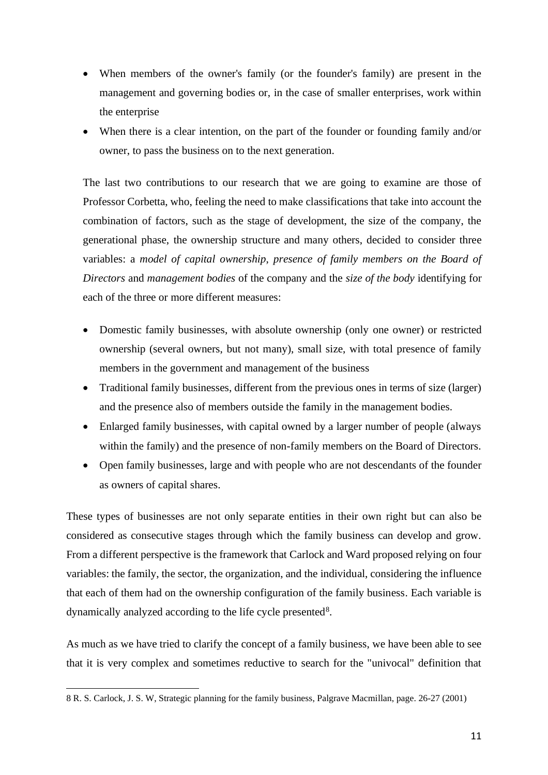- When members of the owner's family (or the founder's family) are present in the management and governing bodies or, in the case of smaller enterprises, work within the enterprise
- When there is a clear intention, on the part of the founder or founding family and/or owner, to pass the business on to the next generation.

The last two contributions to our research that we are going to examine are those of Professor Corbetta, who, feeling the need to make classifications that take into account the combination of factors, such as the stage of development, the size of the company, the generational phase, the ownership structure and many others, decided to consider three variables: a *model of capital ownership*, *presence of family members on the Board of Directors* and *management bodies* of the company and the *size of the body* identifying for each of the three or more different measures:

- Domestic family businesses, with absolute ownership (only one owner) or restricted ownership (several owners, but not many), small size, with total presence of family members in the government and management of the business
- Traditional family businesses, different from the previous ones in terms of size (larger) and the presence also of members outside the family in the management bodies.
- Enlarged family businesses, with capital owned by a larger number of people (always within the family) and the presence of non-family members on the Board of Directors.
- Open family businesses, large and with people who are not descendants of the founder as owners of capital shares.

These types of businesses are not only separate entities in their own right but can also be considered as consecutive stages through which the family business can develop and grow. From a different perspective is the framework that Carlock and Ward proposed relying on four variables: the family, the sector, the organization, and the individual, considering the influence that each of them had on the ownership configuration of the family business. Each variable is dynamically analyzed according to the life cycle presented<sup>8</sup>.

As much as we have tried to clarify the concept of a family business, we have been able to see that it is very complex and sometimes reductive to search for the "univocal" definition that

<sup>8</sup> R. S. Carlock, J. S. W, Strategic planning for the family business, Palgrave Macmillan, page. 26-27 (2001)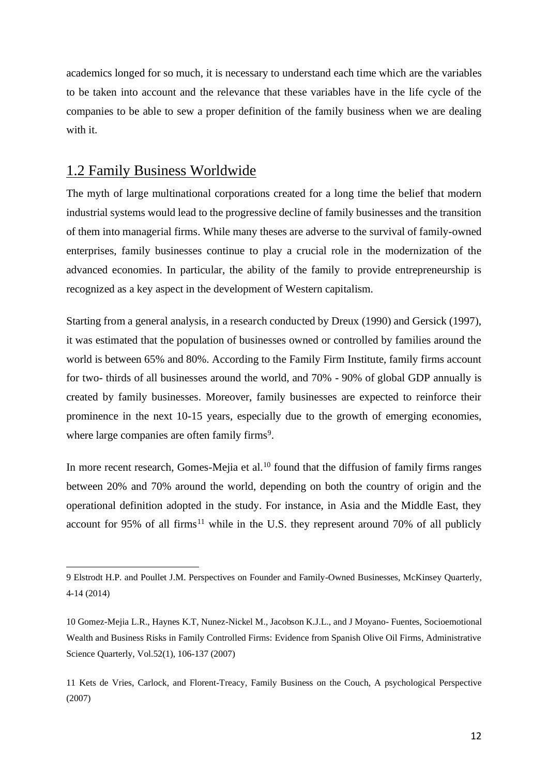academics longed for so much, it is necessary to understand each time which are the variables to be taken into account and the relevance that these variables have in the life cycle of the companies to be able to sew a proper definition of the family business when we are dealing with it.

## 1.2 Family Business Worldwide

The myth of large multinational corporations created for a long time the belief that modern industrial systems would lead to the progressive decline of family businesses and the transition of them into managerial firms. While many theses are adverse to the survival of family-owned enterprises, family businesses continue to play a crucial role in the modernization of the advanced economies. In particular, the ability of the family to provide entrepreneurship is recognized as a key aspect in the development of Western capitalism.

Starting from a general analysis, in a research conducted by Dreux (1990) and Gersick (1997), it was estimated that the population of businesses owned or controlled by families around the world is between 65% and 80%. According to the Family Firm Institute, family firms account for two- thirds of all businesses around the world, and 70% - 90% of global GDP annually is created by family businesses. Moreover, family businesses are expected to reinforce their prominence in the next 10-15 years, especially due to the growth of emerging economies, where large companies are often family firms<sup>9</sup>.

In more recent research, Gomes-Mejia et al. $^{10}$  found that the diffusion of family firms ranges between 20% and 70% around the world, depending on both the country of origin and the operational definition adopted in the study. For instance, in Asia and the Middle East, they account for 95% of all firms<sup>11</sup> while in the U.S. they represent around 70% of all publicly

<sup>9</sup> Elstrodt H.P. and Poullet J.M. Perspectives on Founder and Family-Owned Businesses, McKinsey Quarterly, 4-14 (2014)

<sup>10</sup> Gomez-Mejia L.R., Haynes K.T, Nunez-Nickel M., Jacobson K.J.L., and J Moyano- Fuentes, Socioemotional Wealth and Business Risks in Family Controlled Firms: Evidence from Spanish Olive Oil Firms, Administrative Science Quarterly, Vol.52(1), 106-137 (2007)

<sup>11</sup> Kets de Vries, Carlock, and Florent-Treacy, Family Business on the Couch, A psychological Perspective (2007)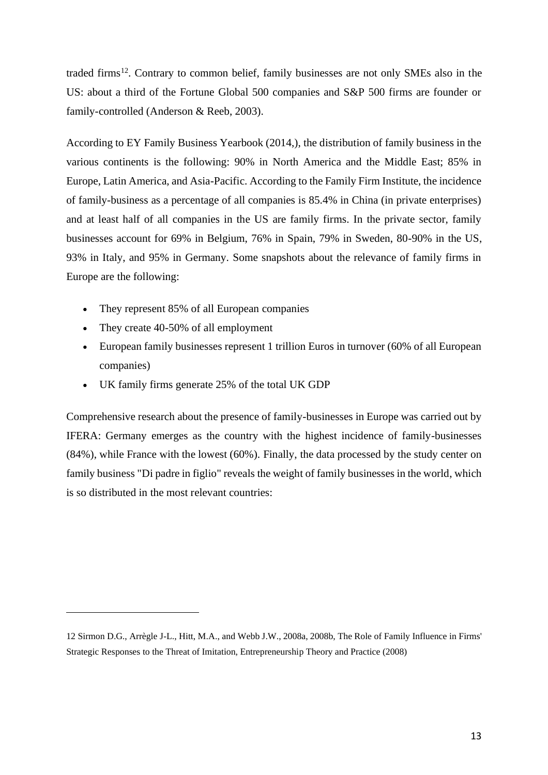traded firms<sup>12</sup>. Contrary to common belief, family businesses are not only SMEs also in the US: about a third of the Fortune Global 500 companies and S&P 500 firms are founder or family-controlled (Anderson & Reeb, 2003).

According to EY Family Business Yearbook (2014,), the distribution of family business in the various continents is the following: 90% in North America and the Middle East; 85% in Europe, Latin America, and Asia-Pacific. According to the Family Firm Institute, the incidence of family-business as a percentage of all companies is 85.4% in China (in private enterprises) and at least half of all companies in the US are family firms. In the private sector, family businesses account for 69% in Belgium, 76% in Spain, 79% in Sweden, 80-90% in the US, 93% in Italy, and 95% in Germany. Some snapshots about the relevance of family firms in Europe are the following:

- They represent 85% of all European companies
- They create 40-50% of all employment
- European family businesses represent 1 trillion Euros in turnover (60% of all European companies)
- UK family firms generate 25% of the total UK GDP

Comprehensive research about the presence of family-businesses in Europe was carried out by IFERA: Germany emerges as the country with the highest incidence of family-businesses (84%), while France with the lowest (60%). Finally, the data processed by the study center on family business "Di padre in figlio" reveals the weight of family businesses in the world, which is so distributed in the most relevant countries:

<sup>12</sup> Sirmon D.G., Arrègle J-L., Hitt, M.A., and Webb J.W., 2008a, 2008b, The Role of Family Influence in Firms' Strategic Responses to the Threat of Imitation, Entrepreneurship Theory and Practice (2008)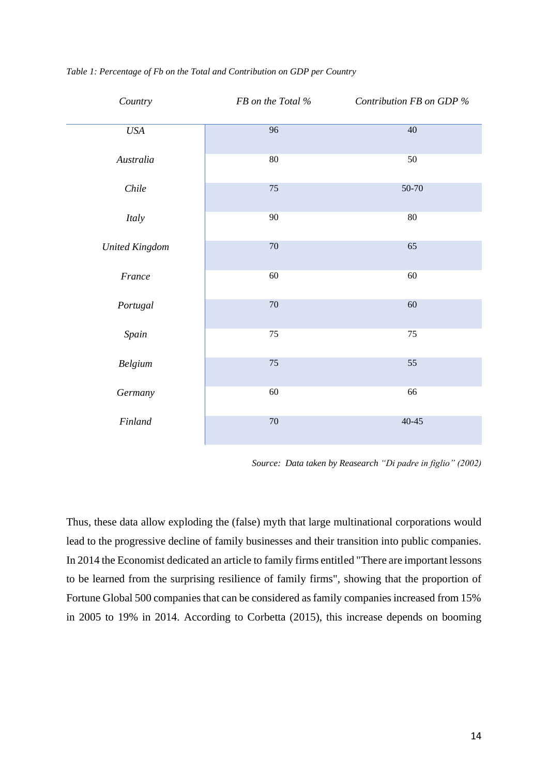| Country                     | FB on the Total % | Contribution FB on GDP % |
|-----------------------------|-------------------|--------------------------|
| $\ensuremath{\mathit{USA}}$ | $\overline{96}$   | $\overline{40}$          |
| Australia                   | $80\,$            | 50                       |
| Chile                       | 75                | 50-70                    |
| Italy                       | $90\,$            | $80\,$                   |
| <b>United Kingdom</b>       | $70\,$            | 65                       |
| France                      | $60\,$            | $60\,$                   |
| Portugal                    | $70\,$            | 60                       |
| Spain                       | $75\,$            | 75                       |
| Belgium                     | $75\,$            | 55                       |
| Germany                     | $60\,$            | 66                       |
| Finland                     | $70\,$            | $40 - 45$                |

*Table 1: Percentage of Fb on the Total and Contribution on GDP per Country*

*Source: Data taken by Reasearch "Di padre in figlio" (2002)*

Thus, these data allow exploding the (false) myth that large multinational corporations would lead to the progressive decline of family businesses and their transition into public companies. In 2014 the Economist dedicated an article to family firms entitled "There are important lessons to be learned from the surprising resilience of family firms", showing that the proportion of Fortune Global 500 companies that can be considered as family companies increased from 15% in 2005 to 19% in 2014. According to Corbetta (2015), this increase depends on booming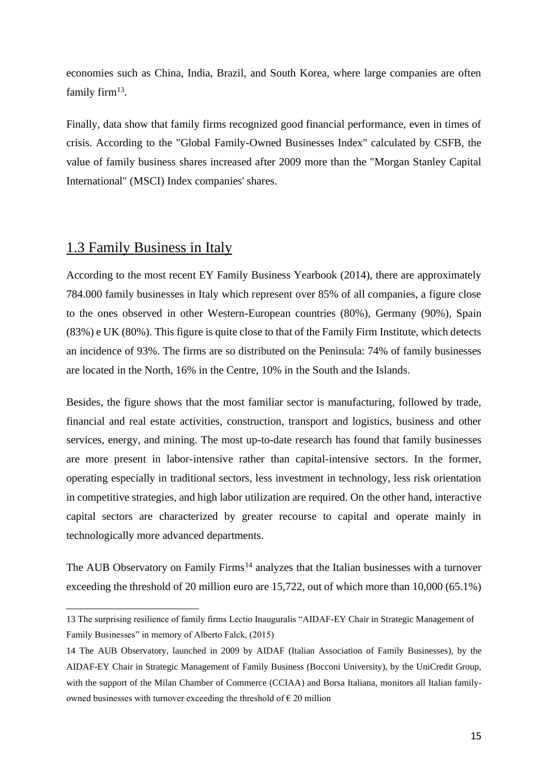economies such as China, India, Brazil, and South Korea, where large companies are often family firm<sup>13</sup>.

Finally, data show that family firms recognized good financial performance, even in times of crisis. According to the "Global Family-Owned Businesses Index" calculated by CSFB, the value of family business shares increased after 2009 more than the "Morgan Stanley Capital International" (MSCI) Index companies' shares.

## 1.3 Family Business in Italy

According to the most recent EY Family Business Yearbook (2014), there are approximately 784.000 family businesses in Italy which represent over 85% of all companies, a figure close to the ones observed in other Western-European countries (80%), Germany (90%), Spain (83%) e UK (80%). This figure is quite close to that of the Family Firm Institute, which detects an incidence of 93%. The firms are so distributed on the Peninsula: 74% of family businesses are located in the North, 16% in the Centre, 10% in the South and the Islands.

Besides, the figure shows that the most familiar sector is manufacturing, followed by trade, financial and real estate activities, construction, transport and logistics, business and other services, energy, and mining. The most up-to-date research has found that family businesses are more present in labor-intensive rather than capital-intensive sectors. In the former, operating especially in traditional sectors, less investment in technology, less risk orientation in competitive strategies, and high labor utilization are required. On the other hand, interactive capital sectors are characterized by greater recourse to capital and operate mainly in technologically more advanced departments.

The AUB Observatory on Family Firms<sup>14</sup> analyzes that the Italian businesses with a turnover exceeding the threshold of 20 million euro are 15,722, out of which more than 10,000 (65.1%)

<sup>13</sup> The surprising resilience of family firms Lectio Inauguralis "AIDAF-EY Chair in Strategic Management of Family Businesses" in memory of Alberto Falck, (2015)

<sup>14</sup> The AUB Observatory, launched in 2009 by AIDAF (Italian Association of Family Businesses), by the AIDAF-EY Chair in Strategic Management of Family Business (Bocconi University), by the UniCredit Group, with the support of the Milan Chamber of Commerce (CCIAA) and Borsa Italiana, monitors all Italian familyowned businesses with turnover exceeding the threshold of  $\epsilon$  20 million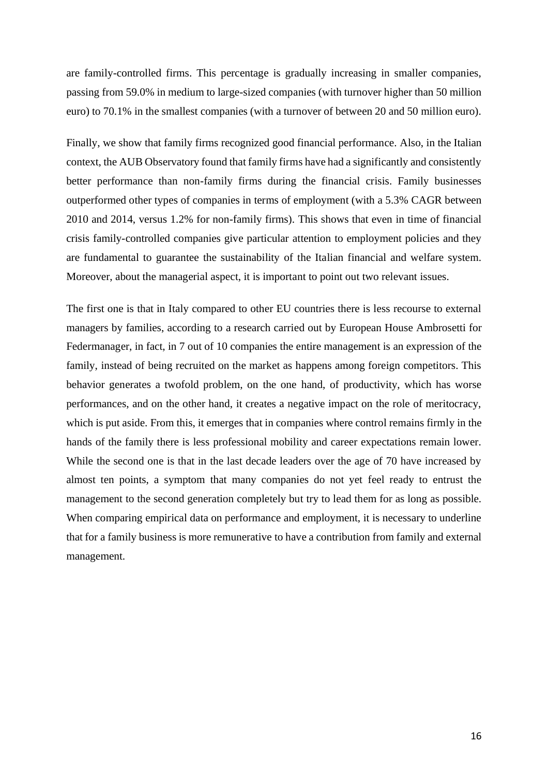are family-controlled firms. This percentage is gradually increasing in smaller companies, passing from 59.0% in medium to large-sized companies (with turnover higher than 50 million euro) to 70.1% in the smallest companies (with a turnover of between 20 and 50 million euro).

Finally, we show that family firms recognized good financial performance. Also, in the Italian context, the AUB Observatory found that family firms have had a significantly and consistently better performance than non-family firms during the financial crisis. Family businesses outperformed other types of companies in terms of employment (with a 5.3% CAGR between 2010 and 2014, versus 1.2% for non-family firms). This shows that even in time of financial crisis family-controlled companies give particular attention to employment policies and they are fundamental to guarantee the sustainability of the Italian financial and welfare system. Moreover, about the managerial aspect, it is important to point out two relevant issues.

The first one is that in Italy compared to other EU countries there is less recourse to external managers by families, according to a research carried out by European House Ambrosetti for Federmanager, in fact, in 7 out of 10 companies the entire management is an expression of the family, instead of being recruited on the market as happens among foreign competitors. This behavior generates a twofold problem, on the one hand, of productivity, which has worse performances, and on the other hand, it creates a negative impact on the role of meritocracy, which is put aside. From this, it emerges that in companies where control remains firmly in the hands of the family there is less professional mobility and career expectations remain lower. While the second one is that in the last decade leaders over the age of 70 have increased by almost ten points, a symptom that many companies do not yet feel ready to entrust the management to the second generation completely but try to lead them for as long as possible. When comparing empirical data on performance and employment, it is necessary to underline that for a family business is more remunerative to have a contribution from family and external management.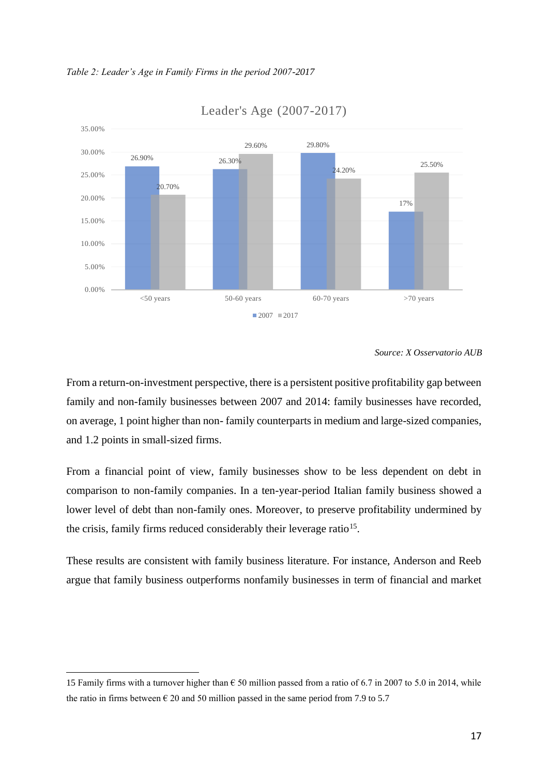



Leader's Age (2007-2017)

From a return-on-investment perspective, there is a persistent positive profitability gap between family and non-family businesses between 2007 and 2014: family businesses have recorded, on average, 1 point higher than non- family counterparts in medium and large-sized companies, and 1.2 points in small-sized firms.

From a financial point of view, family businesses show to be less dependent on debt in comparison to non-family companies. In a ten-year-period Italian family business showed a lower level of debt than non-family ones. Moreover, to preserve profitability undermined by the crisis, family firms reduced considerably their leverage ratio<sup>15</sup>.

These results are consistent with family business literature. For instance, Anderson and Reeb argue that family business outperforms nonfamily businesses in term of financial and market

*Source: X Osservatorio AUB*

<sup>15</sup> Family firms with a turnover higher than  $\epsilon$  50 million passed from a ratio of 6.7 in 2007 to 5.0 in 2014, while the ratio in firms between  $\epsilon$  20 and 50 million passed in the same period from 7.9 to 5.7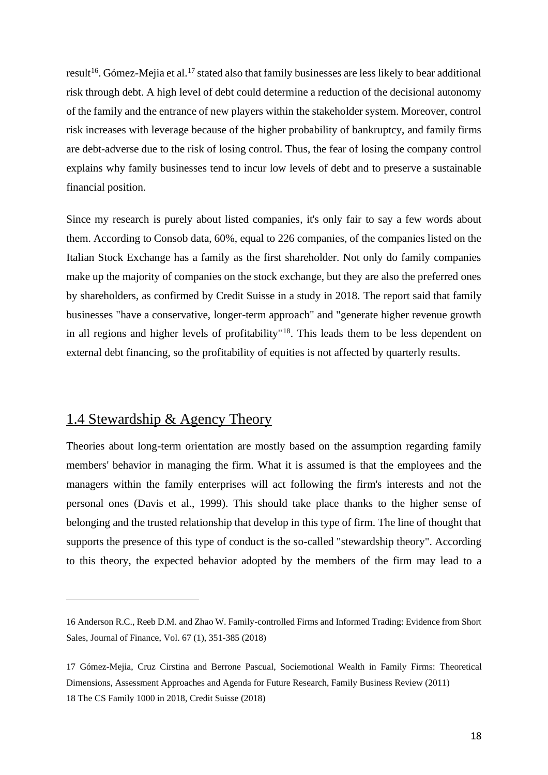result<sup>16</sup>. Gómez-Mejia et al.<sup>17</sup> stated also that family businesses are less likely to bear additional risk through debt. A high level of debt could determine a reduction of the decisional autonomy of the family and the entrance of new players within the stakeholder system. Moreover, control risk increases with leverage because of the higher probability of bankruptcy, and family firms are debt-adverse due to the risk of losing control. Thus, the fear of losing the company control explains why family businesses tend to incur low levels of debt and to preserve a sustainable financial position.

Since my research is purely about listed companies, it's only fair to say a few words about them. According to Consob data, 60%, equal to 226 companies, of the companies listed on the Italian Stock Exchange has a family as the first shareholder. Not only do family companies make up the majority of companies on the stock exchange, but they are also the preferred ones by shareholders, as confirmed by Credit Suisse in a study in 2018. The report said that family businesses "have a conservative, longer-term approach" and "generate higher revenue growth in all regions and higher levels of profitability"<sup>18</sup>. This leads them to be less dependent on external debt financing, so the profitability of equities is not affected by quarterly results.

### 1.4 Stewardship & Agency Theory

Theories about long-term orientation are mostly based on the assumption regarding family members' behavior in managing the firm. What it is assumed is that the employees and the managers within the family enterprises will act following the firm's interests and not the personal ones (Davis et al., 1999). This should take place thanks to the higher sense of belonging and the trusted relationship that develop in this type of firm. The line of thought that supports the presence of this type of conduct is the so-called "stewardship theory". According to this theory, the expected behavior adopted by the members of the firm may lead to a

<sup>16</sup> Anderson R.C., Reeb D.M. and Zhao W. Family-controlled Firms and Informed Trading: Evidence from Short Sales, Journal of Finance, Vol. 67 (1), 351-385 (2018)

<sup>17</sup> Gómez-Mejia, Cruz Cirstina and Berrone Pascual, Sociemotional Wealth in Family Firms: Theoretical Dimensions, Assessment Approaches and Agenda for Future Research, Family Business Review (2011) 18 The CS Family 1000 in 2018, Credit Suisse (2018)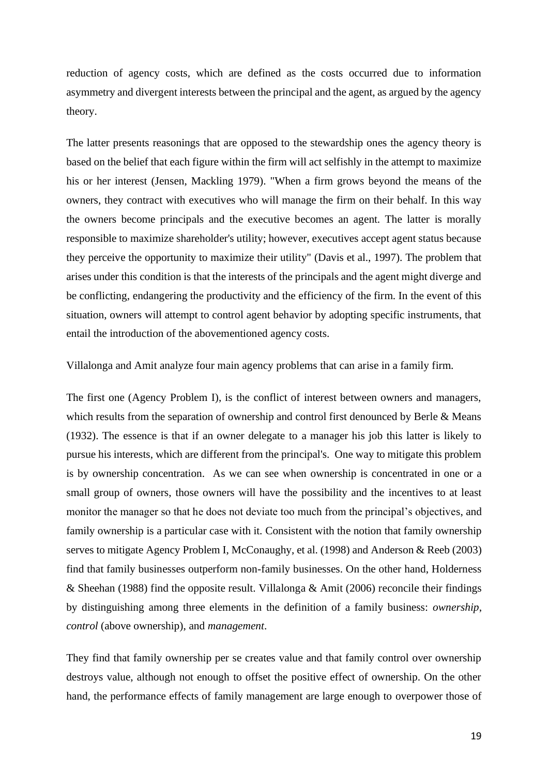reduction of agency costs, which are defined as the costs occurred due to information asymmetry and divergent interests between the principal and the agent, as argued by the agency theory.

The latter presents reasonings that are opposed to the stewardship ones the agency theory is based on the belief that each figure within the firm will act selfishly in the attempt to maximize his or her interest (Jensen, Mackling 1979). "When a firm grows beyond the means of the owners, they contract with executives who will manage the firm on their behalf. In this way the owners become principals and the executive becomes an agent. The latter is morally responsible to maximize shareholder's utility; however, executives accept agent status because they perceive the opportunity to maximize their utility" (Davis et al., 1997). The problem that arises under this condition is that the interests of the principals and the agent might diverge and be conflicting, endangering the productivity and the efficiency of the firm. In the event of this situation, owners will attempt to control agent behavior by adopting specific instruments, that entail the introduction of the abovementioned agency costs.

Villalonga and Amit analyze four main agency problems that can arise in a family firm.

The first one (Agency Problem I), is the conflict of interest between owners and managers, which results from the separation of ownership and control first denounced by Berle & Means (1932). The essence is that if an owner delegate to a manager his job this latter is likely to pursue his interests, which are different from the principal's. One way to mitigate this problem is by ownership concentration. As we can see when ownership is concentrated in one or a small group of owners, those owners will have the possibility and the incentives to at least monitor the manager so that he does not deviate too much from the principal's objectives, and family ownership is a particular case with it. Consistent with the notion that family ownership serves to mitigate Agency Problem I, McConaughy, et al. (1998) and Anderson & Reeb (2003) find that family businesses outperform non-family businesses. On the other hand, Holderness & Sheehan (1988) find the opposite result. Villalonga & Amit (2006) reconcile their findings by distinguishing among three elements in the definition of a family business: *ownership*, *control* (above ownership), and *management*.

They find that family ownership per se creates value and that family control over ownership destroys value, although not enough to offset the positive effect of ownership. On the other hand, the performance effects of family management are large enough to overpower those of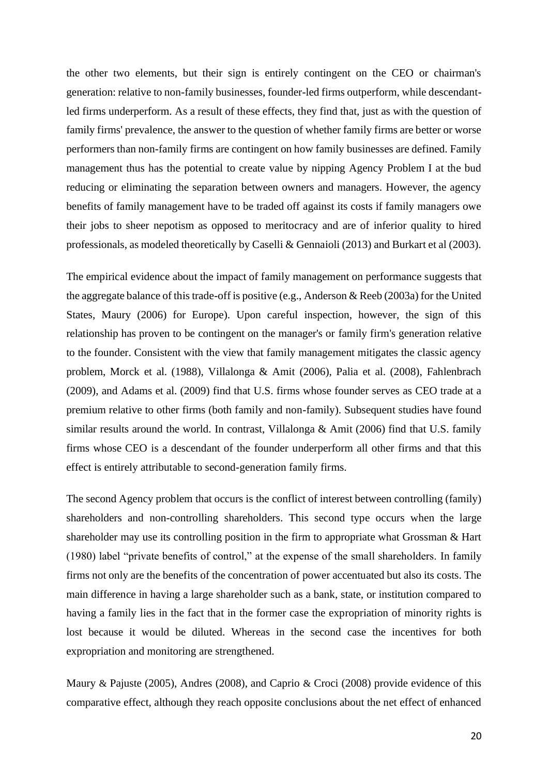the other two elements, but their sign is entirely contingent on the CEO or chairman's generation: relative to non-family businesses, founder-led firms outperform, while descendantled firms underperform. As a result of these effects, they find that, just as with the question of family firms' prevalence, the answer to the question of whether family firms are better or worse performers than non-family firms are contingent on how family businesses are defined. Family management thus has the potential to create value by nipping Agency Problem I at the bud reducing or eliminating the separation between owners and managers. However, the agency benefits of family management have to be traded off against its costs if family managers owe their jobs to sheer nepotism as opposed to meritocracy and are of inferior quality to hired professionals, as modeled theoretically by Caselli & Gennaioli (2013) and Burkart et al (2003).

The empirical evidence about the impact of family management on performance suggests that the aggregate balance of this trade-off is positive (e.g., Anderson & Reeb (2003a) for the United States, Maury (2006) for Europe). Upon careful inspection, however, the sign of this relationship has proven to be contingent on the manager's or family firm's generation relative to the founder. Consistent with the view that family management mitigates the classic agency problem, Morck et al. (1988), Villalonga & Amit (2006), Palia et al. (2008), Fahlenbrach (2009), and Adams et al. (2009) find that U.S. firms whose founder serves as CEO trade at a premium relative to other firms (both family and non-family). Subsequent studies have found similar results around the world. In contrast, Villalonga & Amit (2006) find that U.S. family firms whose CEO is a descendant of the founder underperform all other firms and that this effect is entirely attributable to second-generation family firms.

The second Agency problem that occurs is the conflict of interest between controlling (family) shareholders and non-controlling shareholders. This second type occurs when the large shareholder may use its controlling position in the firm to appropriate what Grossman & Hart (1980) label "private benefits of control," at the expense of the small shareholders. In family firms not only are the benefits of the concentration of power accentuated but also its costs. The main difference in having a large shareholder such as a bank, state, or institution compared to having a family lies in the fact that in the former case the expropriation of minority rights is lost because it would be diluted. Whereas in the second case the incentives for both expropriation and monitoring are strengthened.

Maury & Pajuste (2005), Andres (2008), and Caprio & Croci (2008) provide evidence of this comparative effect, although they reach opposite conclusions about the net effect of enhanced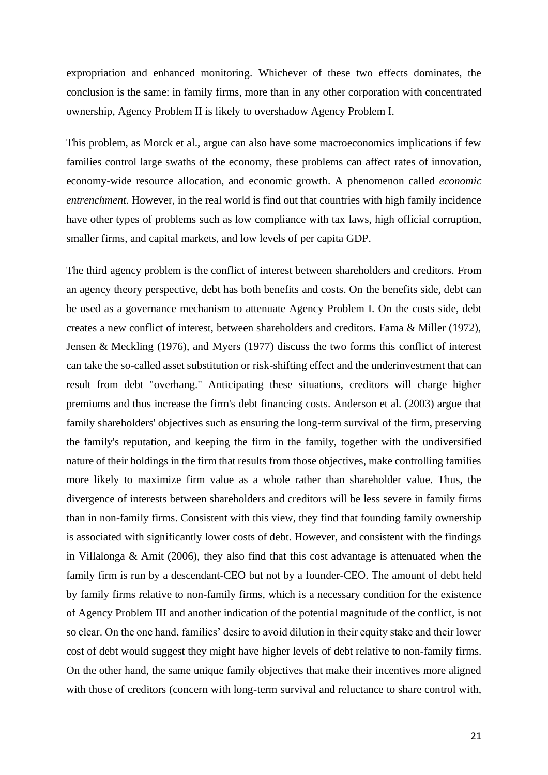expropriation and enhanced monitoring. Whichever of these two effects dominates, the conclusion is the same: in family firms, more than in any other corporation with concentrated ownership, Agency Problem II is likely to overshadow Agency Problem I.

This problem, as Morck et al., argue can also have some macroeconomics implications if few families control large swaths of the economy, these problems can affect rates of innovation, economy-wide resource allocation, and economic growth. A phenomenon called *economic entrenchment*. However, in the real world is find out that countries with high family incidence have other types of problems such as low compliance with tax laws, high official corruption, smaller firms, and capital markets, and low levels of per capita GDP.

The third agency problem is the conflict of interest between shareholders and creditors. From an agency theory perspective, debt has both benefits and costs. On the benefits side, debt can be used as a governance mechanism to attenuate Agency Problem I. On the costs side, debt creates a new conflict of interest, between shareholders and creditors. Fama & Miller (1972), Jensen & Meckling (1976), and Myers (1977) discuss the two forms this conflict of interest can take the so-called asset substitution or risk-shifting effect and the underinvestment that can result from debt "overhang." Anticipating these situations, creditors will charge higher premiums and thus increase the firm's debt financing costs. Anderson et al. (2003) argue that family shareholders' objectives such as ensuring the long-term survival of the firm, preserving the family's reputation, and keeping the firm in the family, together with the undiversified nature of their holdings in the firm that results from those objectives, make controlling families more likely to maximize firm value as a whole rather than shareholder value. Thus, the divergence of interests between shareholders and creditors will be less severe in family firms than in non-family firms. Consistent with this view, they find that founding family ownership is associated with significantly lower costs of debt. However, and consistent with the findings in Villalonga & Amit (2006), they also find that this cost advantage is attenuated when the family firm is run by a descendant-CEO but not by a founder-CEO. The amount of debt held by family firms relative to non-family firms, which is a necessary condition for the existence of Agency Problem III and another indication of the potential magnitude of the conflict, is not so clear. On the one hand, families' desire to avoid dilution in their equity stake and their lower cost of debt would suggest they might have higher levels of debt relative to non-family firms. On the other hand, the same unique family objectives that make their incentives more aligned with those of creditors (concern with long-term survival and reluctance to share control with,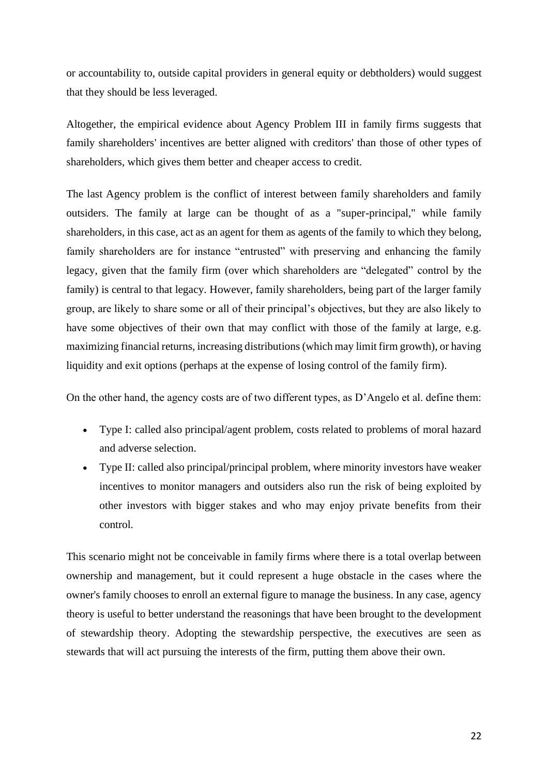or accountability to, outside capital providers in general equity or debtholders) would suggest that they should be less leveraged.

Altogether, the empirical evidence about Agency Problem III in family firms suggests that family shareholders' incentives are better aligned with creditors' than those of other types of shareholders, which gives them better and cheaper access to credit.

The last Agency problem is the conflict of interest between family shareholders and family outsiders. The family at large can be thought of as a "super-principal," while family shareholders, in this case, act as an agent for them as agents of the family to which they belong, family shareholders are for instance "entrusted" with preserving and enhancing the family legacy, given that the family firm (over which shareholders are "delegated" control by the family) is central to that legacy. However, family shareholders, being part of the larger family group, are likely to share some or all of their principal's objectives, but they are also likely to have some objectives of their own that may conflict with those of the family at large, e.g. maximizing financial returns, increasing distributions (which may limit firm growth), or having liquidity and exit options (perhaps at the expense of losing control of the family firm).

On the other hand, the agency costs are of two different types, as D'Angelo et al. define them:

- Type I: called also principal/agent problem, costs related to problems of moral hazard and adverse selection.
- Type II: called also principal/principal problem, where minority investors have weaker incentives to monitor managers and outsiders also run the risk of being exploited by other investors with bigger stakes and who may enjoy private benefits from their control.

This scenario might not be conceivable in family firms where there is a total overlap between ownership and management, but it could represent a huge obstacle in the cases where the owner's family chooses to enroll an external figure to manage the business. In any case, agency theory is useful to better understand the reasonings that have been brought to the development of stewardship theory. Adopting the stewardship perspective, the executives are seen as stewards that will act pursuing the interests of the firm, putting them above their own.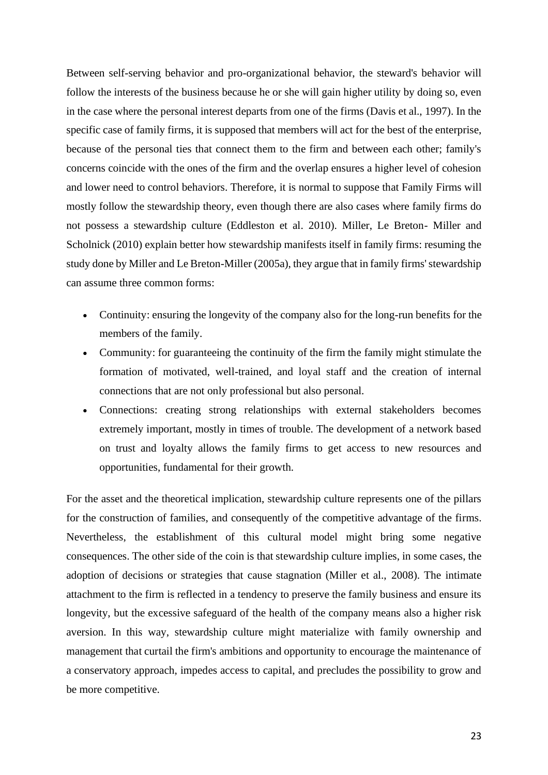Between self-serving behavior and pro-organizational behavior, the steward's behavior will follow the interests of the business because he or she will gain higher utility by doing so, even in the case where the personal interest departs from one of the firms (Davis et al., 1997). In the specific case of family firms, it is supposed that members will act for the best of the enterprise, because of the personal ties that connect them to the firm and between each other; family's concerns coincide with the ones of the firm and the overlap ensures a higher level of cohesion and lower need to control behaviors. Therefore, it is normal to suppose that Family Firms will mostly follow the stewardship theory, even though there are also cases where family firms do not possess a stewardship culture (Eddleston et al. 2010). Miller, Le Breton- Miller and Scholnick (2010) explain better how stewardship manifests itself in family firms: resuming the study done by Miller and Le Breton-Miller (2005a), they argue that in family firms' stewardship can assume three common forms:

- Continuity: ensuring the longevity of the company also for the long-run benefits for the members of the family.
- Community: for guaranteeing the continuity of the firm the family might stimulate the formation of motivated, well-trained, and loyal staff and the creation of internal connections that are not only professional but also personal.
- Connections: creating strong relationships with external stakeholders becomes extremely important, mostly in times of trouble. The development of a network based on trust and loyalty allows the family firms to get access to new resources and opportunities, fundamental for their growth.

For the asset and the theoretical implication, stewardship culture represents one of the pillars for the construction of families, and consequently of the competitive advantage of the firms. Nevertheless, the establishment of this cultural model might bring some negative consequences. The other side of the coin is that stewardship culture implies, in some cases, the adoption of decisions or strategies that cause stagnation (Miller et al., 2008). The intimate attachment to the firm is reflected in a tendency to preserve the family business and ensure its longevity, but the excessive safeguard of the health of the company means also a higher risk aversion. In this way, stewardship culture might materialize with family ownership and management that curtail the firm's ambitions and opportunity to encourage the maintenance of a conservatory approach, impedes access to capital, and precludes the possibility to grow and be more competitive.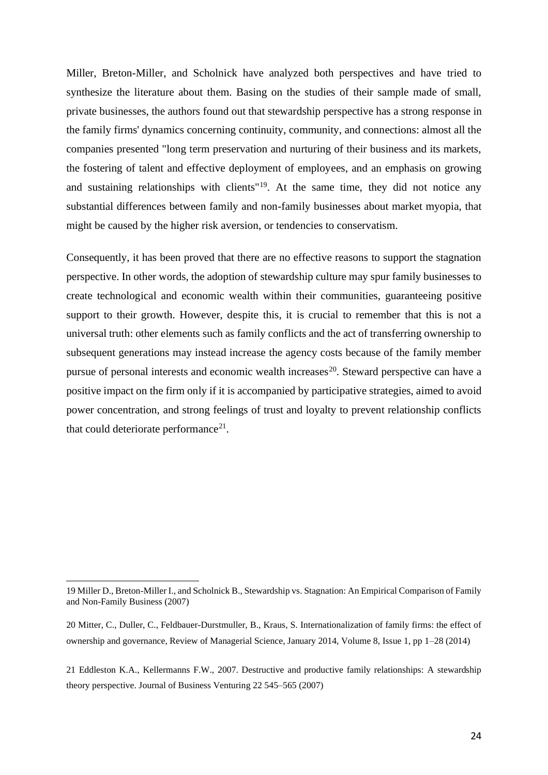Miller, Breton-Miller, and Scholnick have analyzed both perspectives and have tried to synthesize the literature about them. Basing on the studies of their sample made of small, private businesses, the authors found out that stewardship perspective has a strong response in the family firms' dynamics concerning continuity, community, and connections: almost all the companies presented "long term preservation and nurturing of their business and its markets, the fostering of talent and effective deployment of employees, and an emphasis on growing and sustaining relationships with clients<sup>"19</sup>. At the same time, they did not notice any substantial differences between family and non-family businesses about market myopia, that might be caused by the higher risk aversion, or tendencies to conservatism.

Consequently, it has been proved that there are no effective reasons to support the stagnation perspective. In other words, the adoption of stewardship culture may spur family businesses to create technological and economic wealth within their communities, guaranteeing positive support to their growth. However, despite this, it is crucial to remember that this is not a universal truth: other elements such as family conflicts and the act of transferring ownership to subsequent generations may instead increase the agency costs because of the family member pursue of personal interests and economic wealth increases<sup>20</sup>. Steward perspective can have a positive impact on the firm only if it is accompanied by participative strategies, aimed to avoid power concentration, and strong feelings of trust and loyalty to prevent relationship conflicts that could deteriorate performance<sup>21</sup>.

<sup>19</sup> Miller D., Breton-Miller I., and Scholnick B., Stewardship vs. Stagnation: An Empirical Comparison of Family and Non-Family Business (2007)

<sup>20</sup> Mitter, C., Duller, C., Feldbauer-Durstmuller, B., Kraus, S. Internationalization of family firms: the effect of ownership and governance, Review of Managerial Science, January 2014, Volume 8, Issue 1, pp 1–28 (2014)

<sup>21</sup> Eddleston K.A., Kellermanns F.W., 2007. Destructive and productive family relationships: A stewardship theory perspective. Journal of Business Venturing 22 545–565 (2007)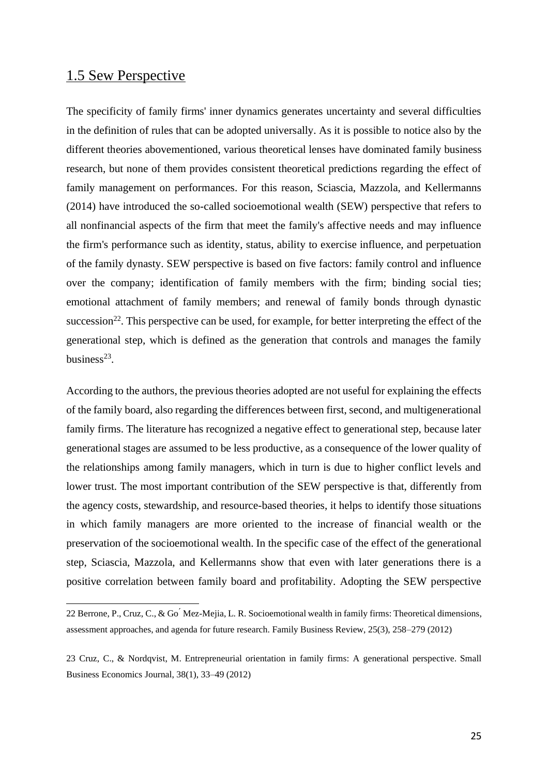### 1.5 Sew Perspective

The specificity of family firms' inner dynamics generates uncertainty and several difficulties in the definition of rules that can be adopted universally. As it is possible to notice also by the different theories abovementioned, various theoretical lenses have dominated family business research, but none of them provides consistent theoretical predictions regarding the effect of family management on performances. For this reason, Sciascia, Mazzola, and Kellermanns (2014) have introduced the so-called socioemotional wealth (SEW) perspective that refers to all nonfinancial aspects of the firm that meet the family's affective needs and may influence the firm's performance such as identity, status, ability to exercise influence, and perpetuation of the family dynasty. SEW perspective is based on five factors: family control and influence over the company; identification of family members with the firm; binding social ties; emotional attachment of family members; and renewal of family bonds through dynastic succession<sup>22</sup>. This perspective can be used, for example, for better interpreting the effect of the generational step, which is defined as the generation that controls and manages the family business<sup>23</sup>.

According to the authors, the previous theories adopted are not useful for explaining the effects of the family board, also regarding the differences between first, second, and multigenerational family firms. The literature has recognized a negative effect to generational step, because later generational stages are assumed to be less productive, as a consequence of the lower quality of the relationships among family managers, which in turn is due to higher conflict levels and lower trust. The most important contribution of the SEW perspective is that, differently from the agency costs, stewardship, and resource-based theories, it helps to identify those situations in which family managers are more oriented to the increase of financial wealth or the preservation of the socioemotional wealth. In the specific case of the effect of the generational step, Sciascia, Mazzola, and Kellermanns show that even with later generations there is a positive correlation between family board and profitability. Adopting the SEW perspective

<sup>22</sup> Berrone, P., Cruz, C., & Go' Mez-Mejia, L. R. Socioemotional wealth in family firms: Theoretical dimensions, assessment approaches, and agenda for future research. Family Business Review, 25(3), 258–279 (2012)

<sup>23</sup> Cruz, C., & Nordqvist, M. Entrepreneurial orientation in family firms: A generational perspective. Small Business Economics Journal, 38(1), 33–49 (2012)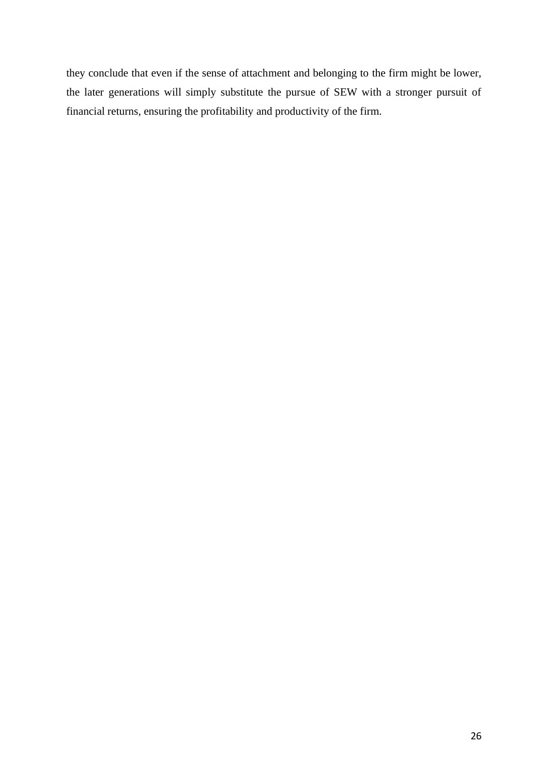they conclude that even if the sense of attachment and belonging to the firm might be lower, the later generations will simply substitute the pursue of SEW with a stronger pursuit of financial returns, ensuring the profitability and productivity of the firm.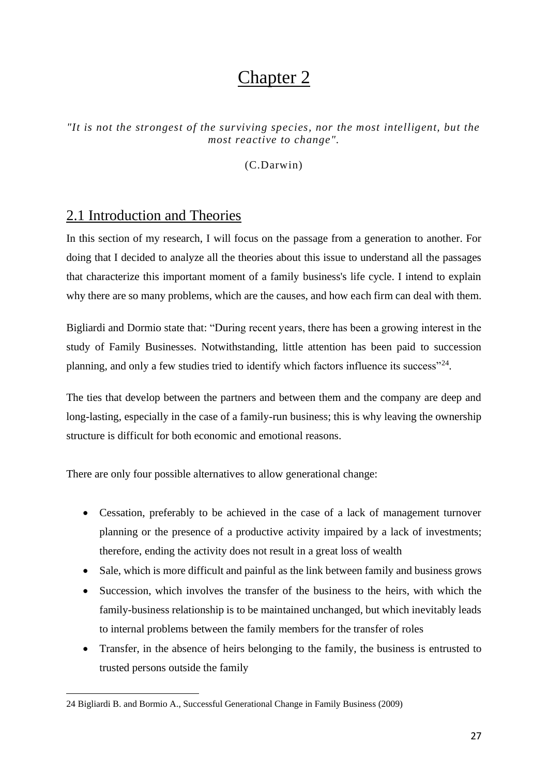# Chapter 2

*"It is not the strongest of the surviving species, nor the most intelligent, but the most reactive to change".* 

(C.Darwin)

## 2.1 Introduction and Theories

In this section of my research, I will focus on the passage from a generation to another. For doing that I decided to analyze all the theories about this issue to understand all the passages that characterize this important moment of a family business's life cycle. I intend to explain why there are so many problems, which are the causes, and how each firm can deal with them.

Bigliardi and Dormio state that: "During recent years, there has been a growing interest in the study of Family Businesses. Notwithstanding, little attention has been paid to succession planning, and only a few studies tried to identify which factors influence its success"<sup>24</sup>.

The ties that develop between the partners and between them and the company are deep and long-lasting, especially in the case of a family-run business; this is why leaving the ownership structure is difficult for both economic and emotional reasons.

There are only four possible alternatives to allow generational change:

- Cessation, preferably to be achieved in the case of a lack of management turnover planning or the presence of a productive activity impaired by a lack of investments; therefore, ending the activity does not result in a great loss of wealth
- Sale, which is more difficult and painful as the link between family and business grows
- Succession, which involves the transfer of the business to the heirs, with which the family-business relationship is to be maintained unchanged, but which inevitably leads to internal problems between the family members for the transfer of roles
- Transfer, in the absence of heirs belonging to the family, the business is entrusted to trusted persons outside the family

<sup>24</sup> Bigliardi B. and Bormio A., Successful Generational Change in Family Business (2009)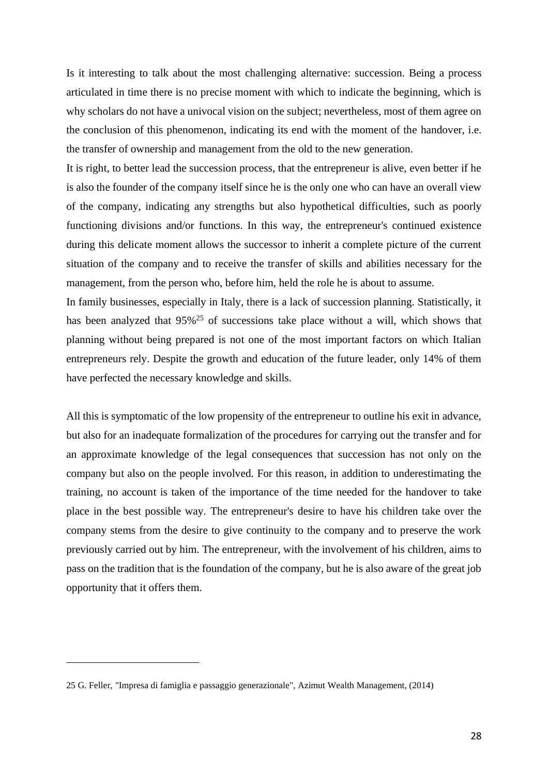Is it interesting to talk about the most challenging alternative: succession. Being a process articulated in time there is no precise moment with which to indicate the beginning, which is why scholars do not have a univocal vision on the subject; nevertheless, most of them agree on the conclusion of this phenomenon, indicating its end with the moment of the handover, i.e. the transfer of ownership and management from the old to the new generation.

It is right, to better lead the succession process, that the entrepreneur is alive, even better if he is also the founder of the company itself since he is the only one who can have an overall view of the company, indicating any strengths but also hypothetical difficulties, such as poorly functioning divisions and/or functions. In this way, the entrepreneur's continued existence during this delicate moment allows the successor to inherit a complete picture of the current situation of the company and to receive the transfer of skills and abilities necessary for the management, from the person who, before him, held the role he is about to assume.

In family businesses, especially in Italy, there is a lack of succession planning. Statistically, it has been analyzed that 95%<sup>25</sup> of successions take place without a will, which shows that planning without being prepared is not one of the most important factors on which Italian entrepreneurs rely. Despite the growth and education of the future leader, only 14% of them have perfected the necessary knowledge and skills.

All this is symptomatic of the low propensity of the entrepreneur to outline his exit in advance, but also for an inadequate formalization of the procedures for carrying out the transfer and for an approximate knowledge of the legal consequences that succession has not only on the company but also on the people involved. For this reason, in addition to underestimating the training, no account is taken of the importance of the time needed for the handover to take place in the best possible way. The entrepreneur's desire to have his children take over the company stems from the desire to give continuity to the company and to preserve the work previously carried out by him. The entrepreneur, with the involvement of his children, aims to pass on the tradition that is the foundation of the company, but he is also aware of the great job opportunity that it offers them.

<sup>25</sup> G. Feller, "Impresa di famiglia e passaggio generazionale", Azimut Wealth Management, (2014)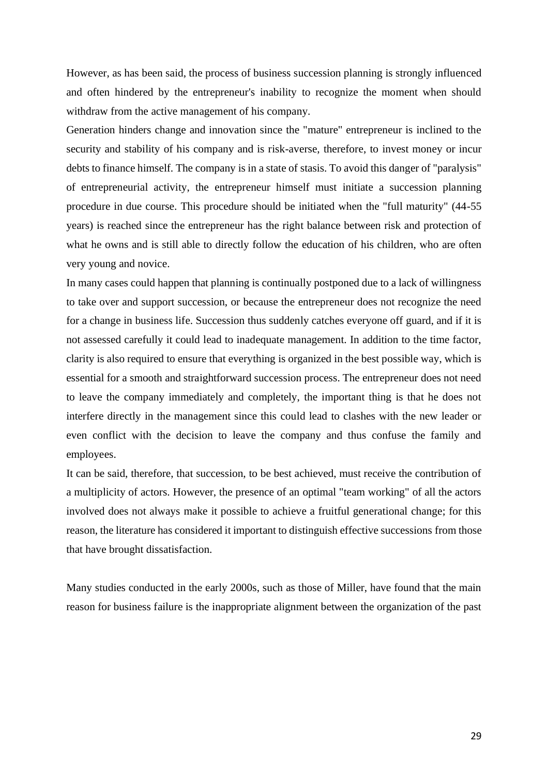However, as has been said, the process of business succession planning is strongly influenced and often hindered by the entrepreneur's inability to recognize the moment when should withdraw from the active management of his company.

Generation hinders change and innovation since the "mature" entrepreneur is inclined to the security and stability of his company and is risk-averse, therefore, to invest money or incur debts to finance himself. The company is in a state of stasis. To avoid this danger of "paralysis" of entrepreneurial activity, the entrepreneur himself must initiate a succession planning procedure in due course. This procedure should be initiated when the "full maturity" (44-55 years) is reached since the entrepreneur has the right balance between risk and protection of what he owns and is still able to directly follow the education of his children, who are often very young and novice.

In many cases could happen that planning is continually postponed due to a lack of willingness to take over and support succession, or because the entrepreneur does not recognize the need for a change in business life. Succession thus suddenly catches everyone off guard, and if it is not assessed carefully it could lead to inadequate management. In addition to the time factor, clarity is also required to ensure that everything is organized in the best possible way, which is essential for a smooth and straightforward succession process. The entrepreneur does not need to leave the company immediately and completely, the important thing is that he does not interfere directly in the management since this could lead to clashes with the new leader or even conflict with the decision to leave the company and thus confuse the family and employees.

It can be said, therefore, that succession, to be best achieved, must receive the contribution of a multiplicity of actors. However, the presence of an optimal "team working" of all the actors involved does not always make it possible to achieve a fruitful generational change; for this reason, the literature has considered it important to distinguish effective successions from those that have brought dissatisfaction.

Many studies conducted in the early 2000s, such as those of Miller, have found that the main reason for business failure is the inappropriate alignment between the organization of the past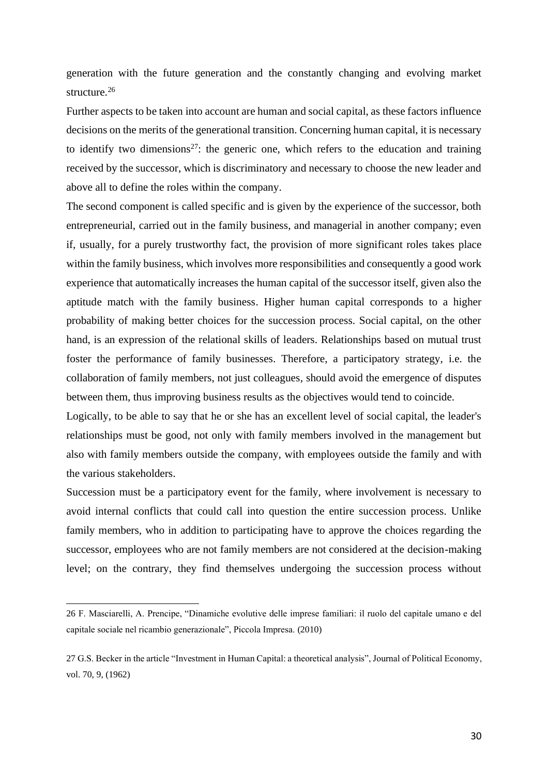generation with the future generation and the constantly changing and evolving market structure.<sup>26</sup>

Further aspects to be taken into account are human and social capital, as these factors influence decisions on the merits of the generational transition. Concerning human capital, it is necessary to identify two dimensions<sup>27</sup>: the generic one, which refers to the education and training received by the successor, which is discriminatory and necessary to choose the new leader and above all to define the roles within the company.

The second component is called specific and is given by the experience of the successor, both entrepreneurial, carried out in the family business, and managerial in another company; even if, usually, for a purely trustworthy fact, the provision of more significant roles takes place within the family business, which involves more responsibilities and consequently a good work experience that automatically increases the human capital of the successor itself, given also the aptitude match with the family business. Higher human capital corresponds to a higher probability of making better choices for the succession process. Social capital, on the other hand, is an expression of the relational skills of leaders. Relationships based on mutual trust foster the performance of family businesses. Therefore, a participatory strategy, i.e. the collaboration of family members, not just colleagues, should avoid the emergence of disputes between them, thus improving business results as the objectives would tend to coincide.

Logically, to be able to say that he or she has an excellent level of social capital, the leader's relationships must be good, not only with family members involved in the management but also with family members outside the company, with employees outside the family and with the various stakeholders.

Succession must be a participatory event for the family, where involvement is necessary to avoid internal conflicts that could call into question the entire succession process. Unlike family members, who in addition to participating have to approve the choices regarding the successor, employees who are not family members are not considered at the decision-making level; on the contrary, they find themselves undergoing the succession process without

<sup>26</sup> F. Masciarelli, A. Prencipe, "Dinamiche evolutive delle imprese familiari: il ruolo del capitale umano e del capitale sociale nel ricambio generazionale", Piccola Impresa. (2010)

<sup>27</sup> G.S. Becker in the article "Investment in Human Capital: a theoretical analysis", Journal of Political Economy, vol. 70, 9, (1962)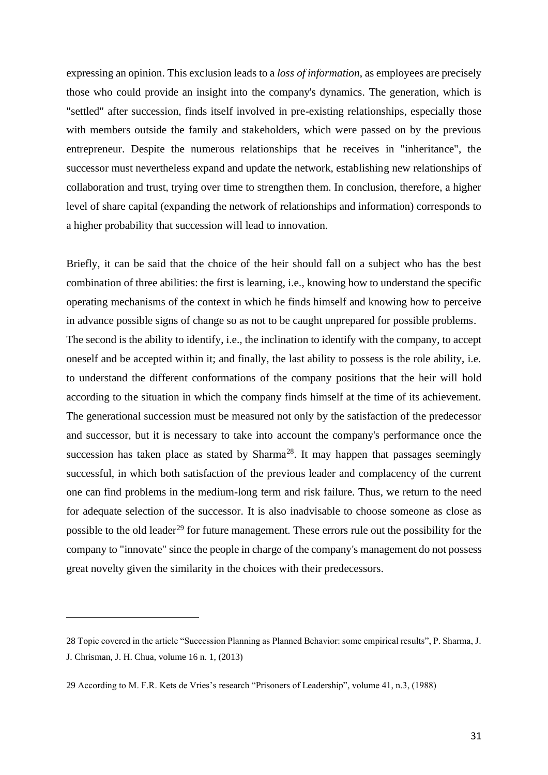expressing an opinion. This exclusion leads to a *loss of information*, as employees are precisely those who could provide an insight into the company's dynamics. The generation, which is "settled" after succession, finds itself involved in pre-existing relationships, especially those with members outside the family and stakeholders, which were passed on by the previous entrepreneur. Despite the numerous relationships that he receives in "inheritance", the successor must nevertheless expand and update the network, establishing new relationships of collaboration and trust, trying over time to strengthen them. In conclusion, therefore, a higher level of share capital (expanding the network of relationships and information) corresponds to a higher probability that succession will lead to innovation.

Briefly, it can be said that the choice of the heir should fall on a subject who has the best combination of three abilities: the first is learning, i.e., knowing how to understand the specific operating mechanisms of the context in which he finds himself and knowing how to perceive in advance possible signs of change so as not to be caught unprepared for possible problems. The second is the ability to identify, i.e., the inclination to identify with the company, to accept oneself and be accepted within it; and finally, the last ability to possess is the role ability, i.e. to understand the different conformations of the company positions that the heir will hold according to the situation in which the company finds himself at the time of its achievement. The generational succession must be measured not only by the satisfaction of the predecessor and successor, but it is necessary to take into account the company's performance once the succession has taken place as stated by Sharma<sup>28</sup>. It may happen that passages seemingly successful, in which both satisfaction of the previous leader and complacency of the current one can find problems in the medium-long term and risk failure. Thus, we return to the need for adequate selection of the successor. It is also inadvisable to choose someone as close as possible to the old leader<sup>29</sup> for future management. These errors rule out the possibility for the company to "innovate" since the people in charge of the company's management do not possess great novelty given the similarity in the choices with their predecessors.

<sup>28</sup> Topic covered in the article "Succession Planning as Planned Behavior: some empirical results", P. Sharma, J. J. Chrisman, J. H. Chua, volume 16 n. 1, (2013)

<sup>29</sup> According to M. F.R. Kets de Vries's research "Prisoners of Leadership", volume 41, n.3, (1988)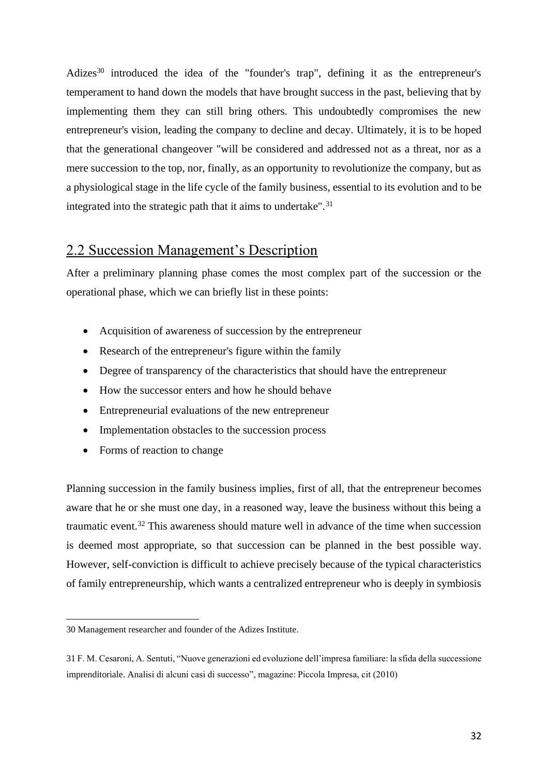Adizes<sup>30</sup> introduced the idea of the "founder's trap", defining it as the entrepreneur's temperament to hand down the models that have brought success in the past, believing that by implementing them they can still bring others. This undoubtedly compromises the new entrepreneur's vision, leading the company to decline and decay. Ultimately, it is to be hoped that the generational changeover "will be considered and addressed not as a threat, nor as a mere succession to the top, nor, finally, as an opportunity to revolutionize the company, but as a physiological stage in the life cycle of the family business, essential to its evolution and to be integrated into the strategic path that it aims to undertake".<sup>31</sup>

### 2.2 Succession Management's Description

After a preliminary planning phase comes the most complex part of the succession or the operational phase, which we can briefly list in these points:

- Acquisition of awareness of succession by the entrepreneur
- Research of the entrepreneur's figure within the family
- Degree of transparency of the characteristics that should have the entrepreneur
- How the successor enters and how he should behave
- Entrepreneurial evaluations of the new entrepreneur
- Implementation obstacles to the succession process
- Forms of reaction to change

Planning succession in the family business implies, first of all, that the entrepreneur becomes aware that he or she must one day, in a reasoned way, leave the business without this being a traumatic event.<sup>32</sup> This awareness should mature well in advance of the time when succession is deemed most appropriate, so that succession can be planned in the best possible way. However, self-conviction is difficult to achieve precisely because of the typical characteristics of family entrepreneurship, which wants a centralized entrepreneur who is deeply in symbiosis

<sup>30</sup> Management researcher and founder of the Adizes Institute.

<sup>31</sup>F. M. Cesaroni, A. Sentuti, "Nuove generazioni ed evoluzione dell'impresa familiare: la sfida della successione imprenditoriale. Analisi di alcuni casi di successo", magazine: Piccola Impresa, cit (2010)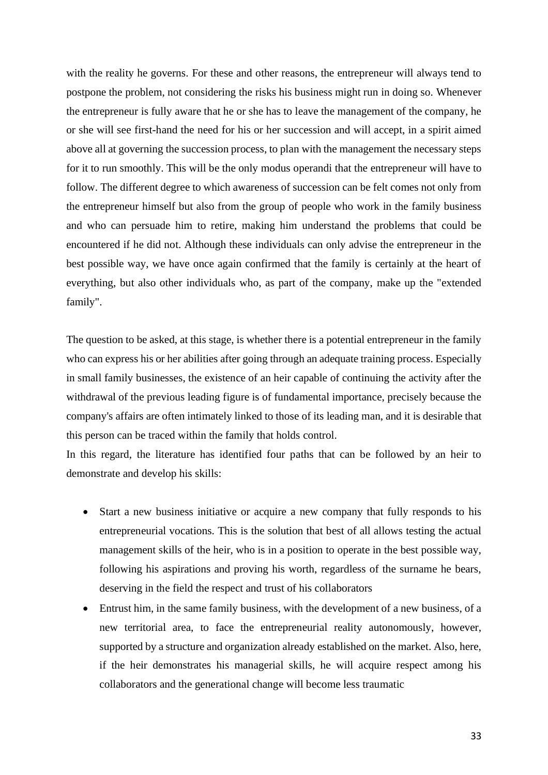with the reality he governs. For these and other reasons, the entrepreneur will always tend to postpone the problem, not considering the risks his business might run in doing so. Whenever the entrepreneur is fully aware that he or she has to leave the management of the company, he or she will see first-hand the need for his or her succession and will accept, in a spirit aimed above all at governing the succession process, to plan with the management the necessary steps for it to run smoothly. This will be the only modus operandi that the entrepreneur will have to follow. The different degree to which awareness of succession can be felt comes not only from the entrepreneur himself but also from the group of people who work in the family business and who can persuade him to retire, making him understand the problems that could be encountered if he did not. Although these individuals can only advise the entrepreneur in the best possible way, we have once again confirmed that the family is certainly at the heart of everything, but also other individuals who, as part of the company, make up the "extended family".

The question to be asked, at this stage, is whether there is a potential entrepreneur in the family who can express his or her abilities after going through an adequate training process. Especially in small family businesses, the existence of an heir capable of continuing the activity after the withdrawal of the previous leading figure is of fundamental importance, precisely because the company's affairs are often intimately linked to those of its leading man, and it is desirable that this person can be traced within the family that holds control.

In this regard, the literature has identified four paths that can be followed by an heir to demonstrate and develop his skills:

- Start a new business initiative or acquire a new company that fully responds to his entrepreneurial vocations. This is the solution that best of all allows testing the actual management skills of the heir, who is in a position to operate in the best possible way, following his aspirations and proving his worth, regardless of the surname he bears, deserving in the field the respect and trust of his collaborators
- Entrust him, in the same family business, with the development of a new business, of a new territorial area, to face the entrepreneurial reality autonomously, however, supported by a structure and organization already established on the market. Also, here, if the heir demonstrates his managerial skills, he will acquire respect among his collaborators and the generational change will become less traumatic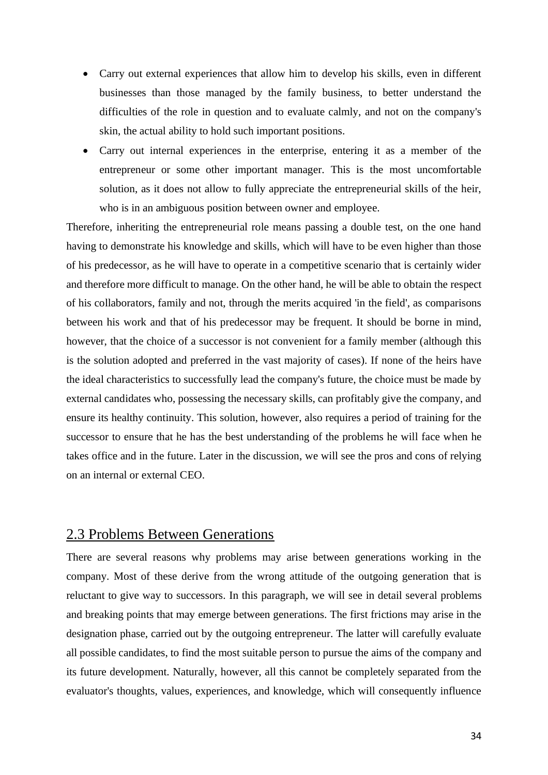- Carry out external experiences that allow him to develop his skills, even in different businesses than those managed by the family business, to better understand the difficulties of the role in question and to evaluate calmly, and not on the company's skin, the actual ability to hold such important positions.
- Carry out internal experiences in the enterprise, entering it as a member of the entrepreneur or some other important manager. This is the most uncomfortable solution, as it does not allow to fully appreciate the entrepreneurial skills of the heir, who is in an ambiguous position between owner and employee.

Therefore, inheriting the entrepreneurial role means passing a double test, on the one hand having to demonstrate his knowledge and skills, which will have to be even higher than those of his predecessor, as he will have to operate in a competitive scenario that is certainly wider and therefore more difficult to manage. On the other hand, he will be able to obtain the respect of his collaborators, family and not, through the merits acquired 'in the field', as comparisons between his work and that of his predecessor may be frequent. It should be borne in mind, however, that the choice of a successor is not convenient for a family member (although this is the solution adopted and preferred in the vast majority of cases). If none of the heirs have the ideal characteristics to successfully lead the company's future, the choice must be made by external candidates who, possessing the necessary skills, can profitably give the company, and ensure its healthy continuity. This solution, however, also requires a period of training for the successor to ensure that he has the best understanding of the problems he will face when he takes office and in the future. Later in the discussion, we will see the pros and cons of relying on an internal or external CEO.

### 2.3 Problems Between Generations

There are several reasons why problems may arise between generations working in the company. Most of these derive from the wrong attitude of the outgoing generation that is reluctant to give way to successors. In this paragraph, we will see in detail several problems and breaking points that may emerge between generations. The first frictions may arise in the designation phase, carried out by the outgoing entrepreneur. The latter will carefully evaluate all possible candidates, to find the most suitable person to pursue the aims of the company and its future development. Naturally, however, all this cannot be completely separated from the evaluator's thoughts, values, experiences, and knowledge, which will consequently influence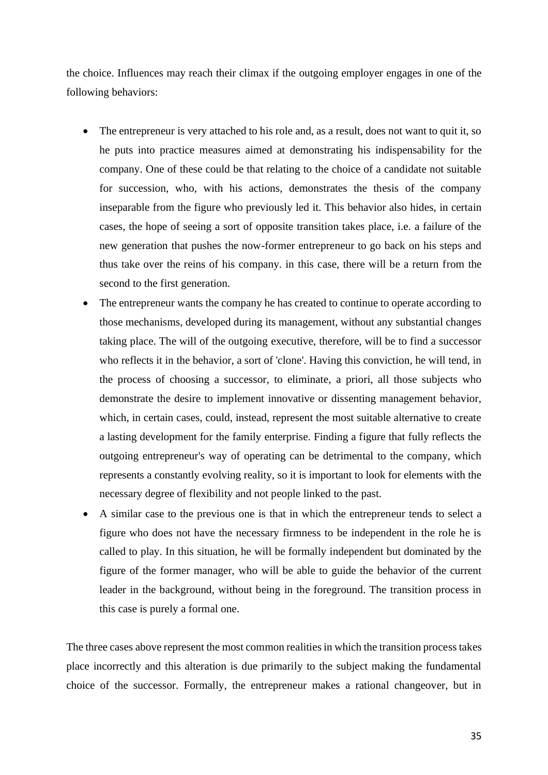the choice. Influences may reach their climax if the outgoing employer engages in one of the following behaviors:

- The entrepreneur is very attached to his role and, as a result, does not want to quit it, so he puts into practice measures aimed at demonstrating his indispensability for the company. One of these could be that relating to the choice of a candidate not suitable for succession, who, with his actions, demonstrates the thesis of the company inseparable from the figure who previously led it. This behavior also hides, in certain cases, the hope of seeing a sort of opposite transition takes place, i.e. a failure of the new generation that pushes the now-former entrepreneur to go back on his steps and thus take over the reins of his company. in this case, there will be a return from the second to the first generation.
- The entrepreneur wants the company he has created to continue to operate according to those mechanisms, developed during its management, without any substantial changes taking place. The will of the outgoing executive, therefore, will be to find a successor who reflects it in the behavior, a sort of 'clone'. Having this conviction, he will tend, in the process of choosing a successor, to eliminate, a priori, all those subjects who demonstrate the desire to implement innovative or dissenting management behavior, which, in certain cases, could, instead, represent the most suitable alternative to create a lasting development for the family enterprise. Finding a figure that fully reflects the outgoing entrepreneur's way of operating can be detrimental to the company, which represents a constantly evolving reality, so it is important to look for elements with the necessary degree of flexibility and not people linked to the past.
- A similar case to the previous one is that in which the entrepreneur tends to select a figure who does not have the necessary firmness to be independent in the role he is called to play. In this situation, he will be formally independent but dominated by the figure of the former manager, who will be able to guide the behavior of the current leader in the background, without being in the foreground. The transition process in this case is purely a formal one.

The three cases above represent the most common realities in which the transition process takes place incorrectly and this alteration is due primarily to the subject making the fundamental choice of the successor. Formally, the entrepreneur makes a rational changeover, but in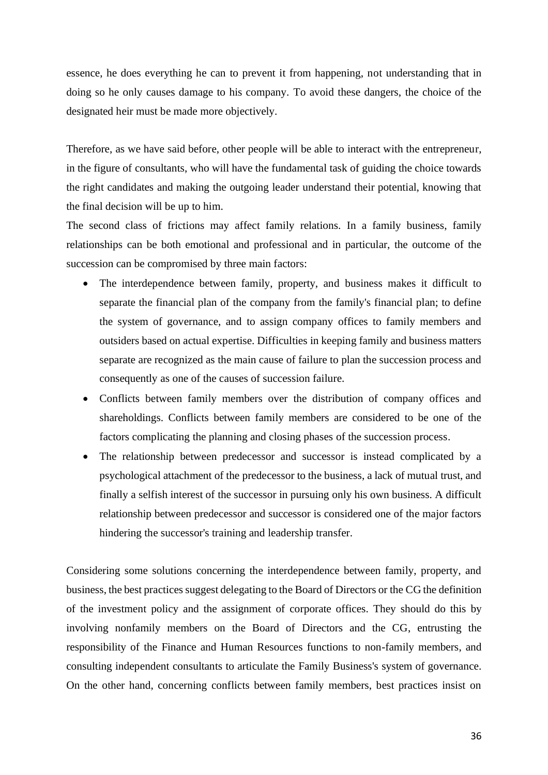essence, he does everything he can to prevent it from happening, not understanding that in doing so he only causes damage to his company. To avoid these dangers, the choice of the designated heir must be made more objectively.

Therefore, as we have said before, other people will be able to interact with the entrepreneur, in the figure of consultants, who will have the fundamental task of guiding the choice towards the right candidates and making the outgoing leader understand their potential, knowing that the final decision will be up to him.

The second class of frictions may affect family relations. In a family business, family relationships can be both emotional and professional and in particular, the outcome of the succession can be compromised by three main factors:

- The interdependence between family, property, and business makes it difficult to separate the financial plan of the company from the family's financial plan; to define the system of governance, and to assign company offices to family members and outsiders based on actual expertise. Difficulties in keeping family and business matters separate are recognized as the main cause of failure to plan the succession process and consequently as one of the causes of succession failure.
- Conflicts between family members over the distribution of company offices and shareholdings. Conflicts between family members are considered to be one of the factors complicating the planning and closing phases of the succession process.
- The relationship between predecessor and successor is instead complicated by a psychological attachment of the predecessor to the business, a lack of mutual trust, and finally a selfish interest of the successor in pursuing only his own business. A difficult relationship between predecessor and successor is considered one of the major factors hindering the successor's training and leadership transfer.

Considering some solutions concerning the interdependence between family, property, and business, the best practices suggest delegating to the Board of Directors or the CG the definition of the investment policy and the assignment of corporate offices. They should do this by involving nonfamily members on the Board of Directors and the CG, entrusting the responsibility of the Finance and Human Resources functions to non-family members, and consulting independent consultants to articulate the Family Business's system of governance. On the other hand, concerning conflicts between family members, best practices insist on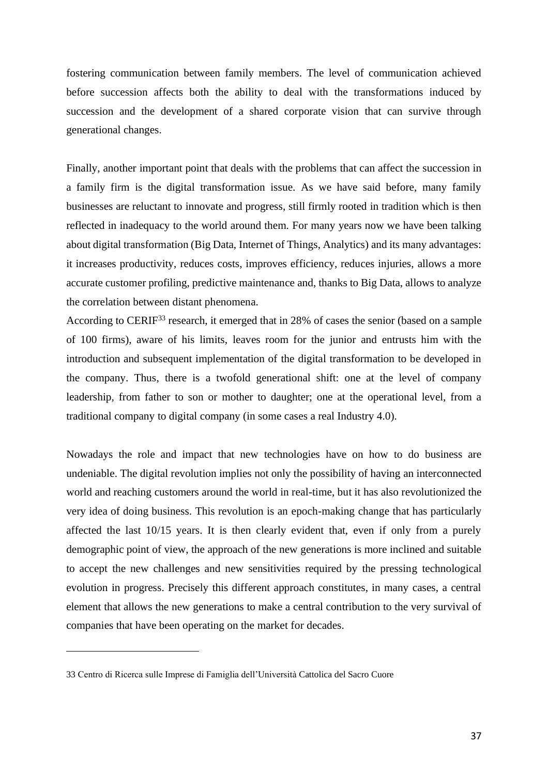fostering communication between family members. The level of communication achieved before succession affects both the ability to deal with the transformations induced by succession and the development of a shared corporate vision that can survive through generational changes.

Finally, another important point that deals with the problems that can affect the succession in a family firm is the digital transformation issue. As we have said before, many family businesses are reluctant to innovate and progress, still firmly rooted in tradition which is then reflected in inadequacy to the world around them. For many years now we have been talking about digital transformation (Big Data, Internet of Things, Analytics) and its many advantages: it increases productivity, reduces costs, improves efficiency, reduces injuries, allows a more accurate customer profiling, predictive maintenance and, thanks to Big Data, allows to analyze the correlation between distant phenomena.

According to CERIF<sup>33</sup> research, it emerged that in 28% of cases the senior (based on a sample of 100 firms), aware of his limits, leaves room for the junior and entrusts him with the introduction and subsequent implementation of the digital transformation to be developed in the company. Thus, there is a twofold generational shift: one at the level of company leadership, from father to son or mother to daughter; one at the operational level, from a traditional company to digital company (in some cases a real Industry 4.0).

Nowadays the role and impact that new technologies have on how to do business are undeniable. The digital revolution implies not only the possibility of having an interconnected world and reaching customers around the world in real-time, but it has also revolutionized the very idea of doing business. This revolution is an epoch-making change that has particularly affected the last 10/15 years. It is then clearly evident that, even if only from a purely demographic point of view, the approach of the new generations is more inclined and suitable to accept the new challenges and new sensitivities required by the pressing technological evolution in progress. Precisely this different approach constitutes, in many cases, a central element that allows the new generations to make a central contribution to the very survival of companies that have been operating on the market for decades.

<sup>33</sup> Centro di Ricerca sulle Imprese di Famiglia dell'Università Cattolica del Sacro Cuore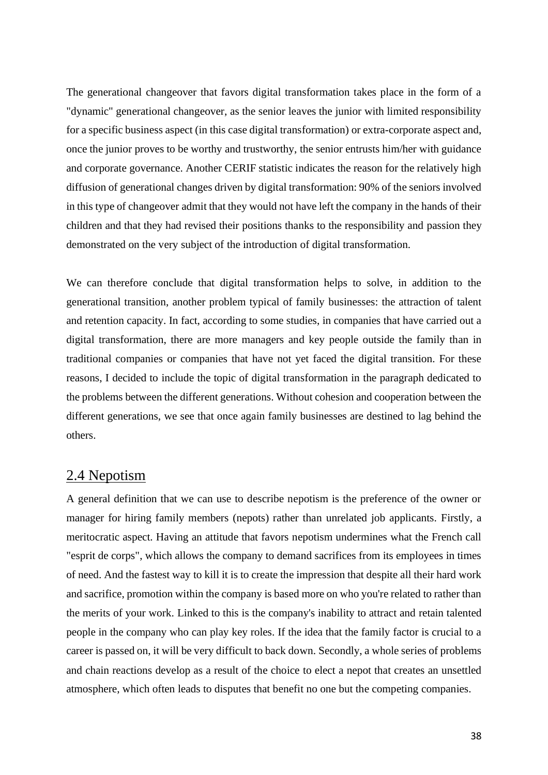The generational changeover that favors digital transformation takes place in the form of a "dynamic" generational changeover, as the senior leaves the junior with limited responsibility for a specific business aspect (in this case digital transformation) or extra-corporate aspect and, once the junior proves to be worthy and trustworthy, the senior entrusts him/her with guidance and corporate governance. Another CERIF statistic indicates the reason for the relatively high diffusion of generational changes driven by digital transformation: 90% of the seniors involved in this type of changeover admit that they would not have left the company in the hands of their children and that they had revised their positions thanks to the responsibility and passion they demonstrated on the very subject of the introduction of digital transformation.

We can therefore conclude that digital transformation helps to solve, in addition to the generational transition, another problem typical of family businesses: the attraction of talent and retention capacity. In fact, according to some studies, in companies that have carried out a digital transformation, there are more managers and key people outside the family than in traditional companies or companies that have not yet faced the digital transition. For these reasons, I decided to include the topic of digital transformation in the paragraph dedicated to the problems between the different generations. Without cohesion and cooperation between the different generations, we see that once again family businesses are destined to lag behind the others.

#### 2.4 Nepotism

A general definition that we can use to describe nepotism is the preference of the owner or manager for hiring family members (nepots) rather than unrelated job applicants. Firstly, a meritocratic aspect. Having an attitude that favors nepotism undermines what the French call "esprit de corps", which allows the company to demand sacrifices from its employees in times of need. And the fastest way to kill it is to create the impression that despite all their hard work and sacrifice, promotion within the company is based more on who you're related to rather than the merits of your work. Linked to this is the company's inability to attract and retain talented people in the company who can play key roles. If the idea that the family factor is crucial to a career is passed on, it will be very difficult to back down. Secondly, a whole series of problems and chain reactions develop as a result of the choice to elect a nepot that creates an unsettled atmosphere, which often leads to disputes that benefit no one but the competing companies.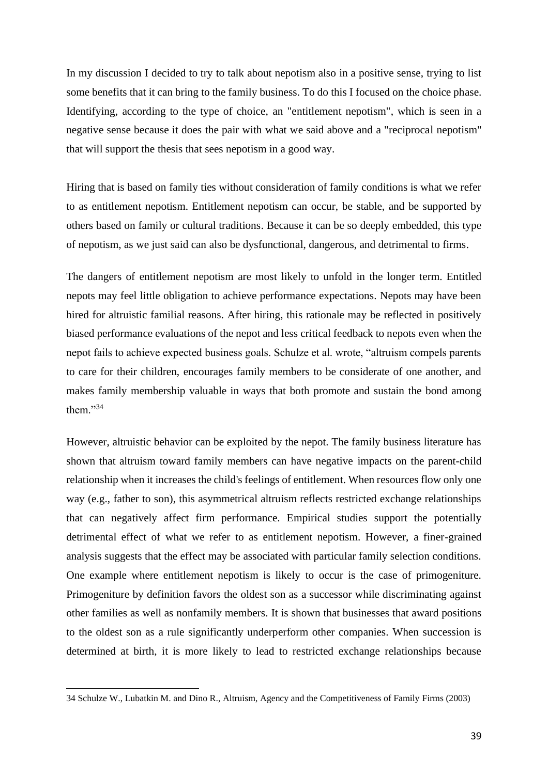In my discussion I decided to try to talk about nepotism also in a positive sense, trying to list some benefits that it can bring to the family business. To do this I focused on the choice phase. Identifying, according to the type of choice, an "entitlement nepotism", which is seen in a negative sense because it does the pair with what we said above and a "reciprocal nepotism" that will support the thesis that sees nepotism in a good way.

Hiring that is based on family ties without consideration of family conditions is what we refer to as entitlement nepotism. Entitlement nepotism can occur, be stable, and be supported by others based on family or cultural traditions. Because it can be so deeply embedded, this type of nepotism, as we just said can also be dysfunctional, dangerous, and detrimental to firms.

The dangers of entitlement nepotism are most likely to unfold in the longer term. Entitled nepots may feel little obligation to achieve performance expectations. Nepots may have been hired for altruistic familial reasons. After hiring, this rationale may be reflected in positively biased performance evaluations of the nepot and less critical feedback to nepots even when the nepot fails to achieve expected business goals. Schulze et al. wrote, "altruism compels parents to care for their children, encourages family members to be considerate of one another, and makes family membership valuable in ways that both promote and sustain the bond among them."<sup>34</sup>

However, altruistic behavior can be exploited by the nepot. The family business literature has shown that altruism toward family members can have negative impacts on the parent-child relationship when it increases the child's feelings of entitlement. When resources flow only one way (e.g., father to son), this asymmetrical altruism reflects restricted exchange relationships that can negatively affect firm performance. Empirical studies support the potentially detrimental effect of what we refer to as entitlement nepotism. However, a finer-grained analysis suggests that the effect may be associated with particular family selection conditions. One example where entitlement nepotism is likely to occur is the case of primogeniture. Primogeniture by definition favors the oldest son as a successor while discriminating against other families as well as nonfamily members. It is shown that businesses that award positions to the oldest son as a rule significantly underperform other companies. When succession is determined at birth, it is more likely to lead to restricted exchange relationships because

<sup>34</sup> Schulze W., Lubatkin M. and Dino R., Altruism, Agency and the Competitiveness of Family Firms (2003)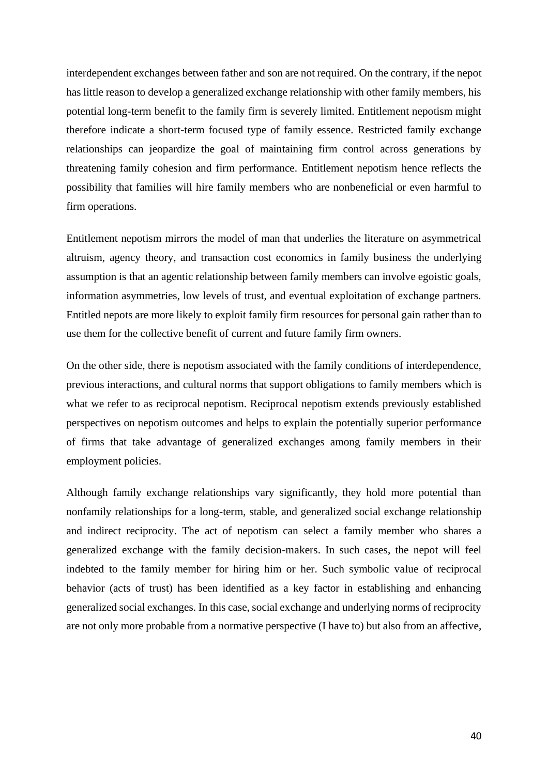interdependent exchanges between father and son are not required. On the contrary, if the nepot has little reason to develop a generalized exchange relationship with other family members, his potential long-term benefit to the family firm is severely limited. Entitlement nepotism might therefore indicate a short-term focused type of family essence. Restricted family exchange relationships can jeopardize the goal of maintaining firm control across generations by threatening family cohesion and firm performance. Entitlement nepotism hence reflects the possibility that families will hire family members who are nonbeneficial or even harmful to firm operations.

Entitlement nepotism mirrors the model of man that underlies the literature on asymmetrical altruism, agency theory, and transaction cost economics in family business the underlying assumption is that an agentic relationship between family members can involve egoistic goals, information asymmetries, low levels of trust, and eventual exploitation of exchange partners. Entitled nepots are more likely to exploit family firm resources for personal gain rather than to use them for the collective benefit of current and future family firm owners.

On the other side, there is nepotism associated with the family conditions of interdependence, previous interactions, and cultural norms that support obligations to family members which is what we refer to as reciprocal nepotism. Reciprocal nepotism extends previously established perspectives on nepotism outcomes and helps to explain the potentially superior performance of firms that take advantage of generalized exchanges among family members in their employment policies.

Although family exchange relationships vary significantly, they hold more potential than nonfamily relationships for a long-term, stable, and generalized social exchange relationship and indirect reciprocity. The act of nepotism can select a family member who shares a generalized exchange with the family decision-makers. In such cases, the nepot will feel indebted to the family member for hiring him or her. Such symbolic value of reciprocal behavior (acts of trust) has been identified as a key factor in establishing and enhancing generalized social exchanges. In this case, social exchange and underlying norms of reciprocity are not only more probable from a normative perspective (I have to) but also from an affective,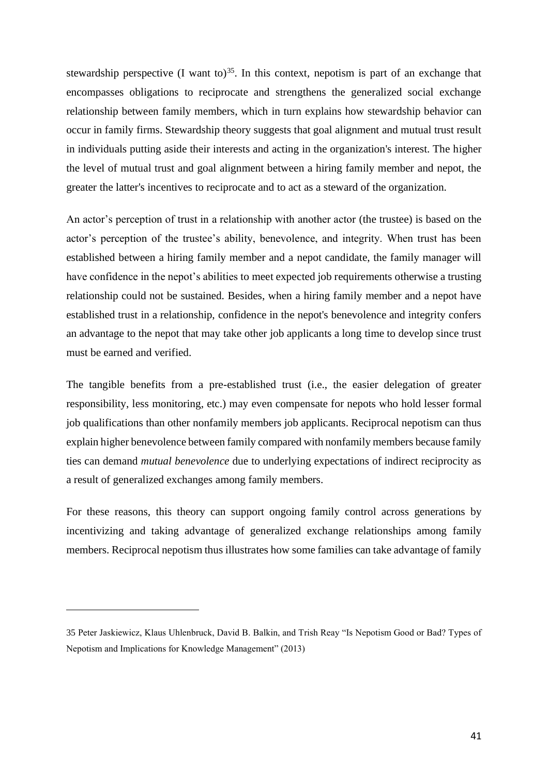stewardship perspective (I want to)<sup>35</sup>. In this context, nepotism is part of an exchange that encompasses obligations to reciprocate and strengthens the generalized social exchange relationship between family members, which in turn explains how stewardship behavior can occur in family firms. Stewardship theory suggests that goal alignment and mutual trust result in individuals putting aside their interests and acting in the organization's interest. The higher the level of mutual trust and goal alignment between a hiring family member and nepot, the greater the latter's incentives to reciprocate and to act as a steward of the organization.

An actor's perception of trust in a relationship with another actor (the trustee) is based on the actor's perception of the trustee's ability, benevolence, and integrity. When trust has been established between a hiring family member and a nepot candidate, the family manager will have confidence in the nepot's abilities to meet expected job requirements otherwise a trusting relationship could not be sustained. Besides, when a hiring family member and a nepot have established trust in a relationship, confidence in the nepot's benevolence and integrity confers an advantage to the nepot that may take other job applicants a long time to develop since trust must be earned and verified.

The tangible benefits from a pre-established trust (i.e., the easier delegation of greater responsibility, less monitoring, etc.) may even compensate for nepots who hold lesser formal job qualifications than other nonfamily members job applicants. Reciprocal nepotism can thus explain higher benevolence between family compared with nonfamily members because family ties can demand *mutual benevolence* due to underlying expectations of indirect reciprocity as a result of generalized exchanges among family members.

For these reasons, this theory can support ongoing family control across generations by incentivizing and taking advantage of generalized exchange relationships among family members. Reciprocal nepotism thus illustrates how some families can take advantage of family

<sup>35</sup> Peter Jaskiewicz, Klaus Uhlenbruck, David B. Balkin, and Trish Reay "Is Nepotism Good or Bad? Types of Nepotism and Implications for Knowledge Management" (2013)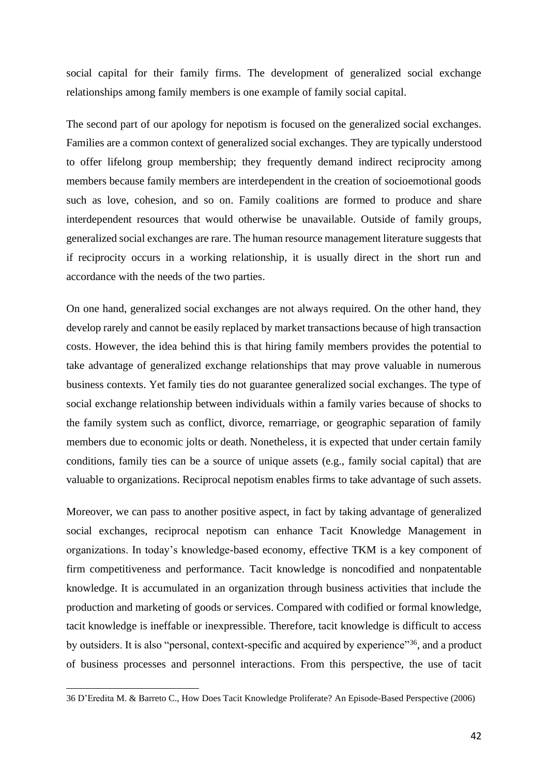social capital for their family firms. The development of generalized social exchange relationships among family members is one example of family social capital.

The second part of our apology for nepotism is focused on the generalized social exchanges. Families are a common context of generalized social exchanges. They are typically understood to offer lifelong group membership; they frequently demand indirect reciprocity among members because family members are interdependent in the creation of socioemotional goods such as love, cohesion, and so on. Family coalitions are formed to produce and share interdependent resources that would otherwise be unavailable. Outside of family groups, generalized social exchanges are rare. The human resource management literature suggests that if reciprocity occurs in a working relationship, it is usually direct in the short run and accordance with the needs of the two parties.

On one hand, generalized social exchanges are not always required. On the other hand, they develop rarely and cannot be easily replaced by market transactions because of high transaction costs. However, the idea behind this is that hiring family members provides the potential to take advantage of generalized exchange relationships that may prove valuable in numerous business contexts. Yet family ties do not guarantee generalized social exchanges. The type of social exchange relationship between individuals within a family varies because of shocks to the family system such as conflict, divorce, remarriage, or geographic separation of family members due to economic jolts or death. Nonetheless, it is expected that under certain family conditions, family ties can be a source of unique assets (e.g., family social capital) that are valuable to organizations. Reciprocal nepotism enables firms to take advantage of such assets.

Moreover, we can pass to another positive aspect, in fact by taking advantage of generalized social exchanges, reciprocal nepotism can enhance Tacit Knowledge Management in organizations. In today's knowledge-based economy, effective TKM is a key component of firm competitiveness and performance. Tacit knowledge is noncodified and nonpatentable knowledge. It is accumulated in an organization through business activities that include the production and marketing of goods or services. Compared with codified or formal knowledge, tacit knowledge is ineffable or inexpressible. Therefore, tacit knowledge is difficult to access by outsiders. It is also "personal, context-specific and acquired by experience"<sup>36</sup>, and a product of business processes and personnel interactions. From this perspective, the use of tacit

<sup>36</sup> D'Eredita M. & Barreto C., How Does Tacit Knowledge Proliferate? An Episode-Based Perspective (2006)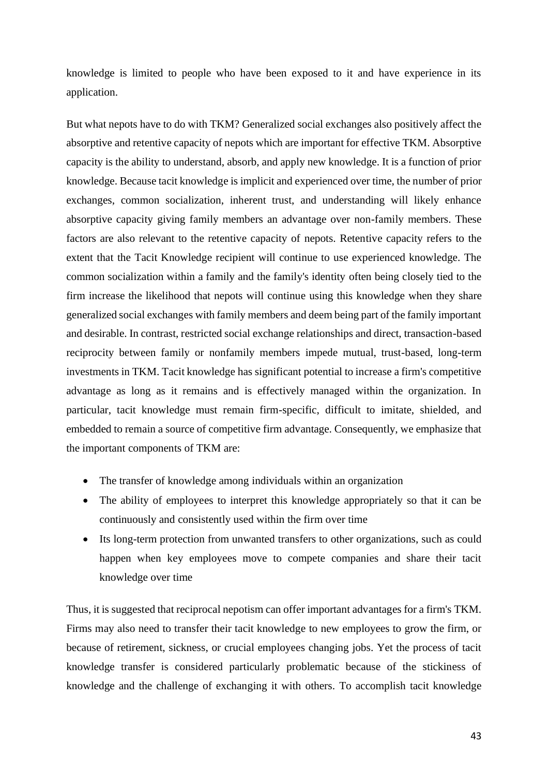knowledge is limited to people who have been exposed to it and have experience in its application.

But what nepots have to do with TKM? Generalized social exchanges also positively affect the absorptive and retentive capacity of nepots which are important for effective TKM. Absorptive capacity is the ability to understand, absorb, and apply new knowledge. It is a function of prior knowledge. Because tacit knowledge is implicit and experienced over time, the number of prior exchanges, common socialization, inherent trust, and understanding will likely enhance absorptive capacity giving family members an advantage over non-family members. These factors are also relevant to the retentive capacity of nepots. Retentive capacity refers to the extent that the Tacit Knowledge recipient will continue to use experienced knowledge. The common socialization within a family and the family's identity often being closely tied to the firm increase the likelihood that nepots will continue using this knowledge when they share generalized social exchanges with family members and deem being part of the family important and desirable. In contrast, restricted social exchange relationships and direct, transaction-based reciprocity between family or nonfamily members impede mutual, trust-based, long-term investments in TKM. Tacit knowledge has significant potential to increase a firm's competitive advantage as long as it remains and is effectively managed within the organization. In particular, tacit knowledge must remain firm-specific, difficult to imitate, shielded, and embedded to remain a source of competitive firm advantage. Consequently, we emphasize that the important components of TKM are:

- The transfer of knowledge among individuals within an organization
- The ability of employees to interpret this knowledge appropriately so that it can be continuously and consistently used within the firm over time
- Its long-term protection from unwanted transfers to other organizations, such as could happen when key employees move to compete companies and share their tacit knowledge over time

Thus, it is suggested that reciprocal nepotism can offer important advantages for a firm's TKM. Firms may also need to transfer their tacit knowledge to new employees to grow the firm, or because of retirement, sickness, or crucial employees changing jobs. Yet the process of tacit knowledge transfer is considered particularly problematic because of the stickiness of knowledge and the challenge of exchanging it with others. To accomplish tacit knowledge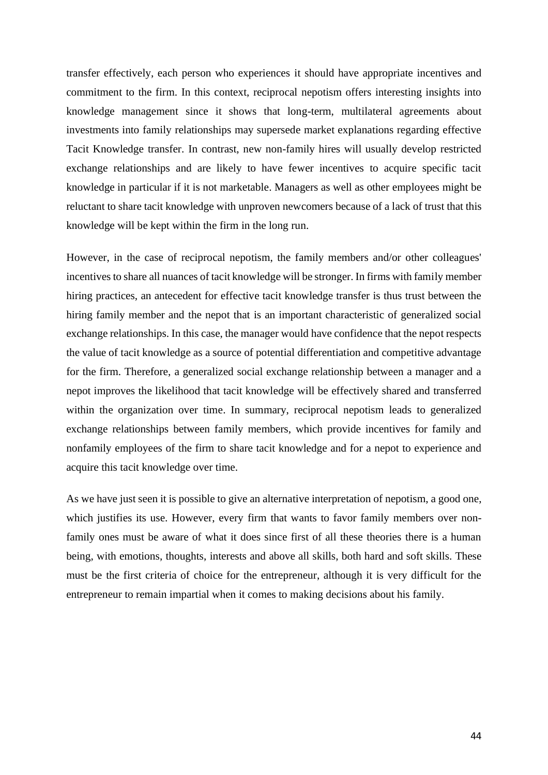transfer effectively, each person who experiences it should have appropriate incentives and commitment to the firm. In this context, reciprocal nepotism offers interesting insights into knowledge management since it shows that long-term, multilateral agreements about investments into family relationships may supersede market explanations regarding effective Tacit Knowledge transfer. In contrast, new non-family hires will usually develop restricted exchange relationships and are likely to have fewer incentives to acquire specific tacit knowledge in particular if it is not marketable. Managers as well as other employees might be reluctant to share tacit knowledge with unproven newcomers because of a lack of trust that this knowledge will be kept within the firm in the long run.

However, in the case of reciprocal nepotism, the family members and/or other colleagues' incentives to share all nuances of tacit knowledge will be stronger. In firms with family member hiring practices, an antecedent for effective tacit knowledge transfer is thus trust between the hiring family member and the nepot that is an important characteristic of generalized social exchange relationships. In this case, the manager would have confidence that the nepot respects the value of tacit knowledge as a source of potential differentiation and competitive advantage for the firm. Therefore, a generalized social exchange relationship between a manager and a nepot improves the likelihood that tacit knowledge will be effectively shared and transferred within the organization over time. In summary, reciprocal nepotism leads to generalized exchange relationships between family members, which provide incentives for family and nonfamily employees of the firm to share tacit knowledge and for a nepot to experience and acquire this tacit knowledge over time.

As we have just seen it is possible to give an alternative interpretation of nepotism, a good one, which justifies its use. However, every firm that wants to favor family members over nonfamily ones must be aware of what it does since first of all these theories there is a human being, with emotions, thoughts, interests and above all skills, both hard and soft skills. These must be the first criteria of choice for the entrepreneur, although it is very difficult for the entrepreneur to remain impartial when it comes to making decisions about his family.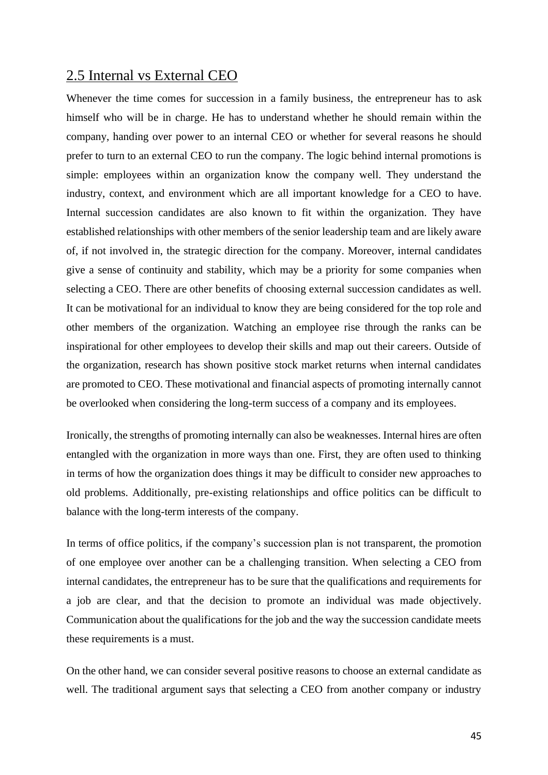#### 2.5 Internal vs External CEO

Whenever the time comes for succession in a family business, the entrepreneur has to ask himself who will be in charge. He has to understand whether he should remain within the company, handing over power to an internal CEO or whether for several reasons he should prefer to turn to an external CEO to run the company. The logic behind internal promotions is simple: employees within an organization know the company well. They understand the industry, context, and environment which are all important knowledge for a CEO to have. Internal succession candidates are also known to fit within the organization. They have established relationships with other members of the senior leadership team and are likely aware of, if not involved in, the strategic direction for the company. Moreover, internal candidates give a sense of continuity and stability, which may be a priority for some companies when selecting a CEO. There are other benefits of choosing external succession candidates as well. It can be motivational for an individual to know they are being considered for the top role and other members of the organization. Watching an employee rise through the ranks can be inspirational for other employees to develop their skills and map out their careers. Outside of the organization, research has shown positive stock market returns when internal candidates are promoted to CEO. These motivational and financial aspects of promoting internally cannot be overlooked when considering the long-term success of a company and its employees.

Ironically, the strengths of promoting internally can also be weaknesses. Internal hires are often entangled with the organization in more ways than one. First, they are often used to thinking in terms of how the organization does things it may be difficult to consider new approaches to old problems. Additionally, pre-existing relationships and office politics can be difficult to balance with the long-term interests of the company.

In terms of office politics, if the company's succession plan is not transparent, the promotion of one employee over another can be a challenging transition. When selecting a CEO from internal candidates, the entrepreneur has to be sure that the qualifications and requirements for a job are clear, and that the decision to promote an individual was made objectively. Communication about the qualifications for the job and the way the succession candidate meets these requirements is a must.

On the other hand, we can consider several positive reasons to choose an external candidate as well. The traditional argument says that selecting a CEO from another company or industry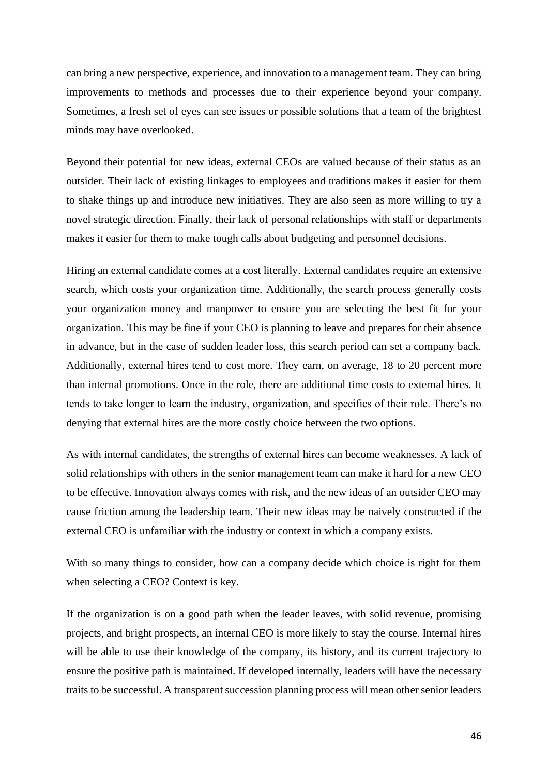can bring a new perspective, experience, and innovation to a management team. They can bring improvements to methods and processes due to their experience beyond your company. Sometimes, a fresh set of eyes can see issues or possible solutions that a team of the brightest minds may have overlooked.

Beyond their potential for new ideas, external CEOs are valued because of their status as an outsider. Their lack of existing linkages to employees and traditions makes it easier for them to shake things up and introduce new initiatives. They are also seen as more willing to try a novel strategic direction. Finally, their lack of personal relationships with staff or departments makes it easier for them to make tough calls about budgeting and personnel decisions.

Hiring an external candidate comes at a cost literally. External candidates require an extensive search, which costs your organization time. Additionally, the search process generally costs your organization money and manpower to ensure you are selecting the best fit for your organization. This may be fine if your CEO is planning to leave and prepares for their absence in advance, but in the case of sudden leader loss, this search period can set a company back. Additionally, external hires tend to cost more. They earn, on average, 18 to 20 percent more than internal promotions. Once in the role, there are additional time costs to external hires. It tends to take longer to learn the industry, organization, and specifics of their role. There's no denying that external hires are the more costly choice between the two options.

As with internal candidates, the strengths of external hires can become weaknesses. A lack of solid relationships with others in the senior management team can make it hard for a new CEO to be effective. Innovation always comes with risk, and the new ideas of an outsider CEO may cause friction among the leadership team. Their new ideas may be naively constructed if the external CEO is unfamiliar with the industry or context in which a company exists.

With so many things to consider, how can a company decide which choice is right for them when selecting a CEO? Context is key.

If the organization is on a good path when the leader leaves, with solid revenue, promising projects, and bright prospects, an internal CEO is more likely to stay the course. Internal hires will be able to use their knowledge of the company, its history, and its current trajectory to ensure the positive path is maintained. If developed internally, leaders will have the necessary traits to be successful. A transparent succession planning process will mean other senior leaders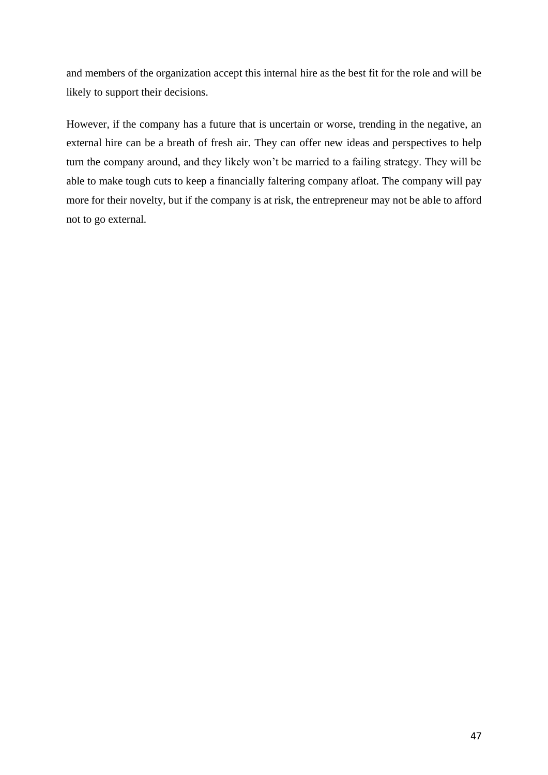and members of the organization accept this internal hire as the best fit for the role and will be likely to support their decisions.

However, if the company has a future that is uncertain or worse, trending in the negative, an external hire can be a breath of fresh air. They can offer new ideas and perspectives to help turn the company around, and they likely won't be married to a failing strategy. They will be able to make tough cuts to keep a financially faltering company afloat. The company will pay more for their novelty, but if the company is at risk, the entrepreneur may not be able to afford not to go external.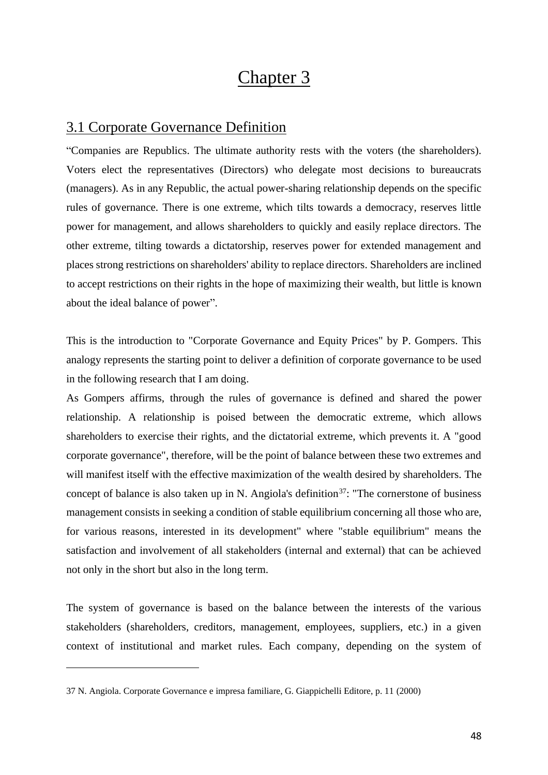# Chapter 3

### 3.1 Corporate Governance Definition

"Companies are Republics. The ultimate authority rests with the voters (the shareholders). Voters elect the representatives (Directors) who delegate most decisions to bureaucrats (managers). As in any Republic, the actual power-sharing relationship depends on the specific rules of governance. There is one extreme, which tilts towards a democracy, reserves little power for management, and allows shareholders to quickly and easily replace directors. The other extreme, tilting towards a dictatorship, reserves power for extended management and places strong restrictions on shareholders' ability to replace directors. Shareholders are inclined to accept restrictions on their rights in the hope of maximizing their wealth, but little is known about the ideal balance of power".

This is the introduction to "Corporate Governance and Equity Prices" by P. Gompers. This analogy represents the starting point to deliver a definition of corporate governance to be used in the following research that I am doing.

As Gompers affirms, through the rules of governance is defined and shared the power relationship. A relationship is poised between the democratic extreme, which allows shareholders to exercise their rights, and the dictatorial extreme, which prevents it. A "good corporate governance", therefore, will be the point of balance between these two extremes and will manifest itself with the effective maximization of the wealth desired by shareholders. The concept of balance is also taken up in N. Angiola's definition<sup>37</sup>: "The cornerstone of business management consists in seeking a condition of stable equilibrium concerning all those who are, for various reasons, interested in its development" where "stable equilibrium" means the satisfaction and involvement of all stakeholders (internal and external) that can be achieved not only in the short but also in the long term.

The system of governance is based on the balance between the interests of the various stakeholders (shareholders, creditors, management, employees, suppliers, etc.) in a given context of institutional and market rules. Each company, depending on the system of

<sup>37</sup> N. Angiola. Corporate Governance e impresa familiare, G. Giappichelli Editore, p. 11 (2000)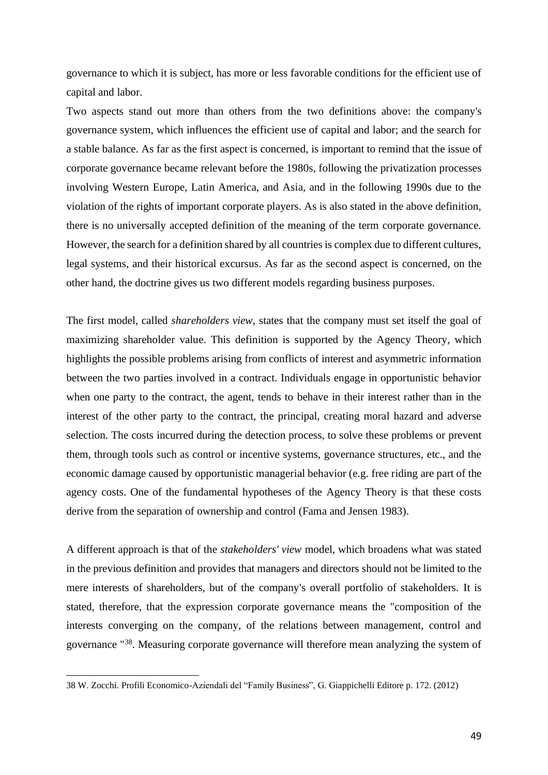governance to which it is subject, has more or less favorable conditions for the efficient use of capital and labor.

Two aspects stand out more than others from the two definitions above: the company's governance system, which influences the efficient use of capital and labor; and the search for a stable balance. As far as the first aspect is concerned, is important to remind that the issue of corporate governance became relevant before the 1980s, following the privatization processes involving Western Europe, Latin America, and Asia, and in the following 1990s due to the violation of the rights of important corporate players. As is also stated in the above definition, there is no universally accepted definition of the meaning of the term corporate governance. However, the search for a definition shared by all countries is complex due to different cultures, legal systems, and their historical excursus. As far as the second aspect is concerned, on the other hand, the doctrine gives us two different models regarding business purposes.

The first model, called *shareholders view*, states that the company must set itself the goal of maximizing shareholder value. This definition is supported by the Agency Theory, which highlights the possible problems arising from conflicts of interest and asymmetric information between the two parties involved in a contract. Individuals engage in opportunistic behavior when one party to the contract, the agent, tends to behave in their interest rather than in the interest of the other party to the contract, the principal, creating moral hazard and adverse selection. The costs incurred during the detection process, to solve these problems or prevent them, through tools such as control or incentive systems, governance structures, etc., and the economic damage caused by opportunistic managerial behavior (e.g. free riding are part of the agency costs. One of the fundamental hypotheses of the Agency Theory is that these costs derive from the separation of ownership and control (Fama and Jensen 1983).

A different approach is that of the *stakeholders' view* model, which broadens what was stated in the previous definition and provides that managers and directors should not be limited to the mere interests of shareholders, but of the company's overall portfolio of stakeholders. It is stated, therefore, that the expression corporate governance means the "composition of the interests converging on the company, of the relations between management, control and governance "<sup>38</sup>. Measuring corporate governance will therefore mean analyzing the system of

<sup>38</sup> W. Zocchi. Profili Economico-Aziendali del "Family Business", G. Giappichelli Editore p. 172. (2012)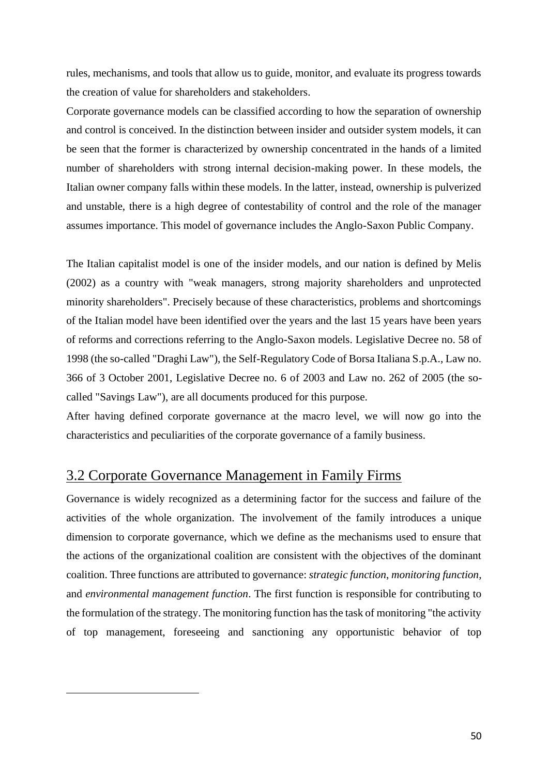rules, mechanisms, and tools that allow us to guide, monitor, and evaluate its progress towards the creation of value for shareholders and stakeholders.

Corporate governance models can be classified according to how the separation of ownership and control is conceived. In the distinction between insider and outsider system models, it can be seen that the former is characterized by ownership concentrated in the hands of a limited number of shareholders with strong internal decision-making power. In these models, the Italian owner company falls within these models. In the latter, instead, ownership is pulverized and unstable, there is a high degree of contestability of control and the role of the manager assumes importance. This model of governance includes the Anglo-Saxon Public Company.

The Italian capitalist model is one of the insider models, and our nation is defined by Melis (2002) as a country with "weak managers, strong majority shareholders and unprotected minority shareholders". Precisely because of these characteristics, problems and shortcomings of the Italian model have been identified over the years and the last 15 years have been years of reforms and corrections referring to the Anglo-Saxon models. Legislative Decree no. 58 of 1998 (the so-called "Draghi Law"), the Self-Regulatory Code of Borsa Italiana S.p.A., Law no. 366 of 3 October 2001, Legislative Decree no. 6 of 2003 and Law no. 262 of 2005 (the socalled "Savings Law"), are all documents produced for this purpose.

After having defined corporate governance at the macro level, we will now go into the characteristics and peculiarities of the corporate governance of a family business.

#### 3.2 Corporate Governance Management in Family Firms

Governance is widely recognized as a determining factor for the success and failure of the activities of the whole organization. The involvement of the family introduces a unique dimension to corporate governance, which we define as the mechanisms used to ensure that the actions of the organizational coalition are consistent with the objectives of the dominant coalition. Three functions are attributed to governance: *strategic function*, *monitoring function*, and *environmental management function*. The first function is responsible for contributing to the formulation of the strategy. The monitoring function has the task of monitoring "the activity of top management, foreseeing and sanctioning any opportunistic behavior of top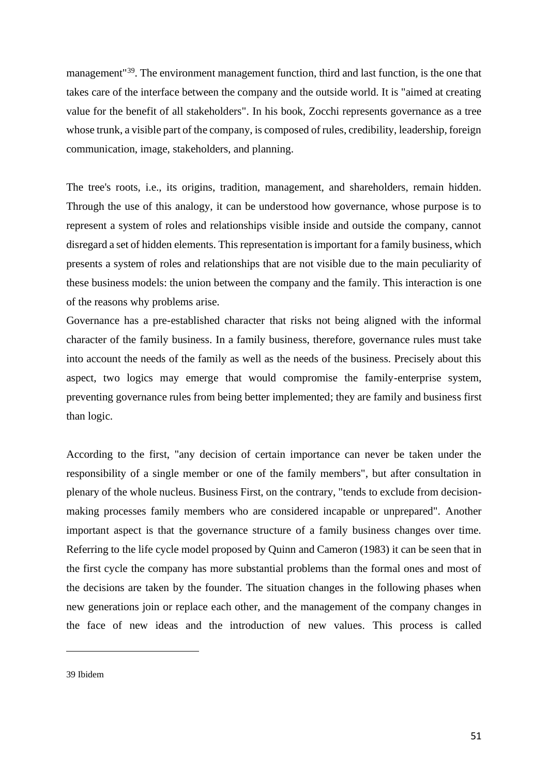management<sup>"39</sup>. The environment management function, third and last function, is the one that takes care of the interface between the company and the outside world. It is "aimed at creating value for the benefit of all stakeholders". In his book, Zocchi represents governance as a tree whose trunk, a visible part of the company, is composed of rules, credibility, leadership, foreign communication, image, stakeholders, and planning.

The tree's roots, i.e., its origins, tradition, management, and shareholders, remain hidden. Through the use of this analogy, it can be understood how governance, whose purpose is to represent a system of roles and relationships visible inside and outside the company, cannot disregard a set of hidden elements. This representation is important for a family business, which presents a system of roles and relationships that are not visible due to the main peculiarity of these business models: the union between the company and the family. This interaction is one of the reasons why problems arise.

Governance has a pre-established character that risks not being aligned with the informal character of the family business. In a family business, therefore, governance rules must take into account the needs of the family as well as the needs of the business. Precisely about this aspect, two logics may emerge that would compromise the family-enterprise system, preventing governance rules from being better implemented; they are family and business first than logic.

According to the first, "any decision of certain importance can never be taken under the responsibility of a single member or one of the family members", but after consultation in plenary of the whole nucleus. Business First, on the contrary, "tends to exclude from decisionmaking processes family members who are considered incapable or unprepared". Another important aspect is that the governance structure of a family business changes over time. Referring to the life cycle model proposed by Quinn and Cameron (1983) it can be seen that in the first cycle the company has more substantial problems than the formal ones and most of the decisions are taken by the founder. The situation changes in the following phases when new generations join or replace each other, and the management of the company changes in the face of new ideas and the introduction of new values. This process is called

<sup>39</sup> Ibidem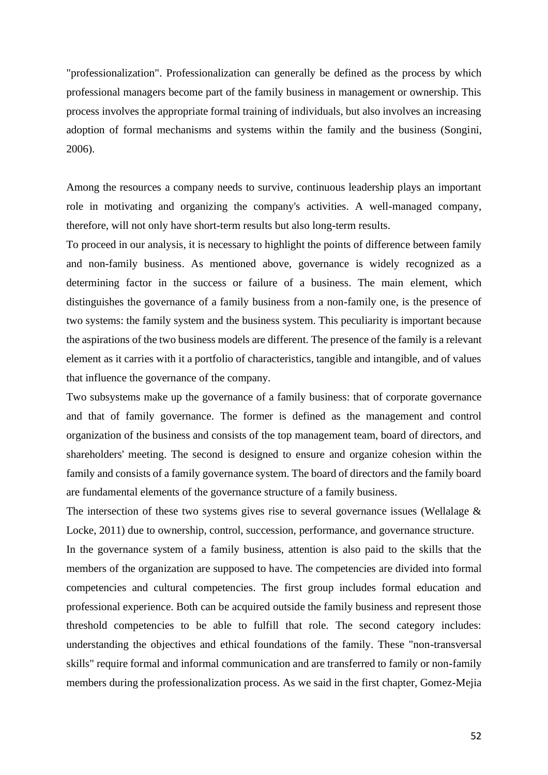"professionalization". Professionalization can generally be defined as the process by which professional managers become part of the family business in management or ownership. This process involves the appropriate formal training of individuals, but also involves an increasing adoption of formal mechanisms and systems within the family and the business (Songini, 2006).

Among the resources a company needs to survive, continuous leadership plays an important role in motivating and organizing the company's activities. A well-managed company, therefore, will not only have short-term results but also long-term results.

To proceed in our analysis, it is necessary to highlight the points of difference between family and non-family business. As mentioned above, governance is widely recognized as a determining factor in the success or failure of a business. The main element, which distinguishes the governance of a family business from a non-family one, is the presence of two systems: the family system and the business system. This peculiarity is important because the aspirations of the two business models are different. The presence of the family is a relevant element as it carries with it a portfolio of characteristics, tangible and intangible, and of values that influence the governance of the company.

Two subsystems make up the governance of a family business: that of corporate governance and that of family governance. The former is defined as the management and control organization of the business and consists of the top management team, board of directors, and shareholders' meeting. The second is designed to ensure and organize cohesion within the family and consists of a family governance system. The board of directors and the family board are fundamental elements of the governance structure of a family business.

The intersection of these two systems gives rise to several governance issues (Wellalage & Locke, 2011) due to ownership, control, succession, performance, and governance structure. In the governance system of a family business, attention is also paid to the skills that the members of the organization are supposed to have. The competencies are divided into formal competencies and cultural competencies. The first group includes formal education and professional experience. Both can be acquired outside the family business and represent those threshold competencies to be able to fulfill that role. The second category includes: understanding the objectives and ethical foundations of the family. These "non-transversal skills" require formal and informal communication and are transferred to family or non-family members during the professionalization process. As we said in the first chapter, Gomez-Mejia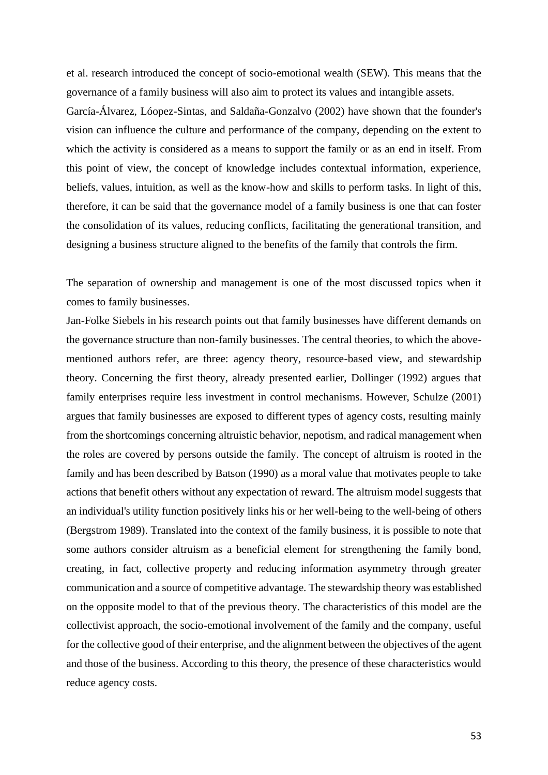et al. research introduced the concept of socio-emotional wealth (SEW). This means that the governance of a family business will also aim to protect its values and intangible assets.

García-Álvarez, Lóopez-Sintas, and Saldaña-Gonzalvo (2002) have shown that the founder's vision can influence the culture and performance of the company, depending on the extent to which the activity is considered as a means to support the family or as an end in itself. From this point of view, the concept of knowledge includes contextual information, experience, beliefs, values, intuition, as well as the know-how and skills to perform tasks. In light of this, therefore, it can be said that the governance model of a family business is one that can foster the consolidation of its values, reducing conflicts, facilitating the generational transition, and designing a business structure aligned to the benefits of the family that controls the firm.

The separation of ownership and management is one of the most discussed topics when it comes to family businesses.

Jan-Folke Siebels in his research points out that family businesses have different demands on the governance structure than non-family businesses. The central theories, to which the abovementioned authors refer, are three: agency theory, resource-based view, and stewardship theory. Concerning the first theory, already presented earlier, Dollinger (1992) argues that family enterprises require less investment in control mechanisms. However, Schulze (2001) argues that family businesses are exposed to different types of agency costs, resulting mainly from the shortcomings concerning altruistic behavior, nepotism, and radical management when the roles are covered by persons outside the family. The concept of altruism is rooted in the family and has been described by Batson (1990) as a moral value that motivates people to take actions that benefit others without any expectation of reward. The altruism model suggests that an individual's utility function positively links his or her well-being to the well-being of others (Bergstrom 1989). Translated into the context of the family business, it is possible to note that some authors consider altruism as a beneficial element for strengthening the family bond, creating, in fact, collective property and reducing information asymmetry through greater communication and a source of competitive advantage. The stewardship theory was established on the opposite model to that of the previous theory. The characteristics of this model are the collectivist approach, the socio-emotional involvement of the family and the company, useful for the collective good of their enterprise, and the alignment between the objectives of the agent and those of the business. According to this theory, the presence of these characteristics would reduce agency costs.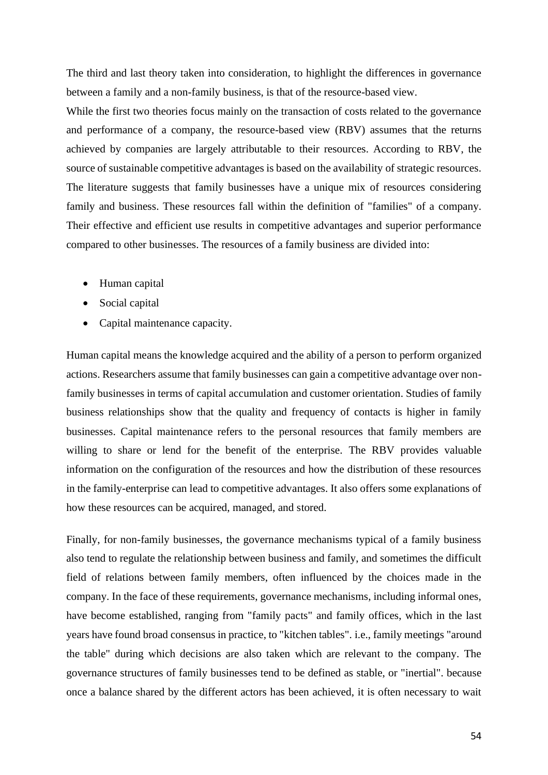The third and last theory taken into consideration, to highlight the differences in governance between a family and a non-family business, is that of the resource-based view.

While the first two theories focus mainly on the transaction of costs related to the governance and performance of a company, the resource-based view (RBV) assumes that the returns achieved by companies are largely attributable to their resources. According to RBV, the source of sustainable competitive advantages is based on the availability of strategic resources. The literature suggests that family businesses have a unique mix of resources considering family and business. These resources fall within the definition of "families" of a company. Their effective and efficient use results in competitive advantages and superior performance compared to other businesses. The resources of a family business are divided into:

- Human capital
- Social capital
- Capital maintenance capacity.

Human capital means the knowledge acquired and the ability of a person to perform organized actions. Researchers assume that family businesses can gain a competitive advantage over nonfamily businesses in terms of capital accumulation and customer orientation. Studies of family business relationships show that the quality and frequency of contacts is higher in family businesses. Capital maintenance refers to the personal resources that family members are willing to share or lend for the benefit of the enterprise. The RBV provides valuable information on the configuration of the resources and how the distribution of these resources in the family-enterprise can lead to competitive advantages. It also offers some explanations of how these resources can be acquired, managed, and stored.

Finally, for non-family businesses, the governance mechanisms typical of a family business also tend to regulate the relationship between business and family, and sometimes the difficult field of relations between family members, often influenced by the choices made in the company. In the face of these requirements, governance mechanisms, including informal ones, have become established, ranging from "family pacts" and family offices, which in the last years have found broad consensus in practice, to "kitchen tables". i.e., family meetings "around the table" during which decisions are also taken which are relevant to the company. The governance structures of family businesses tend to be defined as stable, or "inertial". because once a balance shared by the different actors has been achieved, it is often necessary to wait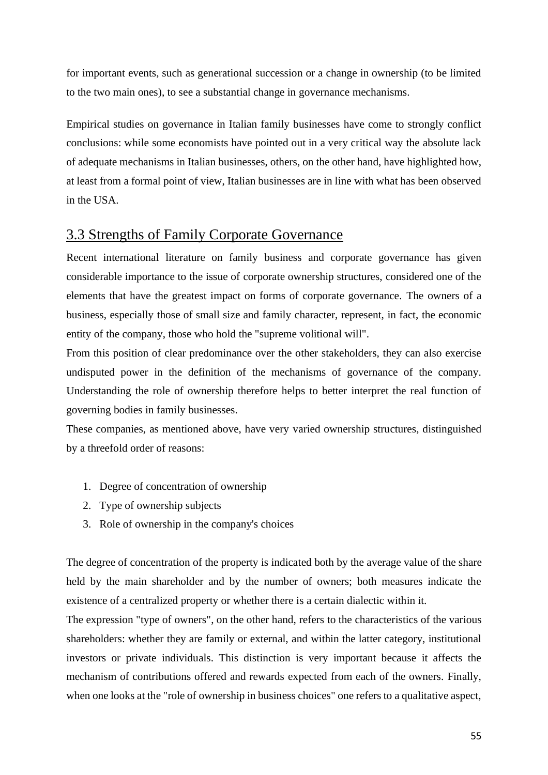for important events, such as generational succession or a change in ownership (to be limited to the two main ones), to see a substantial change in governance mechanisms.

Empirical studies on governance in Italian family businesses have come to strongly conflict conclusions: while some economists have pointed out in a very critical way the absolute lack of adequate mechanisms in Italian businesses, others, on the other hand, have highlighted how, at least from a formal point of view, Italian businesses are in line with what has been observed in the USA.

## 3.3 Strengths of Family Corporate Governance

Recent international literature on family business and corporate governance has given considerable importance to the issue of corporate ownership structures, considered one of the elements that have the greatest impact on forms of corporate governance. The owners of a business, especially those of small size and family character, represent, in fact, the economic entity of the company, those who hold the "supreme volitional will".

From this position of clear predominance over the other stakeholders, they can also exercise undisputed power in the definition of the mechanisms of governance of the company. Understanding the role of ownership therefore helps to better interpret the real function of governing bodies in family businesses.

These companies, as mentioned above, have very varied ownership structures, distinguished by a threefold order of reasons:

- 1. Degree of concentration of ownership
- 2. Type of ownership subjects
- 3. Role of ownership in the company's choices

The degree of concentration of the property is indicated both by the average value of the share held by the main shareholder and by the number of owners; both measures indicate the existence of a centralized property or whether there is a certain dialectic within it.

The expression "type of owners", on the other hand, refers to the characteristics of the various shareholders: whether they are family or external, and within the latter category, institutional investors or private individuals. This distinction is very important because it affects the mechanism of contributions offered and rewards expected from each of the owners. Finally, when one looks at the "role of ownership in business choices" one refers to a qualitative aspect,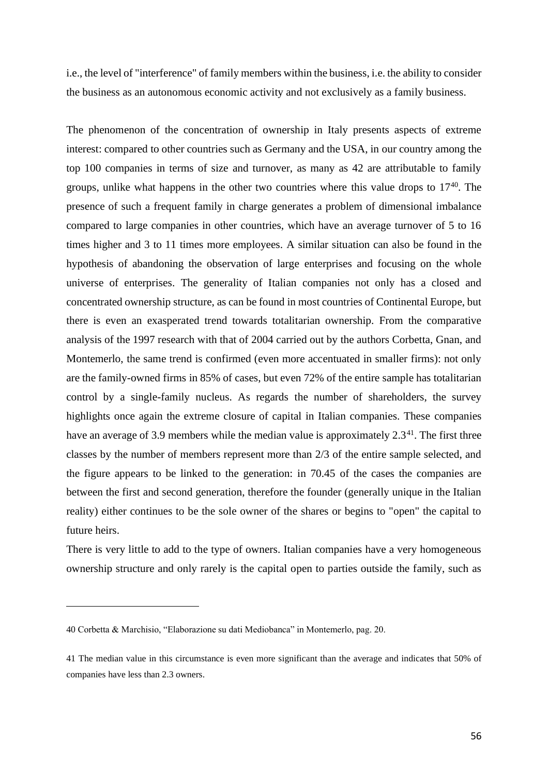i.e., the level of "interference" of family members within the business, i.e. the ability to consider the business as an autonomous economic activity and not exclusively as a family business.

The phenomenon of the concentration of ownership in Italy presents aspects of extreme interest: compared to other countries such as Germany and the USA, in our country among the top 100 companies in terms of size and turnover, as many as 42 are attributable to family groups, unlike what happens in the other two countries where this value drops to  $17^{40}$ . The presence of such a frequent family in charge generates a problem of dimensional imbalance compared to large companies in other countries, which have an average turnover of 5 to 16 times higher and 3 to 11 times more employees. A similar situation can also be found in the hypothesis of abandoning the observation of large enterprises and focusing on the whole universe of enterprises. The generality of Italian companies not only has a closed and concentrated ownership structure, as can be found in most countries of Continental Europe, but there is even an exasperated trend towards totalitarian ownership. From the comparative analysis of the 1997 research with that of 2004 carried out by the authors Corbetta, Gnan, and Montemerlo, the same trend is confirmed (even more accentuated in smaller firms): not only are the family-owned firms in 85% of cases, but even 72% of the entire sample has totalitarian control by a single-family nucleus. As regards the number of shareholders, the survey highlights once again the extreme closure of capital in Italian companies. These companies have an average of 3.9 members while the median value is approximately 2.3<sup>41</sup>. The first three classes by the number of members represent more than 2/3 of the entire sample selected, and the figure appears to be linked to the generation: in 70.45 of the cases the companies are between the first and second generation, therefore the founder (generally unique in the Italian reality) either continues to be the sole owner of the shares or begins to "open" the capital to future heirs.

There is very little to add to the type of owners. Italian companies have a very homogeneous ownership structure and only rarely is the capital open to parties outside the family, such as

<sup>40</sup> Corbetta & Marchisio, "Elaborazione su dati Mediobanca" in Montemerlo, pag. 20.

<sup>41</sup> The median value in this circumstance is even more significant than the average and indicates that 50% of companies have less than 2.3 owners.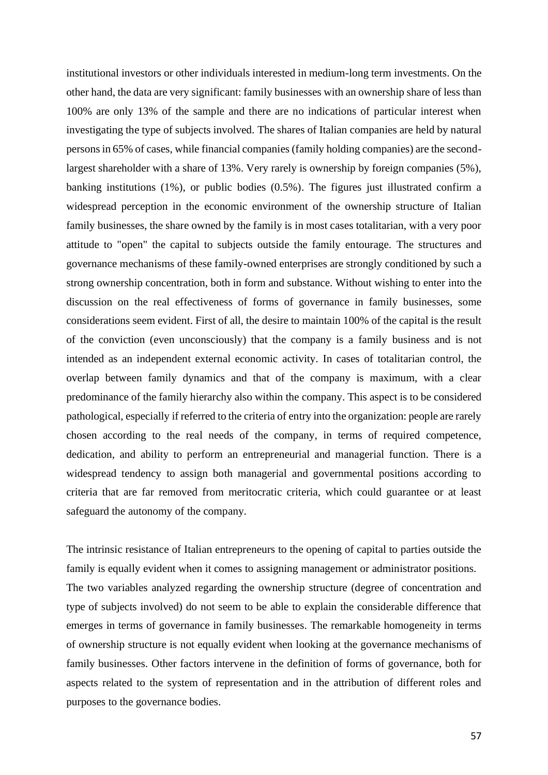institutional investors or other individuals interested in medium-long term investments. On the other hand, the data are very significant: family businesses with an ownership share of less than 100% are only 13% of the sample and there are no indications of particular interest when investigating the type of subjects involved. The shares of Italian companies are held by natural persons in 65% of cases, while financial companies (family holding companies) are the secondlargest shareholder with a share of 13%. Very rarely is ownership by foreign companies (5%), banking institutions (1%), or public bodies (0.5%). The figures just illustrated confirm a widespread perception in the economic environment of the ownership structure of Italian family businesses, the share owned by the family is in most cases totalitarian, with a very poor attitude to "open" the capital to subjects outside the family entourage. The structures and governance mechanisms of these family-owned enterprises are strongly conditioned by such a strong ownership concentration, both in form and substance. Without wishing to enter into the discussion on the real effectiveness of forms of governance in family businesses, some considerations seem evident. First of all, the desire to maintain 100% of the capital is the result of the conviction (even unconsciously) that the company is a family business and is not intended as an independent external economic activity. In cases of totalitarian control, the overlap between family dynamics and that of the company is maximum, with a clear predominance of the family hierarchy also within the company. This aspect is to be considered pathological, especially if referred to the criteria of entry into the organization: people are rarely chosen according to the real needs of the company, in terms of required competence, dedication, and ability to perform an entrepreneurial and managerial function. There is a widespread tendency to assign both managerial and governmental positions according to criteria that are far removed from meritocratic criteria, which could guarantee or at least safeguard the autonomy of the company.

The intrinsic resistance of Italian entrepreneurs to the opening of capital to parties outside the family is equally evident when it comes to assigning management or administrator positions. The two variables analyzed regarding the ownership structure (degree of concentration and type of subjects involved) do not seem to be able to explain the considerable difference that emerges in terms of governance in family businesses. The remarkable homogeneity in terms of ownership structure is not equally evident when looking at the governance mechanisms of family businesses. Other factors intervene in the definition of forms of governance, both for aspects related to the system of representation and in the attribution of different roles and purposes to the governance bodies.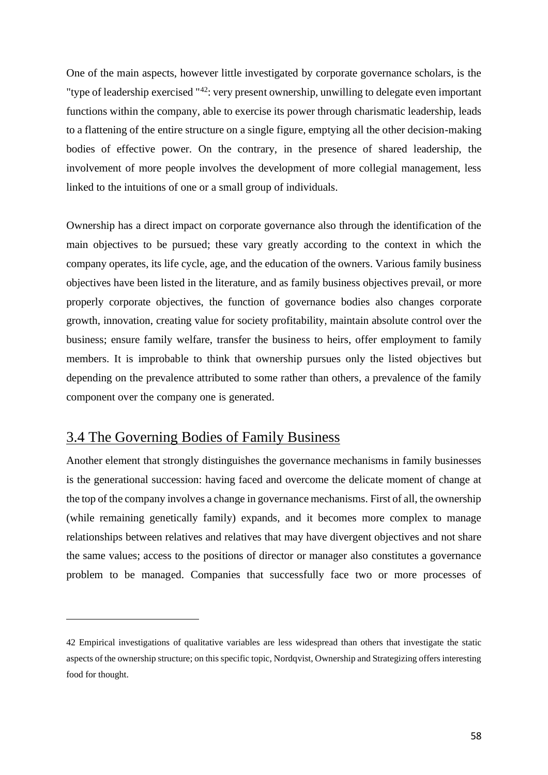One of the main aspects, however little investigated by corporate governance scholars, is the "type of leadership exercised "<sup>42</sup>: very present ownership, unwilling to delegate even important functions within the company, able to exercise its power through charismatic leadership, leads to a flattening of the entire structure on a single figure, emptying all the other decision-making bodies of effective power. On the contrary, in the presence of shared leadership, the involvement of more people involves the development of more collegial management, less linked to the intuitions of one or a small group of individuals.

Ownership has a direct impact on corporate governance also through the identification of the main objectives to be pursued; these vary greatly according to the context in which the company operates, its life cycle, age, and the education of the owners. Various family business objectives have been listed in the literature, and as family business objectives prevail, or more properly corporate objectives, the function of governance bodies also changes corporate growth, innovation, creating value for society profitability, maintain absolute control over the business; ensure family welfare, transfer the business to heirs, offer employment to family members. It is improbable to think that ownership pursues only the listed objectives but depending on the prevalence attributed to some rather than others, a prevalence of the family component over the company one is generated.

### 3.4 The Governing Bodies of Family Business

Another element that strongly distinguishes the governance mechanisms in family businesses is the generational succession: having faced and overcome the delicate moment of change at the top of the company involves a change in governance mechanisms. First of all, the ownership (while remaining genetically family) expands, and it becomes more complex to manage relationships between relatives and relatives that may have divergent objectives and not share the same values; access to the positions of director or manager also constitutes a governance problem to be managed. Companies that successfully face two or more processes of

<sup>42</sup> Empirical investigations of qualitative variables are less widespread than others that investigate the static aspects of the ownership structure; on this specific topic, Nordqvist, Ownership and Strategizing offers interesting food for thought.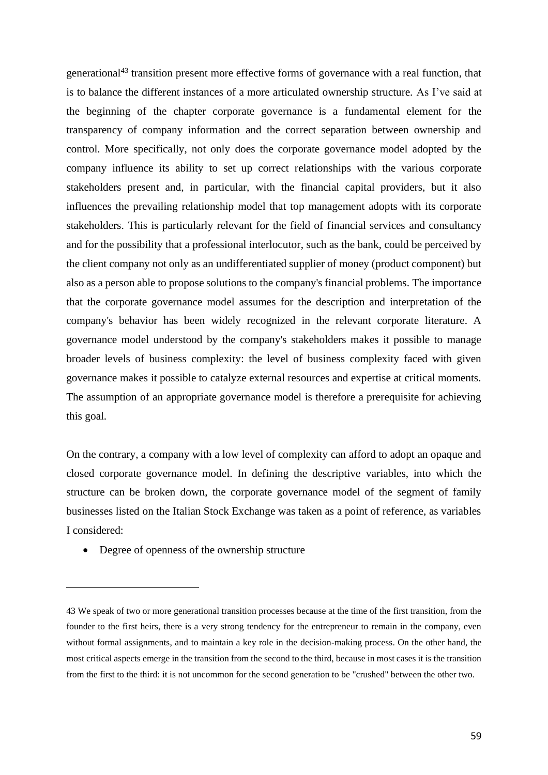generational<sup>43</sup> transition present more effective forms of governance with a real function, that is to balance the different instances of a more articulated ownership structure. As I've said at the beginning of the chapter corporate governance is a fundamental element for the transparency of company information and the correct separation between ownership and control. More specifically, not only does the corporate governance model adopted by the company influence its ability to set up correct relationships with the various corporate stakeholders present and, in particular, with the financial capital providers, but it also influences the prevailing relationship model that top management adopts with its corporate stakeholders. This is particularly relevant for the field of financial services and consultancy and for the possibility that a professional interlocutor, such as the bank, could be perceived by the client company not only as an undifferentiated supplier of money (product component) but also as a person able to propose solutions to the company's financial problems. The importance that the corporate governance model assumes for the description and interpretation of the company's behavior has been widely recognized in the relevant corporate literature. A governance model understood by the company's stakeholders makes it possible to manage broader levels of business complexity: the level of business complexity faced with given governance makes it possible to catalyze external resources and expertise at critical moments. The assumption of an appropriate governance model is therefore a prerequisite for achieving this goal.

On the contrary, a company with a low level of complexity can afford to adopt an opaque and closed corporate governance model. In defining the descriptive variables, into which the structure can be broken down, the corporate governance model of the segment of family businesses listed on the Italian Stock Exchange was taken as a point of reference, as variables I considered:

• Degree of openness of the ownership structure

<sup>43</sup> We speak of two or more generational transition processes because at the time of the first transition, from the founder to the first heirs, there is a very strong tendency for the entrepreneur to remain in the company, even without formal assignments, and to maintain a key role in the decision-making process. On the other hand, the most critical aspects emerge in the transition from the second to the third, because in most cases it is the transition from the first to the third: it is not uncommon for the second generation to be "crushed" between the other two.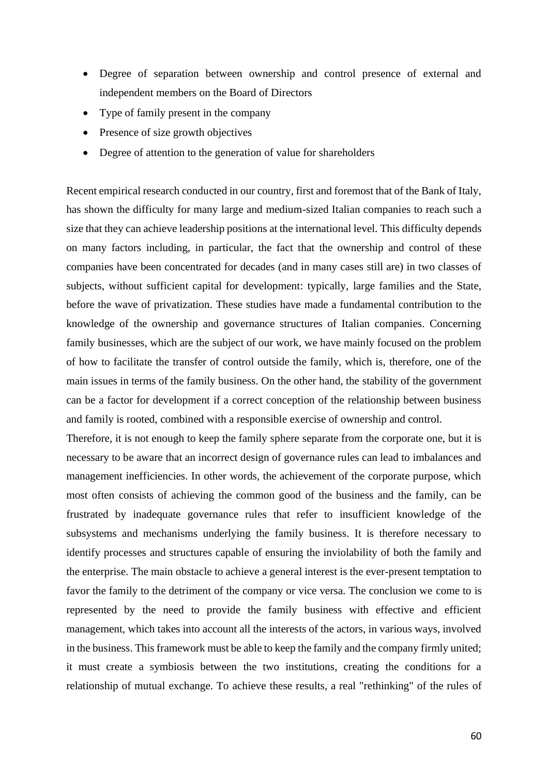- Degree of separation between ownership and control presence of external and independent members on the Board of Directors
- Type of family present in the company
- Presence of size growth objectives
- Degree of attention to the generation of value for shareholders

Recent empirical research conducted in our country, first and foremost that of the Bank of Italy, has shown the difficulty for many large and medium-sized Italian companies to reach such a size that they can achieve leadership positions at the international level. This difficulty depends on many factors including, in particular, the fact that the ownership and control of these companies have been concentrated for decades (and in many cases still are) in two classes of subjects, without sufficient capital for development: typically, large families and the State, before the wave of privatization. These studies have made a fundamental contribution to the knowledge of the ownership and governance structures of Italian companies. Concerning family businesses, which are the subject of our work, we have mainly focused on the problem of how to facilitate the transfer of control outside the family, which is, therefore, one of the main issues in terms of the family business. On the other hand, the stability of the government can be a factor for development if a correct conception of the relationship between business and family is rooted, combined with a responsible exercise of ownership and control.

Therefore, it is not enough to keep the family sphere separate from the corporate one, but it is necessary to be aware that an incorrect design of governance rules can lead to imbalances and management inefficiencies. In other words, the achievement of the corporate purpose, which most often consists of achieving the common good of the business and the family, can be frustrated by inadequate governance rules that refer to insufficient knowledge of the subsystems and mechanisms underlying the family business. It is therefore necessary to identify processes and structures capable of ensuring the inviolability of both the family and the enterprise. The main obstacle to achieve a general interest is the ever-present temptation to favor the family to the detriment of the company or vice versa. The conclusion we come to is represented by the need to provide the family business with effective and efficient management, which takes into account all the interests of the actors, in various ways, involved in the business. This framework must be able to keep the family and the company firmly united; it must create a symbiosis between the two institutions, creating the conditions for a relationship of mutual exchange. To achieve these results, a real "rethinking" of the rules of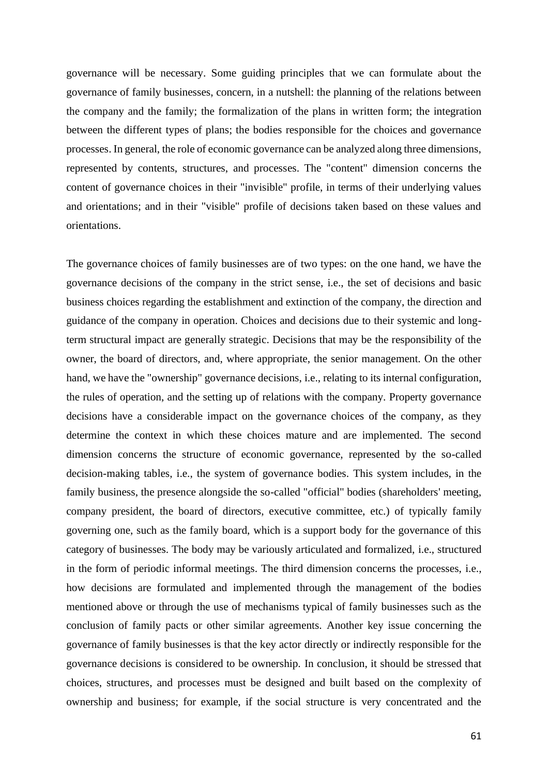governance will be necessary. Some guiding principles that we can formulate about the governance of family businesses, concern, in a nutshell: the planning of the relations between the company and the family; the formalization of the plans in written form; the integration between the different types of plans; the bodies responsible for the choices and governance processes. In general, the role of economic governance can be analyzed along three dimensions, represented by contents, structures, and processes. The "content" dimension concerns the content of governance choices in their "invisible" profile, in terms of their underlying values and orientations; and in their "visible" profile of decisions taken based on these values and orientations.

The governance choices of family businesses are of two types: on the one hand, we have the governance decisions of the company in the strict sense, i.e., the set of decisions and basic business choices regarding the establishment and extinction of the company, the direction and guidance of the company in operation. Choices and decisions due to their systemic and longterm structural impact are generally strategic. Decisions that may be the responsibility of the owner, the board of directors, and, where appropriate, the senior management. On the other hand, we have the "ownership" governance decisions, i.e., relating to its internal configuration, the rules of operation, and the setting up of relations with the company. Property governance decisions have a considerable impact on the governance choices of the company, as they determine the context in which these choices mature and are implemented. The second dimension concerns the structure of economic governance, represented by the so-called decision-making tables, i.e., the system of governance bodies. This system includes, in the family business, the presence alongside the so-called "official" bodies (shareholders' meeting, company president, the board of directors, executive committee, etc.) of typically family governing one, such as the family board, which is a support body for the governance of this category of businesses. The body may be variously articulated and formalized, i.e., structured in the form of periodic informal meetings. The third dimension concerns the processes, i.e., how decisions are formulated and implemented through the management of the bodies mentioned above or through the use of mechanisms typical of family businesses such as the conclusion of family pacts or other similar agreements. Another key issue concerning the governance of family businesses is that the key actor directly or indirectly responsible for the governance decisions is considered to be ownership. In conclusion, it should be stressed that choices, structures, and processes must be designed and built based on the complexity of ownership and business; for example, if the social structure is very concentrated and the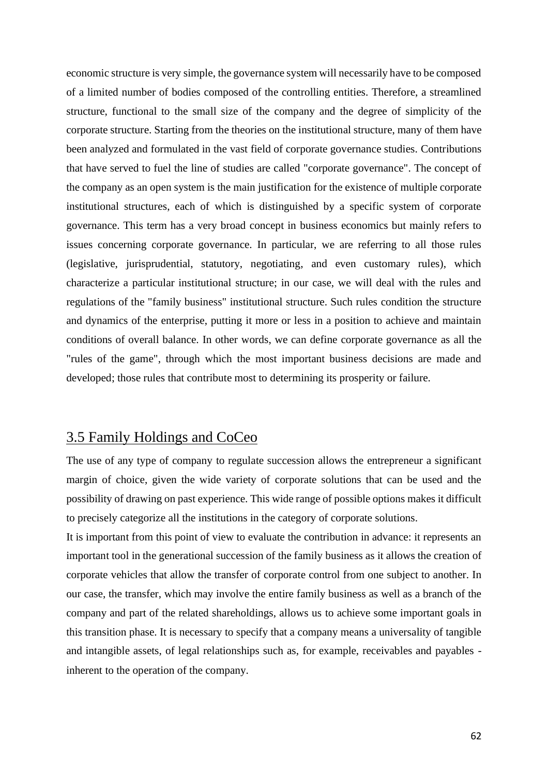economic structure is very simple, the governance system will necessarily have to be composed of a limited number of bodies composed of the controlling entities. Therefore, a streamlined structure, functional to the small size of the company and the degree of simplicity of the corporate structure. Starting from the theories on the institutional structure, many of them have been analyzed and formulated in the vast field of corporate governance studies. Contributions that have served to fuel the line of studies are called "corporate governance". The concept of the company as an open system is the main justification for the existence of multiple corporate institutional structures, each of which is distinguished by a specific system of corporate governance. This term has a very broad concept in business economics but mainly refers to issues concerning corporate governance. In particular, we are referring to all those rules (legislative, jurisprudential, statutory, negotiating, and even customary rules), which characterize a particular institutional structure; in our case, we will deal with the rules and regulations of the "family business" institutional structure. Such rules condition the structure and dynamics of the enterprise, putting it more or less in a position to achieve and maintain conditions of overall balance. In other words, we can define corporate governance as all the "rules of the game", through which the most important business decisions are made and developed; those rules that contribute most to determining its prosperity or failure.

#### 3.5 Family Holdings and CoCeo

The use of any type of company to regulate succession allows the entrepreneur a significant margin of choice, given the wide variety of corporate solutions that can be used and the possibility of drawing on past experience. This wide range of possible options makes it difficult to precisely categorize all the institutions in the category of corporate solutions.

It is important from this point of view to evaluate the contribution in advance: it represents an important tool in the generational succession of the family business as it allows the creation of corporate vehicles that allow the transfer of corporate control from one subject to another. In our case, the transfer, which may involve the entire family business as well as a branch of the company and part of the related shareholdings, allows us to achieve some important goals in this transition phase. It is necessary to specify that a company means a universality of tangible and intangible assets, of legal relationships such as, for example, receivables and payables inherent to the operation of the company.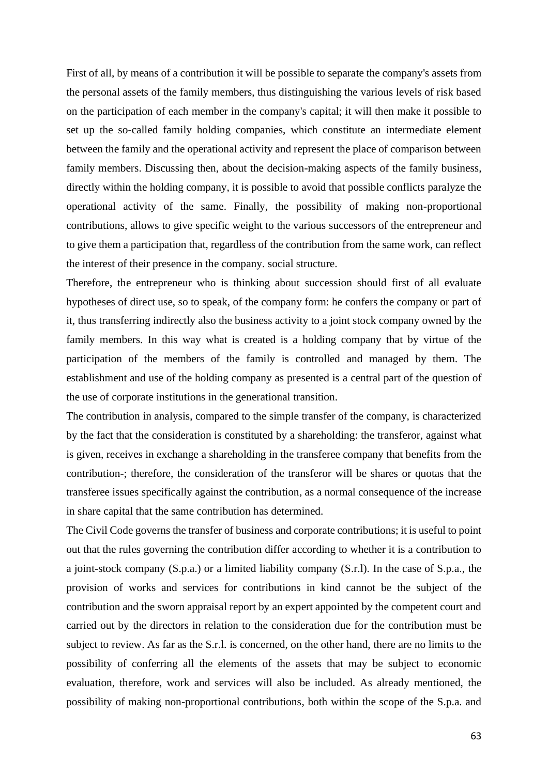First of all, by means of a contribution it will be possible to separate the company's assets from the personal assets of the family members, thus distinguishing the various levels of risk based on the participation of each member in the company's capital; it will then make it possible to set up the so-called family holding companies, which constitute an intermediate element between the family and the operational activity and represent the place of comparison between family members. Discussing then, about the decision-making aspects of the family business, directly within the holding company, it is possible to avoid that possible conflicts paralyze the operational activity of the same. Finally, the possibility of making non-proportional contributions, allows to give specific weight to the various successors of the entrepreneur and to give them a participation that, regardless of the contribution from the same work, can reflect the interest of their presence in the company. social structure.

Therefore, the entrepreneur who is thinking about succession should first of all evaluate hypotheses of direct use, so to speak, of the company form: he confers the company or part of it, thus transferring indirectly also the business activity to a joint stock company owned by the family members. In this way what is created is a holding company that by virtue of the participation of the members of the family is controlled and managed by them. The establishment and use of the holding company as presented is a central part of the question of the use of corporate institutions in the generational transition.

The contribution in analysis, compared to the simple transfer of the company, is characterized by the fact that the consideration is constituted by a shareholding: the transferor, against what is given, receives in exchange a shareholding in the transferee company that benefits from the contribution-; therefore, the consideration of the transferor will be shares or quotas that the transferee issues specifically against the contribution, as a normal consequence of the increase in share capital that the same contribution has determined.

The Civil Code governs the transfer of business and corporate contributions; it is useful to point out that the rules governing the contribution differ according to whether it is a contribution to a joint-stock company (S.p.a.) or a limited liability company (S.r.l). In the case of S.p.a., the provision of works and services for contributions in kind cannot be the subject of the contribution and the sworn appraisal report by an expert appointed by the competent court and carried out by the directors in relation to the consideration due for the contribution must be subject to review. As far as the S.r.l. is concerned, on the other hand, there are no limits to the possibility of conferring all the elements of the assets that may be subject to economic evaluation, therefore, work and services will also be included. As already mentioned, the possibility of making non-proportional contributions, both within the scope of the S.p.a. and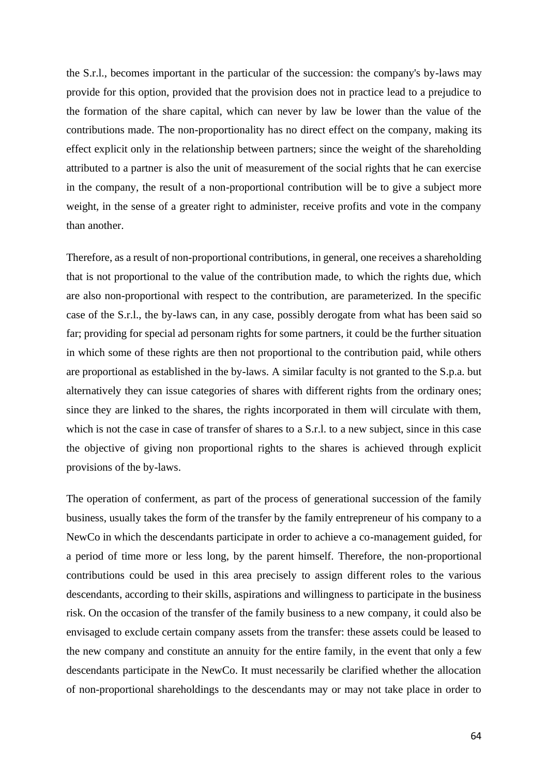the S.r.l., becomes important in the particular of the succession: the company's by-laws may provide for this option, provided that the provision does not in practice lead to a prejudice to the formation of the share capital, which can never by law be lower than the value of the contributions made. The non-proportionality has no direct effect on the company, making its effect explicit only in the relationship between partners; since the weight of the shareholding attributed to a partner is also the unit of measurement of the social rights that he can exercise in the company, the result of a non-proportional contribution will be to give a subject more weight, in the sense of a greater right to administer, receive profits and vote in the company than another.

Therefore, as a result of non-proportional contributions, in general, one receives a shareholding that is not proportional to the value of the contribution made, to which the rights due, which are also non-proportional with respect to the contribution, are parameterized. In the specific case of the S.r.l., the by-laws can, in any case, possibly derogate from what has been said so far; providing for special ad personam rights for some partners, it could be the further situation in which some of these rights are then not proportional to the contribution paid, while others are proportional as established in the by-laws. A similar faculty is not granted to the S.p.a. but alternatively they can issue categories of shares with different rights from the ordinary ones; since they are linked to the shares, the rights incorporated in them will circulate with them, which is not the case in case of transfer of shares to a S.r.l. to a new subject, since in this case the objective of giving non proportional rights to the shares is achieved through explicit provisions of the by-laws.

The operation of conferment, as part of the process of generational succession of the family business, usually takes the form of the transfer by the family entrepreneur of his company to a NewCo in which the descendants participate in order to achieve a co-management guided, for a period of time more or less long, by the parent himself. Therefore, the non-proportional contributions could be used in this area precisely to assign different roles to the various descendants, according to their skills, aspirations and willingness to participate in the business risk. On the occasion of the transfer of the family business to a new company, it could also be envisaged to exclude certain company assets from the transfer: these assets could be leased to the new company and constitute an annuity for the entire family, in the event that only a few descendants participate in the NewCo. It must necessarily be clarified whether the allocation of non-proportional shareholdings to the descendants may or may not take place in order to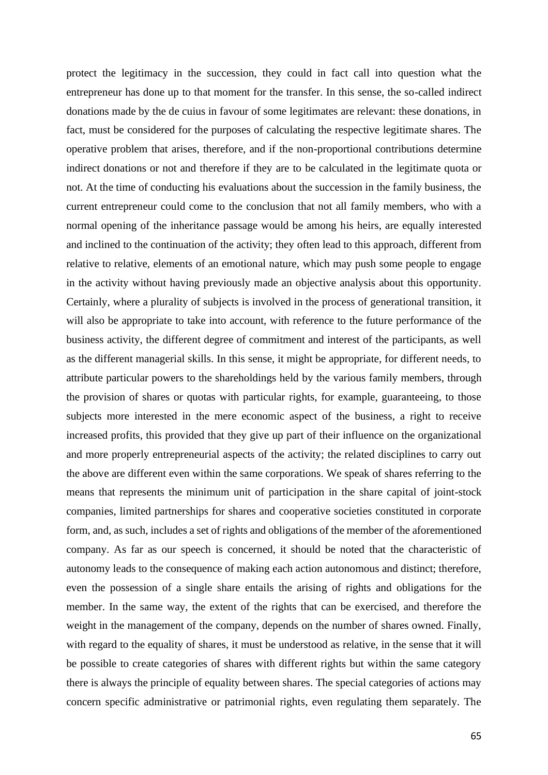protect the legitimacy in the succession, they could in fact call into question what the entrepreneur has done up to that moment for the transfer. In this sense, the so-called indirect donations made by the de cuius in favour of some legitimates are relevant: these donations, in fact, must be considered for the purposes of calculating the respective legitimate shares. The operative problem that arises, therefore, and if the non-proportional contributions determine indirect donations or not and therefore if they are to be calculated in the legitimate quota or not. At the time of conducting his evaluations about the succession in the family business, the current entrepreneur could come to the conclusion that not all family members, who with a normal opening of the inheritance passage would be among his heirs, are equally interested and inclined to the continuation of the activity; they often lead to this approach, different from relative to relative, elements of an emotional nature, which may push some people to engage in the activity without having previously made an objective analysis about this opportunity. Certainly, where a plurality of subjects is involved in the process of generational transition, it will also be appropriate to take into account, with reference to the future performance of the business activity, the different degree of commitment and interest of the participants, as well as the different managerial skills. In this sense, it might be appropriate, for different needs, to attribute particular powers to the shareholdings held by the various family members, through the provision of shares or quotas with particular rights, for example, guaranteeing, to those subjects more interested in the mere economic aspect of the business, a right to receive increased profits, this provided that they give up part of their influence on the organizational and more properly entrepreneurial aspects of the activity; the related disciplines to carry out the above are different even within the same corporations. We speak of shares referring to the means that represents the minimum unit of participation in the share capital of joint-stock companies, limited partnerships for shares and cooperative societies constituted in corporate form, and, as such, includes a set of rights and obligations of the member of the aforementioned company. As far as our speech is concerned, it should be noted that the characteristic of autonomy leads to the consequence of making each action autonomous and distinct; therefore, even the possession of a single share entails the arising of rights and obligations for the member. In the same way, the extent of the rights that can be exercised, and therefore the weight in the management of the company, depends on the number of shares owned. Finally, with regard to the equality of shares, it must be understood as relative, in the sense that it will be possible to create categories of shares with different rights but within the same category there is always the principle of equality between shares. The special categories of actions may concern specific administrative or patrimonial rights, even regulating them separately. The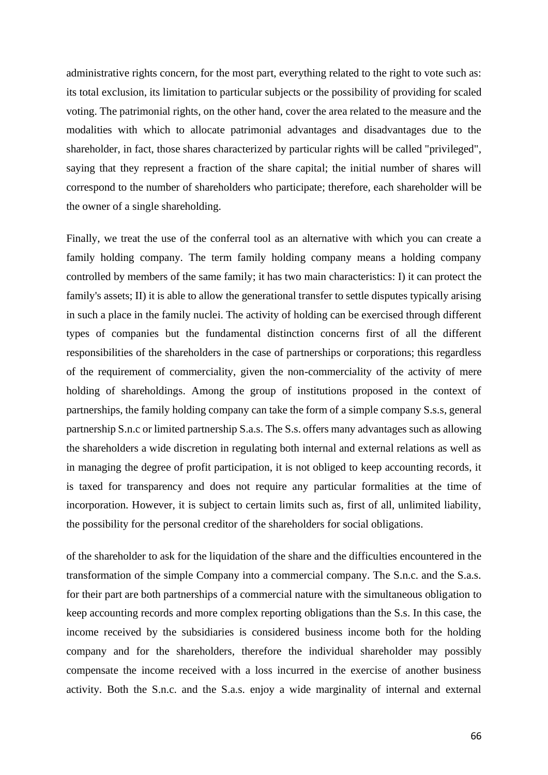administrative rights concern, for the most part, everything related to the right to vote such as: its total exclusion, its limitation to particular subjects or the possibility of providing for scaled voting. The patrimonial rights, on the other hand, cover the area related to the measure and the modalities with which to allocate patrimonial advantages and disadvantages due to the shareholder, in fact, those shares characterized by particular rights will be called "privileged", saying that they represent a fraction of the share capital; the initial number of shares will correspond to the number of shareholders who participate; therefore, each shareholder will be the owner of a single shareholding.

Finally, we treat the use of the conferral tool as an alternative with which you can create a family holding company. The term family holding company means a holding company controlled by members of the same family; it has two main characteristics: I) it can protect the family's assets; II) it is able to allow the generational transfer to settle disputes typically arising in such a place in the family nuclei. The activity of holding can be exercised through different types of companies but the fundamental distinction concerns first of all the different responsibilities of the shareholders in the case of partnerships or corporations; this regardless of the requirement of commerciality, given the non-commerciality of the activity of mere holding of shareholdings. Among the group of institutions proposed in the context of partnerships, the family holding company can take the form of a simple company S.s.s, general partnership S.n.c or limited partnership S.a.s. The S.s. offers many advantages such as allowing the shareholders a wide discretion in regulating both internal and external relations as well as in managing the degree of profit participation, it is not obliged to keep accounting records, it is taxed for transparency and does not require any particular formalities at the time of incorporation. However, it is subject to certain limits such as, first of all, unlimited liability, the possibility for the personal creditor of the shareholders for social obligations.

of the shareholder to ask for the liquidation of the share and the difficulties encountered in the transformation of the simple Company into a commercial company. The S.n.c. and the S.a.s. for their part are both partnerships of a commercial nature with the simultaneous obligation to keep accounting records and more complex reporting obligations than the S.s. In this case, the income received by the subsidiaries is considered business income both for the holding company and for the shareholders, therefore the individual shareholder may possibly compensate the income received with a loss incurred in the exercise of another business activity. Both the S.n.c. and the S.a.s. enjoy a wide marginality of internal and external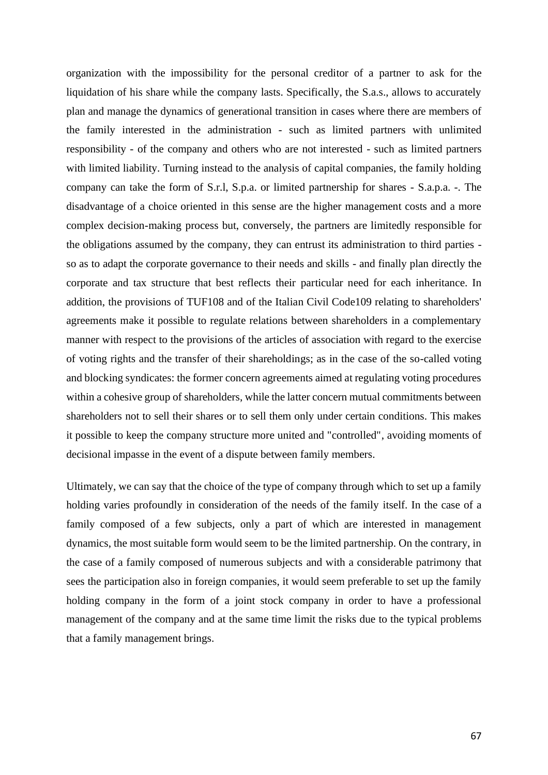organization with the impossibility for the personal creditor of a partner to ask for the liquidation of his share while the company lasts. Specifically, the S.a.s., allows to accurately plan and manage the dynamics of generational transition in cases where there are members of the family interested in the administration - such as limited partners with unlimited responsibility - of the company and others who are not interested - such as limited partners with limited liability. Turning instead to the analysis of capital companies, the family holding company can take the form of S.r.l, S.p.a. or limited partnership for shares - S.a.p.a. -. The disadvantage of a choice oriented in this sense are the higher management costs and a more complex decision-making process but, conversely, the partners are limitedly responsible for the obligations assumed by the company, they can entrust its administration to third parties so as to adapt the corporate governance to their needs and skills - and finally plan directly the corporate and tax structure that best reflects their particular need for each inheritance. In addition, the provisions of TUF108 and of the Italian Civil Code109 relating to shareholders' agreements make it possible to regulate relations between shareholders in a complementary manner with respect to the provisions of the articles of association with regard to the exercise of voting rights and the transfer of their shareholdings; as in the case of the so-called voting and blocking syndicates: the former concern agreements aimed at regulating voting procedures within a cohesive group of shareholders, while the latter concern mutual commitments between shareholders not to sell their shares or to sell them only under certain conditions. This makes it possible to keep the company structure more united and "controlled", avoiding moments of decisional impasse in the event of a dispute between family members.

Ultimately, we can say that the choice of the type of company through which to set up a family holding varies profoundly in consideration of the needs of the family itself. In the case of a family composed of a few subjects, only a part of which are interested in management dynamics, the most suitable form would seem to be the limited partnership. On the contrary, in the case of a family composed of numerous subjects and with a considerable patrimony that sees the participation also in foreign companies, it would seem preferable to set up the family holding company in the form of a joint stock company in order to have a professional management of the company and at the same time limit the risks due to the typical problems that a family management brings.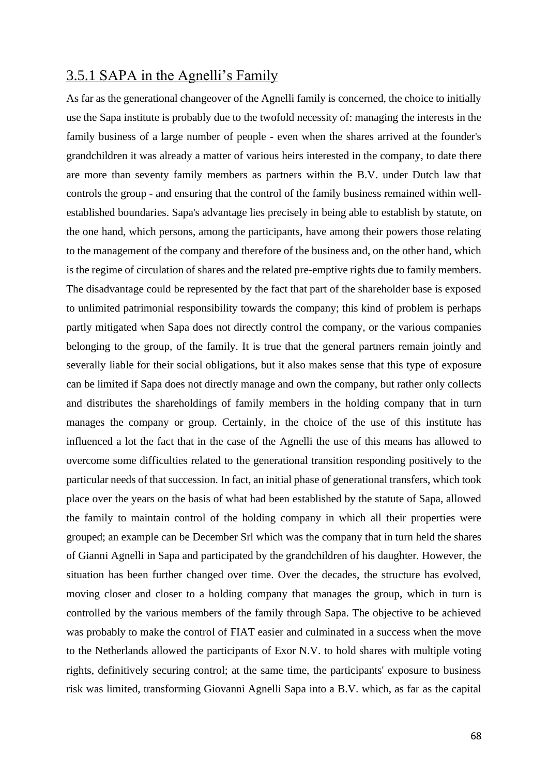## 3.5.1 SAPA in the Agnelli's Family

As far as the generational changeover of the Agnelli family is concerned, the choice to initially use the Sapa institute is probably due to the twofold necessity of: managing the interests in the family business of a large number of people - even when the shares arrived at the founder's grandchildren it was already a matter of various heirs interested in the company, to date there are more than seventy family members as partners within the B.V. under Dutch law that controls the group - and ensuring that the control of the family business remained within wellestablished boundaries. Sapa's advantage lies precisely in being able to establish by statute, on the one hand, which persons, among the participants, have among their powers those relating to the management of the company and therefore of the business and, on the other hand, which is the regime of circulation of shares and the related pre-emptive rights due to family members. The disadvantage could be represented by the fact that part of the shareholder base is exposed to unlimited patrimonial responsibility towards the company; this kind of problem is perhaps partly mitigated when Sapa does not directly control the company, or the various companies belonging to the group, of the family. It is true that the general partners remain jointly and severally liable for their social obligations, but it also makes sense that this type of exposure can be limited if Sapa does not directly manage and own the company, but rather only collects and distributes the shareholdings of family members in the holding company that in turn manages the company or group. Certainly, in the choice of the use of this institute has influenced a lot the fact that in the case of the Agnelli the use of this means has allowed to overcome some difficulties related to the generational transition responding positively to the particular needs of that succession. In fact, an initial phase of generational transfers, which took place over the years on the basis of what had been established by the statute of Sapa, allowed the family to maintain control of the holding company in which all their properties were grouped; an example can be December Srl which was the company that in turn held the shares of Gianni Agnelli in Sapa and participated by the grandchildren of his daughter. However, the situation has been further changed over time. Over the decades, the structure has evolved, moving closer and closer to a holding company that manages the group, which in turn is controlled by the various members of the family through Sapa. The objective to be achieved was probably to make the control of FIAT easier and culminated in a success when the move to the Netherlands allowed the participants of Exor N.V. to hold shares with multiple voting rights, definitively securing control; at the same time, the participants' exposure to business risk was limited, transforming Giovanni Agnelli Sapa into a B.V. which, as far as the capital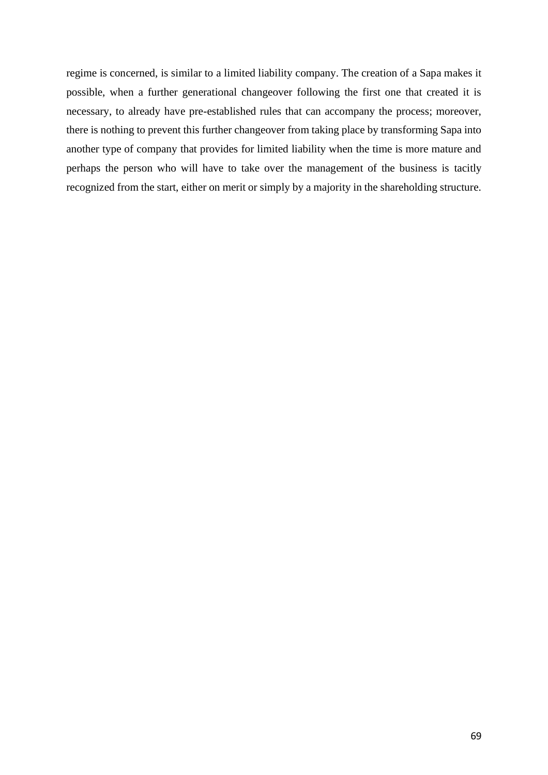regime is concerned, is similar to a limited liability company. The creation of a Sapa makes it possible, when a further generational changeover following the first one that created it is necessary, to already have pre-established rules that can accompany the process; moreover, there is nothing to prevent this further changeover from taking place by transforming Sapa into another type of company that provides for limited liability when the time is more mature and perhaps the person who will have to take over the management of the business is tacitly recognized from the start, either on merit or simply by a majority in the shareholding structure.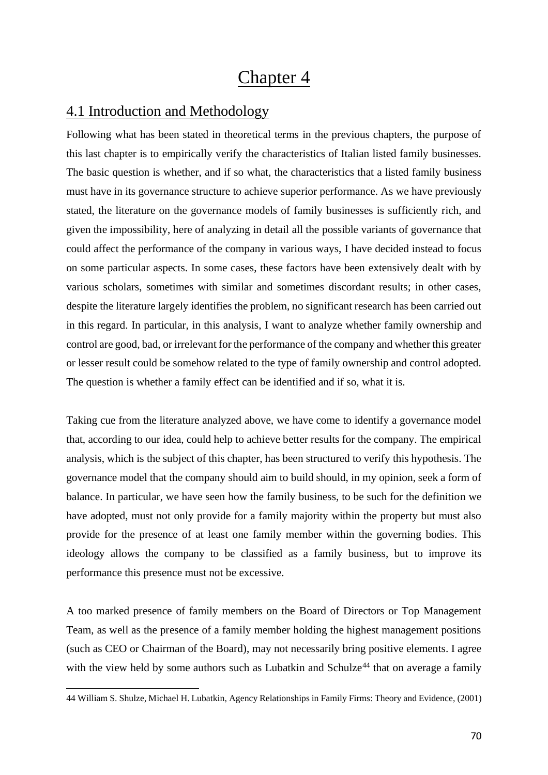# Chapter 4

# 4.1 Introduction and Methodology

Following what has been stated in theoretical terms in the previous chapters, the purpose of this last chapter is to empirically verify the characteristics of Italian listed family businesses. The basic question is whether, and if so what, the characteristics that a listed family business must have in its governance structure to achieve superior performance. As we have previously stated, the literature on the governance models of family businesses is sufficiently rich, and given the impossibility, here of analyzing in detail all the possible variants of governance that could affect the performance of the company in various ways, I have decided instead to focus on some particular aspects. In some cases, these factors have been extensively dealt with by various scholars, sometimes with similar and sometimes discordant results; in other cases, despite the literature largely identifies the problem, no significant research has been carried out in this regard. In particular, in this analysis, I want to analyze whether family ownership and control are good, bad, or irrelevant for the performance of the company and whether this greater or lesser result could be somehow related to the type of family ownership and control adopted. The question is whether a family effect can be identified and if so, what it is.

Taking cue from the literature analyzed above, we have come to identify a governance model that, according to our idea, could help to achieve better results for the company. The empirical analysis, which is the subject of this chapter, has been structured to verify this hypothesis. The governance model that the company should aim to build should, in my opinion, seek a form of balance. In particular, we have seen how the family business, to be such for the definition we have adopted, must not only provide for a family majority within the property but must also provide for the presence of at least one family member within the governing bodies. This ideology allows the company to be classified as a family business, but to improve its performance this presence must not be excessive.

A too marked presence of family members on the Board of Directors or Top Management Team, as well as the presence of a family member holding the highest management positions (such as CEO or Chairman of the Board), may not necessarily bring positive elements. I agree with the view held by some authors such as Lubatkin and Schulze<sup>44</sup> that on average a family

<sup>44</sup> William S. Shulze, Michael H. Lubatkin, Agency Relationships in Family Firms: Theory and Evidence, (2001)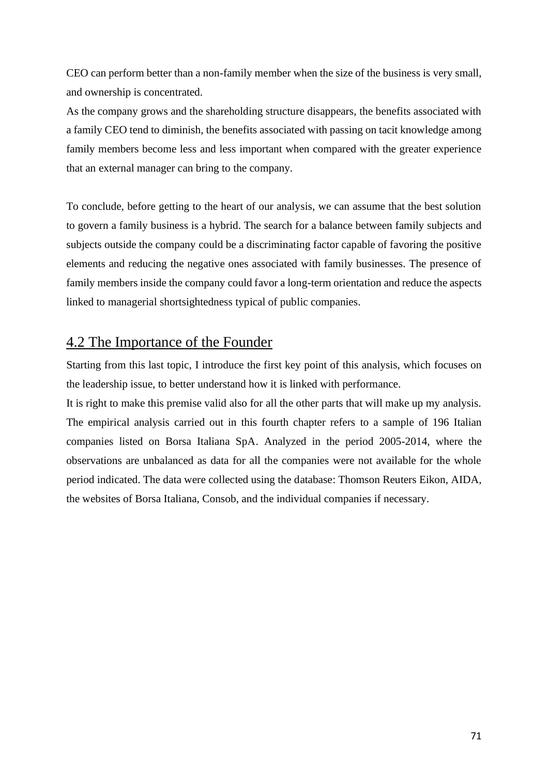CEO can perform better than a non-family member when the size of the business is very small, and ownership is concentrated.

As the company grows and the shareholding structure disappears, the benefits associated with a family CEO tend to diminish, the benefits associated with passing on tacit knowledge among family members become less and less important when compared with the greater experience that an external manager can bring to the company.

To conclude, before getting to the heart of our analysis, we can assume that the best solution to govern a family business is a hybrid. The search for a balance between family subjects and subjects outside the company could be a discriminating factor capable of favoring the positive elements and reducing the negative ones associated with family businesses. The presence of family members inside the company could favor a long-term orientation and reduce the aspects linked to managerial shortsightedness typical of public companies.

# 4.2 The Importance of the Founder

Starting from this last topic, I introduce the first key point of this analysis, which focuses on the leadership issue, to better understand how it is linked with performance.

It is right to make this premise valid also for all the other parts that will make up my analysis. The empirical analysis carried out in this fourth chapter refers to a sample of 196 Italian companies listed on Borsa Italiana SpA. Analyzed in the period 2005-2014, where the observations are unbalanced as data for all the companies were not available for the whole period indicated. The data were collected using the database: Thomson Reuters Eikon, AIDA, the websites of Borsa Italiana, Consob, and the individual companies if necessary.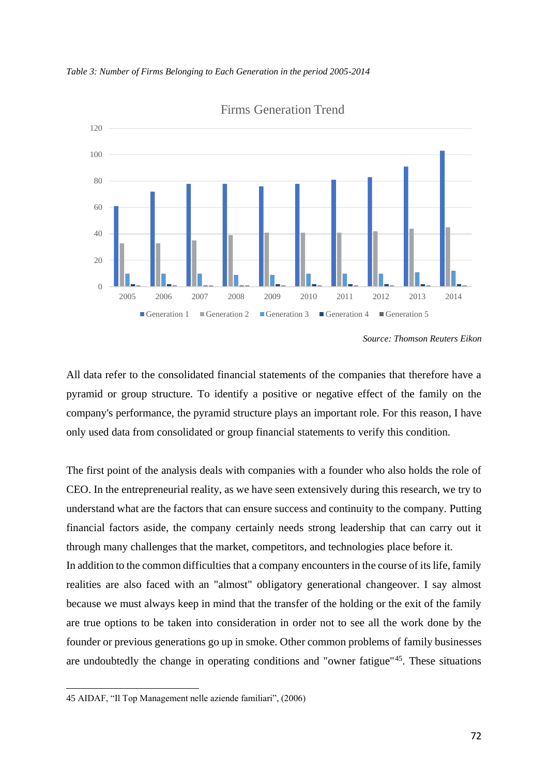*Table 3: Number of Firms Belonging to Each Generation in the period 2005-2014*



Firms Generation Trend

All data refer to the consolidated financial statements of the companies that therefore have a pyramid or group structure. To identify a positive or negative effect of the family on the company's performance, the pyramid structure plays an important role. For this reason, I have only used data from consolidated or group financial statements to verify this condition.

The first point of the analysis deals with companies with a founder who also holds the role of CEO. In the entrepreneurial reality, as we have seen extensively during this research, we try to understand what are the factors that can ensure success and continuity to the company. Putting financial factors aside, the company certainly needs strong leadership that can carry out it through many challenges that the market, competitors, and technologies place before it. In addition to the common difficulties that a company encounters in the course of its life, family realities are also faced with an "almost" obligatory generational changeover. I say almost

because we must always keep in mind that the transfer of the holding or the exit of the family are true options to be taken into consideration in order not to see all the work done by the founder or previous generations go up in smoke. Other common problems of family businesses are undoubtedly the change in operating conditions and "owner fatigue"<sup>45</sup>. These situations

*Source: Thomson Reuters Eikon*

<sup>45</sup> AIDAF, "Il Top Management nelle aziende familiari", (2006)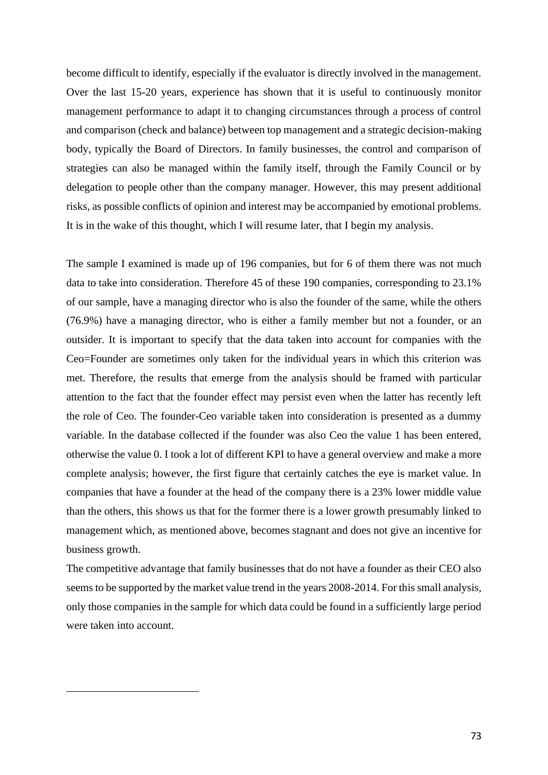become difficult to identify, especially if the evaluator is directly involved in the management. Over the last 15-20 years, experience has shown that it is useful to continuously monitor management performance to adapt it to changing circumstances through a process of control and comparison (check and balance) between top management and a strategic decision-making body, typically the Board of Directors. In family businesses, the control and comparison of strategies can also be managed within the family itself, through the Family Council or by delegation to people other than the company manager. However, this may present additional risks, as possible conflicts of opinion and interest may be accompanied by emotional problems. It is in the wake of this thought, which I will resume later, that I begin my analysis.

The sample I examined is made up of 196 companies, but for 6 of them there was not much data to take into consideration. Therefore 45 of these 190 companies, corresponding to 23.1% of our sample, have a managing director who is also the founder of the same, while the others (76.9%) have a managing director, who is either a family member but not a founder, or an outsider. It is important to specify that the data taken into account for companies with the Ceo=Founder are sometimes only taken for the individual years in which this criterion was met. Therefore, the results that emerge from the analysis should be framed with particular attention to the fact that the founder effect may persist even when the latter has recently left the role of Ceo. The founder-Ceo variable taken into consideration is presented as a dummy variable. In the database collected if the founder was also Ceo the value 1 has been entered, otherwise the value 0. I took a lot of different KPI to have a general overview and make a more complete analysis; however, the first figure that certainly catches the eye is market value. In companies that have a founder at the head of the company there is a 23% lower middle value than the others, this shows us that for the former there is a lower growth presumably linked to management which, as mentioned above, becomes stagnant and does not give an incentive for business growth.

The competitive advantage that family businesses that do not have a founder as their CEO also seems to be supported by the market value trend in the years 2008-2014. For this small analysis, only those companies in the sample for which data could be found in a sufficiently large period were taken into account.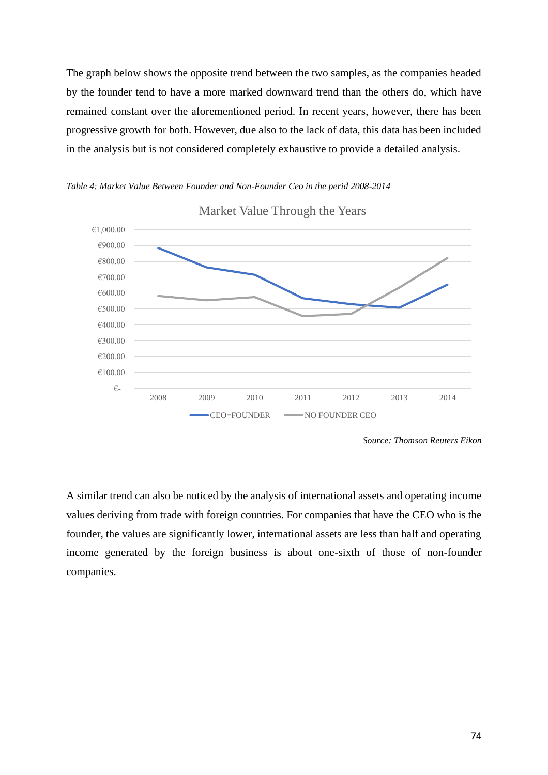The graph below shows the opposite trend between the two samples, as the companies headed by the founder tend to have a more marked downward trend than the others do, which have remained constant over the aforementioned period. In recent years, however, there has been progressive growth for both. However, due also to the lack of data, this data has been included in the analysis but is not considered completely exhaustive to provide a detailed analysis.





Market Value Through the Years

A similar trend can also be noticed by the analysis of international assets and operating income values deriving from trade with foreign countries. For companies that have the CEO who is the founder, the values are significantly lower, international assets are less than half and operating income generated by the foreign business is about one-sixth of those of non-founder companies.

*Source: Thomson Reuters Eikon*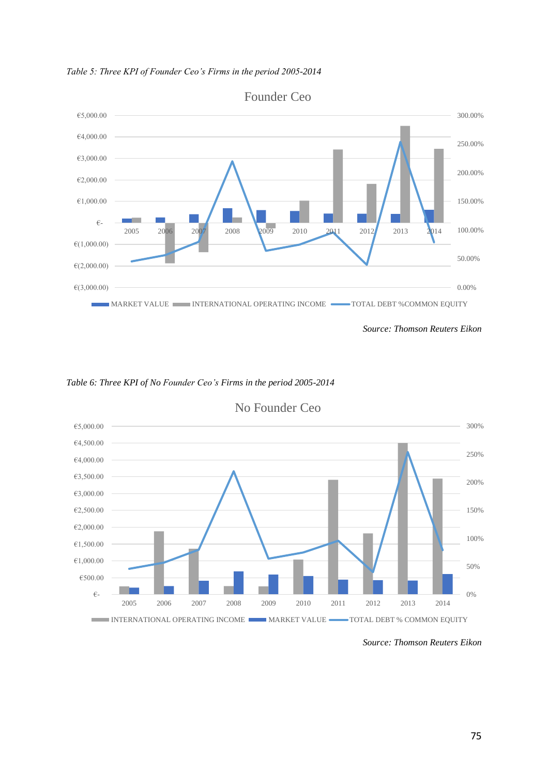

*Table 5: Three KPI of Founder Ceo's Firms in the period 2005-2014*





No Founder Ceo

*Source: Thomson Reuters Eikon*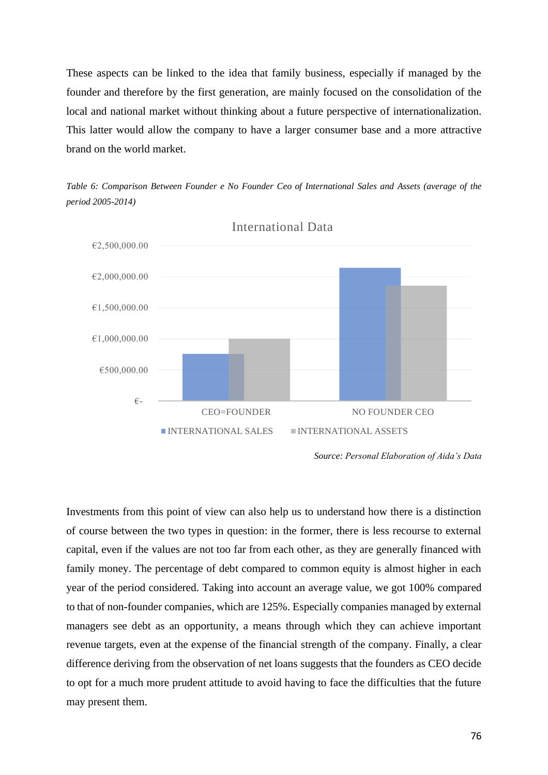These aspects can be linked to the idea that family business, especially if managed by the founder and therefore by the first generation, are mainly focused on the consolidation of the local and national market without thinking about a future perspective of internationalization. This latter would allow the company to have a larger consumer base and a more attractive brand on the world market.



*Table 6: Comparison Between Founder e No Founder Ceo of International Sales and Assets (average of the period 2005-2014)*

Investments from this point of view can also help us to understand how there is a distinction of course between the two types in question: in the former, there is less recourse to external capital, even if the values are not too far from each other, as they are generally financed with family money. The percentage of debt compared to common equity is almost higher in each year of the period considered. Taking into account an average value, we got 100% compared to that of non-founder companies, which are 125%. Especially companies managed by external managers see debt as an opportunity, a means through which they can achieve important revenue targets, even at the expense of the financial strength of the company. Finally, a clear difference deriving from the observation of net loans suggests that the founders as CEO decide to opt for a much more prudent attitude to avoid having to face the difficulties that the future may present them.

*Source: Personal Elaboration of Aida's Data*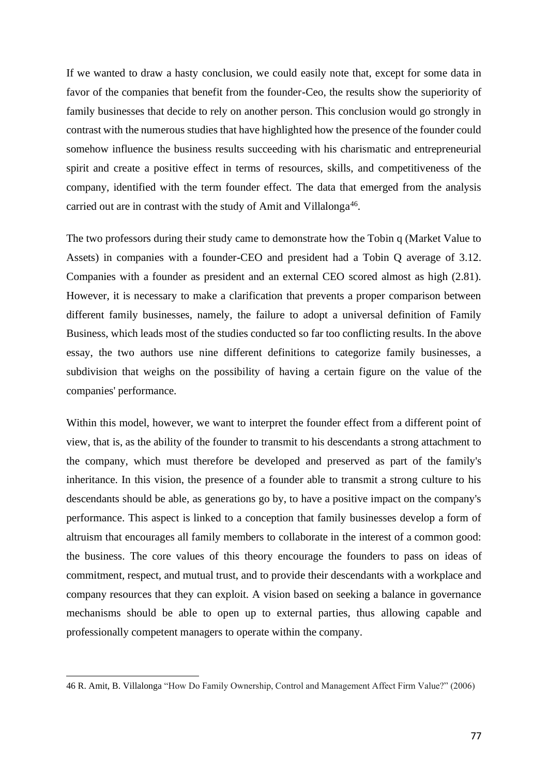If we wanted to draw a hasty conclusion, we could easily note that, except for some data in favor of the companies that benefit from the founder-Ceo, the results show the superiority of family businesses that decide to rely on another person. This conclusion would go strongly in contrast with the numerous studies that have highlighted how the presence of the founder could somehow influence the business results succeeding with his charismatic and entrepreneurial spirit and create a positive effect in terms of resources, skills, and competitiveness of the company, identified with the term founder effect. The data that emerged from the analysis carried out are in contrast with the study of Amit and Villalonga<sup>46</sup>.

The two professors during their study came to demonstrate how the Tobin q (Market Value to Assets) in companies with a founder-CEO and president had a Tobin Q average of 3.12. Companies with a founder as president and an external CEO scored almost as high (2.81). However, it is necessary to make a clarification that prevents a proper comparison between different family businesses, namely, the failure to adopt a universal definition of Family Business, which leads most of the studies conducted so far too conflicting results. In the above essay, the two authors use nine different definitions to categorize family businesses, a subdivision that weighs on the possibility of having a certain figure on the value of the companies' performance.

Within this model, however, we want to interpret the founder effect from a different point of view, that is, as the ability of the founder to transmit to his descendants a strong attachment to the company, which must therefore be developed and preserved as part of the family's inheritance. In this vision, the presence of a founder able to transmit a strong culture to his descendants should be able, as generations go by, to have a positive impact on the company's performance. This aspect is linked to a conception that family businesses develop a form of altruism that encourages all family members to collaborate in the interest of a common good: the business. The core values of this theory encourage the founders to pass on ideas of commitment, respect, and mutual trust, and to provide their descendants with a workplace and company resources that they can exploit. A vision based on seeking a balance in governance mechanisms should be able to open up to external parties, thus allowing capable and professionally competent managers to operate within the company.

<sup>46</sup> R. Amit, B. Villalonga "How Do Family Ownership, Control and Management Affect Firm Value?" (2006)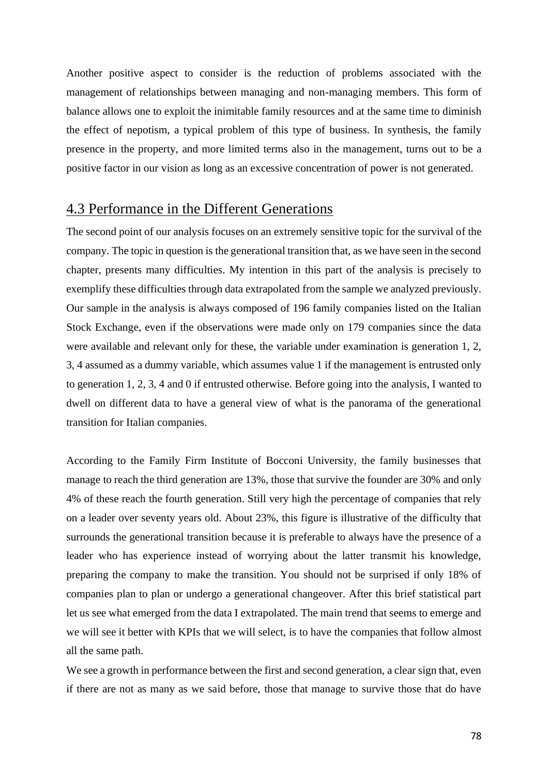Another positive aspect to consider is the reduction of problems associated with the management of relationships between managing and non-managing members. This form of balance allows one to exploit the inimitable family resources and at the same time to diminish the effect of nepotism, a typical problem of this type of business. In synthesis, the family presence in the property, and more limited terms also in the management, turns out to be a positive factor in our vision as long as an excessive concentration of power is not generated.

### 4.3 Performance in the Different Generations

The second point of our analysis focuses on an extremely sensitive topic for the survival of the company. The topic in question is the generational transition that, as we have seen in the second chapter, presents many difficulties. My intention in this part of the analysis is precisely to exemplify these difficulties through data extrapolated from the sample we analyzed previously. Our sample in the analysis is always composed of 196 family companies listed on the Italian Stock Exchange, even if the observations were made only on 179 companies since the data were available and relevant only for these, the variable under examination is generation 1, 2, 3, 4 assumed as a dummy variable, which assumes value 1 if the management is entrusted only to generation 1, 2, 3, 4 and 0 if entrusted otherwise. Before going into the analysis, I wanted to dwell on different data to have a general view of what is the panorama of the generational transition for Italian companies.

According to the Family Firm Institute of Bocconi University, the family businesses that manage to reach the third generation are 13%, those that survive the founder are 30% and only 4% of these reach the fourth generation. Still very high the percentage of companies that rely on a leader over seventy years old. About 23%, this figure is illustrative of the difficulty that surrounds the generational transition because it is preferable to always have the presence of a leader who has experience instead of worrying about the latter transmit his knowledge, preparing the company to make the transition. You should not be surprised if only 18% of companies plan to plan or undergo a generational changeover. After this brief statistical part let us see what emerged from the data I extrapolated. The main trend that seems to emerge and we will see it better with KPIs that we will select, is to have the companies that follow almost all the same path.

We see a growth in performance between the first and second generation, a clear sign that, even if there are not as many as we said before, those that manage to survive those that do have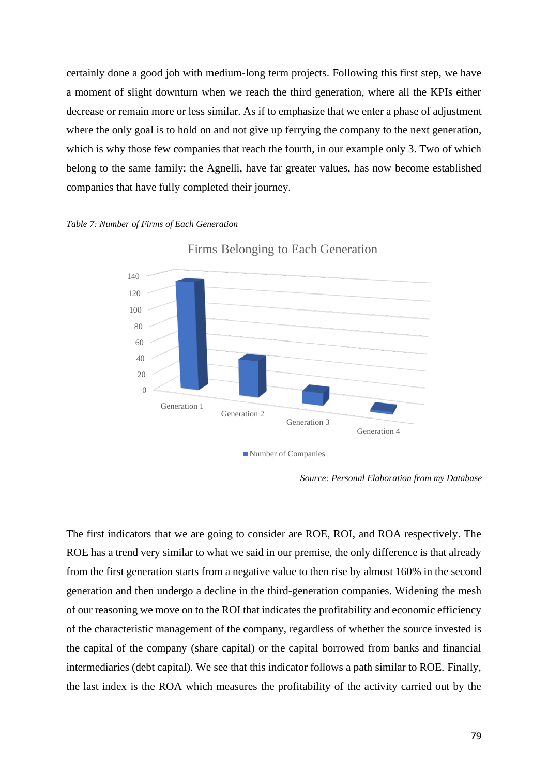certainly done a good job with medium-long term projects. Following this first step, we have a moment of slight downturn when we reach the third generation, where all the KPIs either decrease or remain more or less similar. As if to emphasize that we enter a phase of adjustment where the only goal is to hold on and not give up ferrying the company to the next generation, which is why those few companies that reach the fourth, in our example only 3. Two of which belong to the same family: the Agnelli, have far greater values, has now become established companies that have fully completed their journey.

#### *Table 7: Number of Firms of Each Generation*



Firms Belonging to Each Generation

The first indicators that we are going to consider are ROE, ROI, and ROA respectively. The ROE has a trend very similar to what we said in our premise, the only difference is that already from the first generation starts from a negative value to then rise by almost 160% in the second generation and then undergo a decline in the third-generation companies. Widening the mesh of our reasoning we move on to the ROI that indicates the profitability and economic efficiency of the characteristic management of the company, regardless of whether the source invested is the capital of the company (share capital) or the capital borrowed from banks and financial intermediaries (debt capital). We see that this indicator follows a path similar to ROE. Finally, the last index is the ROA which measures the profitability of the activity carried out by the

*Source: Personal Elaboration from my Database*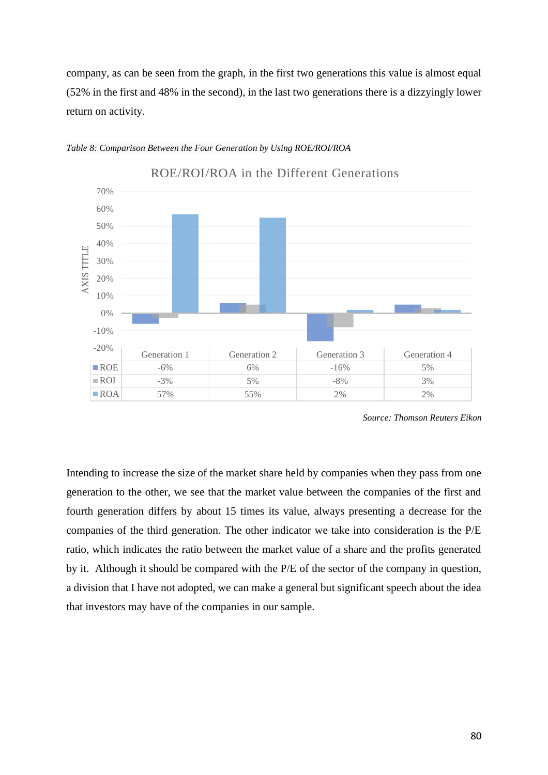company, as can be seen from the graph, in the first two generations this value is almost equal (52% in the first and 48% in the second), in the last two generations there is a dizzyingly lower return on activity.



#### *Table 8: Comparison Between the Four Generation by Using ROE/ROI/ROA*

*Source: Thomson Reuters Eikon*

Intending to increase the size of the market share held by companies when they pass from one generation to the other, we see that the market value between the companies of the first and fourth generation differs by about 15 times its value, always presenting a decrease for the companies of the third generation. The other indicator we take into consideration is the P/E ratio, which indicates the ratio between the market value of a share and the profits generated by it. Although it should be compared with the P/E of the sector of the company in question, a division that I have not adopted, we can make a general but significant speech about the idea that investors may have of the companies in our sample.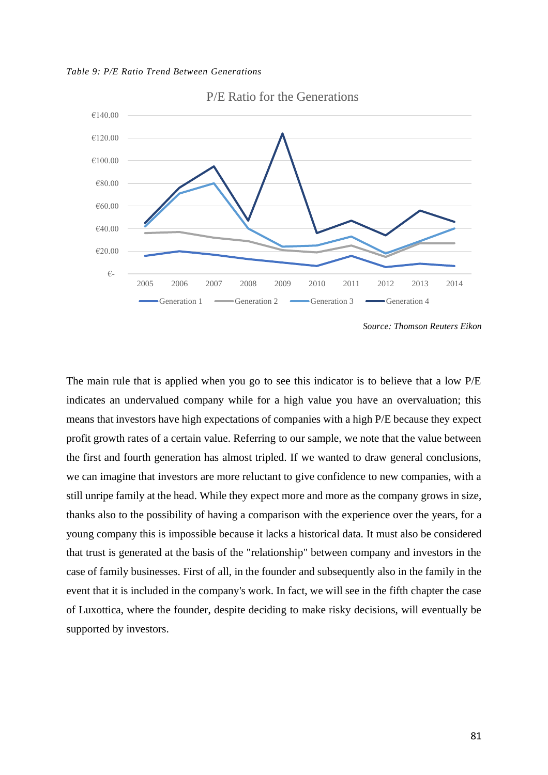*Table 9: P/E Ratio Trend Between Generations*



P/E Ratio for the Generations

*Source: Thomson Reuters Eikon*

The main rule that is applied when you go to see this indicator is to believe that a low P/E indicates an undervalued company while for a high value you have an overvaluation; this means that investors have high expectations of companies with a high P/E because they expect profit growth rates of a certain value. Referring to our sample, we note that the value between the first and fourth generation has almost tripled. If we wanted to draw general conclusions, we can imagine that investors are more reluctant to give confidence to new companies, with a still unripe family at the head. While they expect more and more as the company grows in size, thanks also to the possibility of having a comparison with the experience over the years, for a young company this is impossible because it lacks a historical data. It must also be considered that trust is generated at the basis of the "relationship" between company and investors in the case of family businesses. First of all, in the founder and subsequently also in the family in the event that it is included in the company's work. In fact, we will see in the fifth chapter the case of Luxottica, where the founder, despite deciding to make risky decisions, will eventually be supported by investors.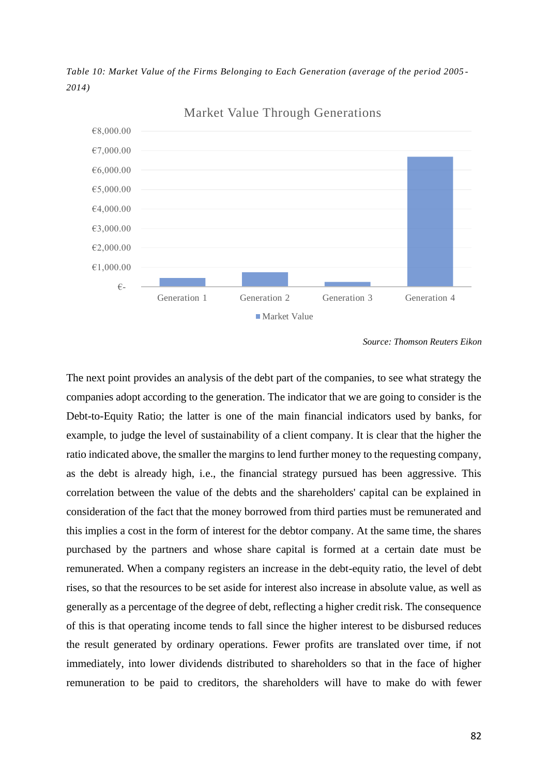*Table 10: Market Value of the Firms Belonging to Each Generation (average of the period 2005 - 2014)*



Market Value Through Generations

*Source: Thomson Reuters Eikon*

The next point provides an analysis of the debt part of the companies, to see what strategy the companies adopt according to the generation. The indicator that we are going to consider is the Debt-to-Equity Ratio; the latter is one of the main financial indicators used by banks, for example, to judge the level of sustainability of a client company. It is clear that the higher the ratio indicated above, the smaller the margins to lend further money to the requesting company, as the debt is already high, i.e., the financial strategy pursued has been aggressive. This correlation between the value of the debts and the shareholders' capital can be explained in consideration of the fact that the money borrowed from third parties must be remunerated and this implies a cost in the form of interest for the debtor company. At the same time, the shares purchased by the partners and whose share capital is formed at a certain date must be remunerated. When a company registers an increase in the debt-equity ratio, the level of debt rises, so that the resources to be set aside for interest also increase in absolute value, as well as generally as a percentage of the degree of debt, reflecting a higher credit risk. The consequence of this is that operating income tends to fall since the higher interest to be disbursed reduces the result generated by ordinary operations. Fewer profits are translated over time, if not immediately, into lower dividends distributed to shareholders so that in the face of higher remuneration to be paid to creditors, the shareholders will have to make do with fewer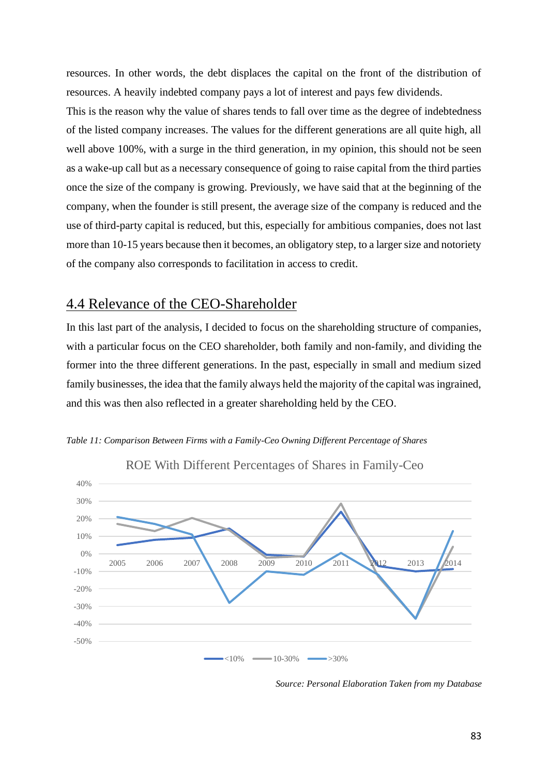resources. In other words, the debt displaces the capital on the front of the distribution of resources. A heavily indebted company pays a lot of interest and pays few dividends.

This is the reason why the value of shares tends to fall over time as the degree of indebtedness of the listed company increases. The values for the different generations are all quite high, all well above 100%, with a surge in the third generation, in my opinion, this should not be seen as a wake-up call but as a necessary consequence of going to raise capital from the third parties once the size of the company is growing. Previously, we have said that at the beginning of the company, when the founder is still present, the average size of the company is reduced and the use of third-party capital is reduced, but this, especially for ambitious companies, does not last more than 10-15 years because then it becomes, an obligatory step, to a larger size and notoriety of the company also corresponds to facilitation in access to credit.

## 4.4 Relevance of the CEO-Shareholder

In this last part of the analysis, I decided to focus on the shareholding structure of companies, with a particular focus on the CEO shareholder, both family and non-family, and dividing the former into the three different generations. In the past, especially in small and medium sized family businesses, the idea that the family always held the majority of the capital was ingrained, and this was then also reflected in a greater shareholding held by the CEO.





ROE With Different Percentages of Shares in Family-Ceo

*Source: Personal Elaboration Taken from my Database*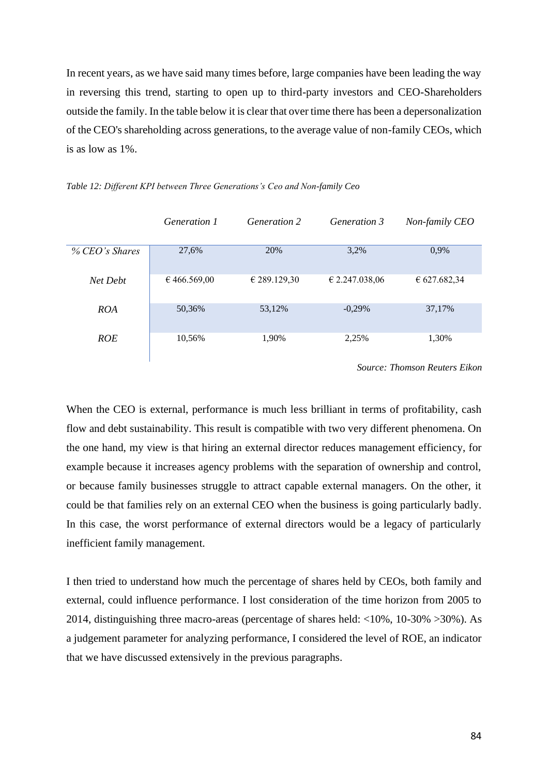In recent years, as we have said many times before, large companies have been leading the way in reversing this trend, starting to open up to third-party investors and CEO-Shareholders outside the family. In the table below it is clear that over time there has been a depersonalization of the CEO's shareholding across generations, to the average value of non-family CEOs, which is as low as 1%.

|                | Generation 1 | Generation 2 | <i>Generation 3</i> | Non-family CEO |
|----------------|--------------|--------------|---------------------|----------------|
|                |              |              |                     |                |
| % CEO's Shares | 27,6%        | 20%          | 3,2%                | 0,9%           |
| Net Debt       | €466.569,00  | € 289.129,30 | € 2.247.038.06      | € 627.682,34   |
| <b>ROA</b>     | 50,36%       | 53,12%       | $-0,29%$            | 37,17%         |
| <b>ROE</b>     | 10,56%       | 1,90%        | 2,25%               | 1,30%          |

#### *Table 12: Different KPI between Three Generations's Ceo and Non-family Ceo*

*Source: Thomson Reuters Eikon*

When the CEO is external, performance is much less brilliant in terms of profitability, cash flow and debt sustainability. This result is compatible with two very different phenomena. On the one hand, my view is that hiring an external director reduces management efficiency, for example because it increases agency problems with the separation of ownership and control, or because family businesses struggle to attract capable external managers. On the other, it could be that families rely on an external CEO when the business is going particularly badly. In this case, the worst performance of external directors would be a legacy of particularly inefficient family management.

I then tried to understand how much the percentage of shares held by CEOs, both family and external, could influence performance. I lost consideration of the time horizon from 2005 to 2014, distinguishing three macro-areas (percentage of shares held: <10%, 10-30% >30%). As a judgement parameter for analyzing performance, I considered the level of ROE, an indicator that we have discussed extensively in the previous paragraphs.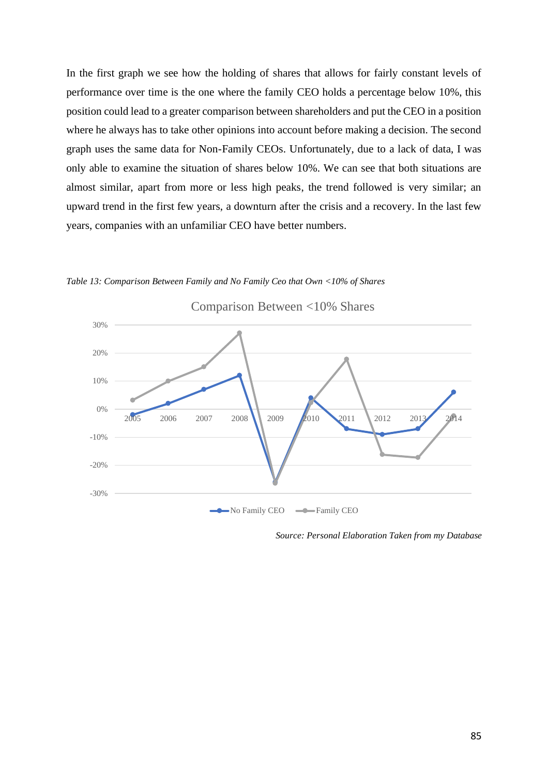In the first graph we see how the holding of shares that allows for fairly constant levels of performance over time is the one where the family CEO holds a percentage below 10%, this position could lead to a greater comparison between shareholders and put the CEO in a position where he always has to take other opinions into account before making a decision. The second graph uses the same data for Non-Family CEOs. Unfortunately, due to a lack of data, I was only able to examine the situation of shares below 10%. We can see that both situations are almost similar, apart from more or less high peaks, the trend followed is very similar; an upward trend in the first few years, a downturn after the crisis and a recovery. In the last few years, companies with an unfamiliar CEO have better numbers.



*Table 13: Comparison Between Family and No Family Ceo that Own <10% of Shares*

*Source: Personal Elaboration Taken from my Database*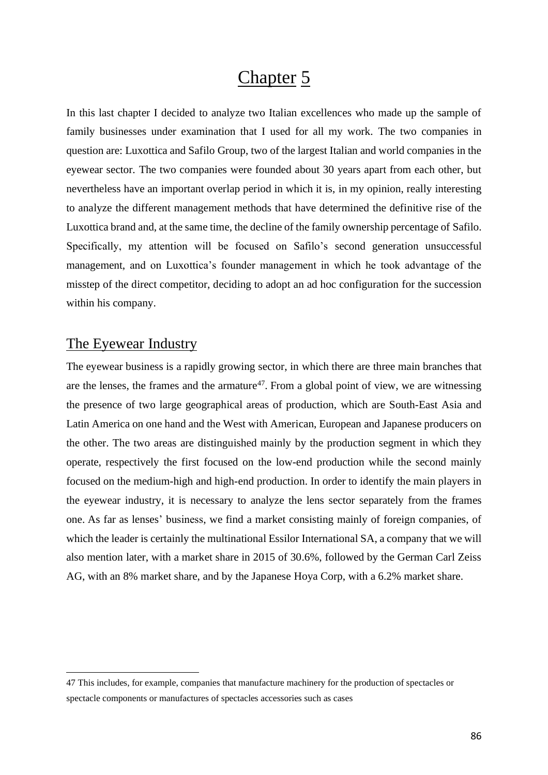# Chapter 5

In this last chapter I decided to analyze two Italian excellences who made up the sample of family businesses under examination that I used for all my work. The two companies in question are: Luxottica and Safilo Group, two of the largest Italian and world companies in the eyewear sector. The two companies were founded about 30 years apart from each other, but nevertheless have an important overlap period in which it is, in my opinion, really interesting to analyze the different management methods that have determined the definitive rise of the Luxottica brand and, at the same time, the decline of the family ownership percentage of Safilo. Specifically, my attention will be focused on Safilo's second generation unsuccessful management, and on Luxottica's founder management in which he took advantage of the misstep of the direct competitor, deciding to adopt an ad hoc configuration for the succession within his company.

### The Eyewear Industry

The eyewear business is a rapidly growing sector, in which there are three main branches that are the lenses, the frames and the armature<sup>47</sup>. From a global point of view, we are witnessing the presence of two large geographical areas of production, which are South-East Asia and Latin America on one hand and the West with American, European and Japanese producers on the other. The two areas are distinguished mainly by the production segment in which they operate, respectively the first focused on the low-end production while the second mainly focused on the medium-high and high-end production. In order to identify the main players in the eyewear industry, it is necessary to analyze the lens sector separately from the frames one. As far as lenses' business, we find a market consisting mainly of foreign companies, of which the leader is certainly the multinational Essilor International SA, a company that we will also mention later, with a market share in 2015 of 30.6%, followed by the German Carl Zeiss AG, with an 8% market share, and by the Japanese Hoya Corp, with a 6.2% market share.

<sup>47</sup> This includes, for example, companies that manufacture machinery for the production of spectacles or spectacle components or manufactures of spectacles accessories such as cases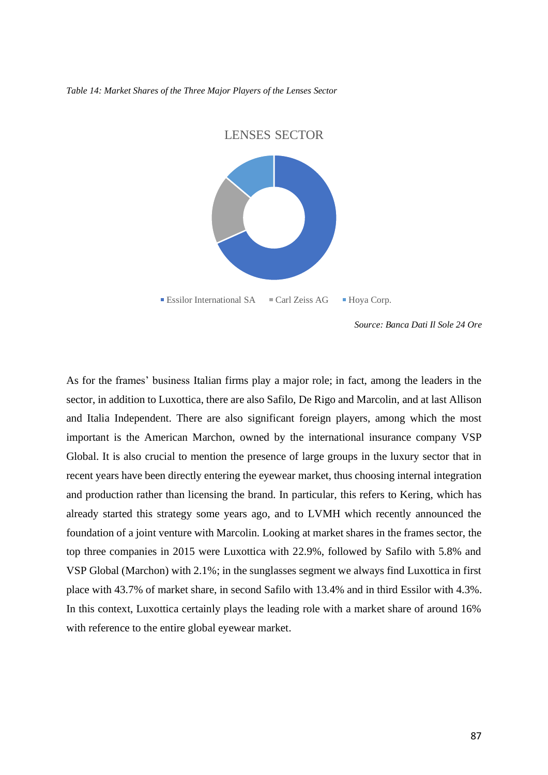#### *Table 14: Market Shares of the Three Major Players of the Lenses Sector*



*Source: Banca Dati Il Sole 24 Ore*

As for the frames' business Italian firms play a major role; in fact, among the leaders in the sector, in addition to Luxottica, there are also Safilo, De Rigo and Marcolin, and at last Allison and Italia Independent. There are also significant foreign players, among which the most important is the American Marchon, owned by the international insurance company VSP Global. It is also crucial to mention the presence of large groups in the luxury sector that in recent years have been directly entering the eyewear market, thus choosing internal integration and production rather than licensing the brand. In particular, this refers to Kering, which has already started this strategy some years ago, and to LVMH which recently announced the foundation of a joint venture with Marcolin. Looking at market shares in the frames sector, the top three companies in 2015 were Luxottica with 22.9%, followed by Safilo with 5.8% and VSP Global (Marchon) with 2.1%; in the sunglasses segment we always find Luxottica in first place with 43.7% of market share, in second Safilo with 13.4% and in third Essilor with 4.3%. In this context, Luxottica certainly plays the leading role with a market share of around 16% with reference to the entire global eyewear market.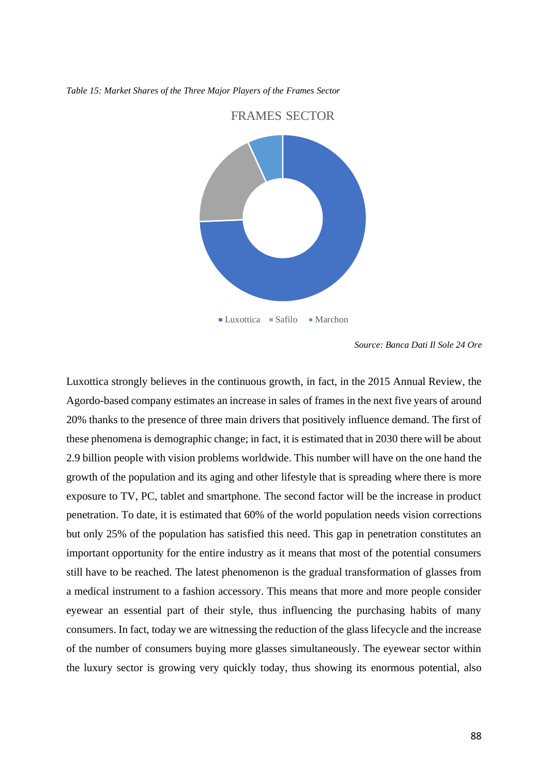#### *Table 15: Market Shares of the Three Major Players of the Frames Sector*



FRAMES SECTOR

*Source: Banca Dati Il Sole 24 Ore*

Luxottica strongly believes in the continuous growth, in fact, in the 2015 Annual Review, the Agordo-based company estimates an increase in sales of frames in the next five years of around 20% thanks to the presence of three main drivers that positively influence demand. The first of these phenomena is demographic change; in fact, it is estimated that in 2030 there will be about 2.9 billion people with vision problems worldwide. This number will have on the one hand the growth of the population and its aging and other lifestyle that is spreading where there is more exposure to TV, PC, tablet and smartphone. The second factor will be the increase in product penetration. To date, it is estimated that 60% of the world population needs vision corrections but only 25% of the population has satisfied this need. This gap in penetration constitutes an important opportunity for the entire industry as it means that most of the potential consumers still have to be reached. The latest phenomenon is the gradual transformation of glasses from a medical instrument to a fashion accessory. This means that more and more people consider eyewear an essential part of their style, thus influencing the purchasing habits of many consumers. In fact, today we are witnessing the reduction of the glass lifecycle and the increase of the number of consumers buying more glasses simultaneously. The eyewear sector within the luxury sector is growing very quickly today, thus showing its enormous potential, also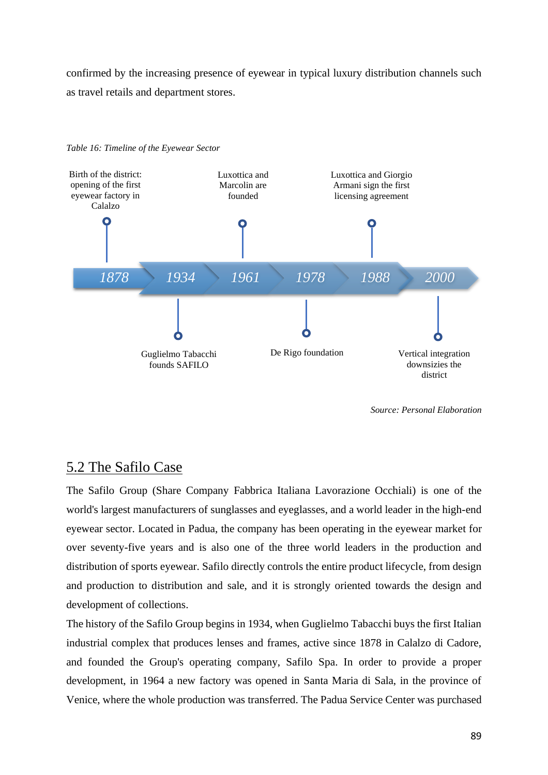confirmed by the increasing presence of eyewear in typical luxury distribution channels such as travel retails and department stores.



*Table 16: Timeline of the Eyewear Sector*

*Source: Personal Elaboration*

### 5.2 The Safilo Case

The Safilo Group (Share Company Fabbrica Italiana Lavorazione Occhiali) is one of the world's largest manufacturers of sunglasses and eyeglasses, and a world leader in the high-end eyewear sector. Located in Padua, the company has been operating in the eyewear market for over seventy-five years and is also one of the three world leaders in the production and distribution of sports eyewear. Safilo directly controls the entire product lifecycle, from design and production to distribution and sale, and it is strongly oriented towards the design and development of collections.

The history of the Safilo Group begins in 1934, when Guglielmo Tabacchi buys the first Italian industrial complex that produces lenses and frames, active since 1878 in Calalzo di Cadore, and founded the Group's operating company, Safilo Spa. In order to provide a proper development, in 1964 a new factory was opened in Santa Maria di Sala, in the province of Venice, where the whole production was transferred. The Padua Service Center was purchased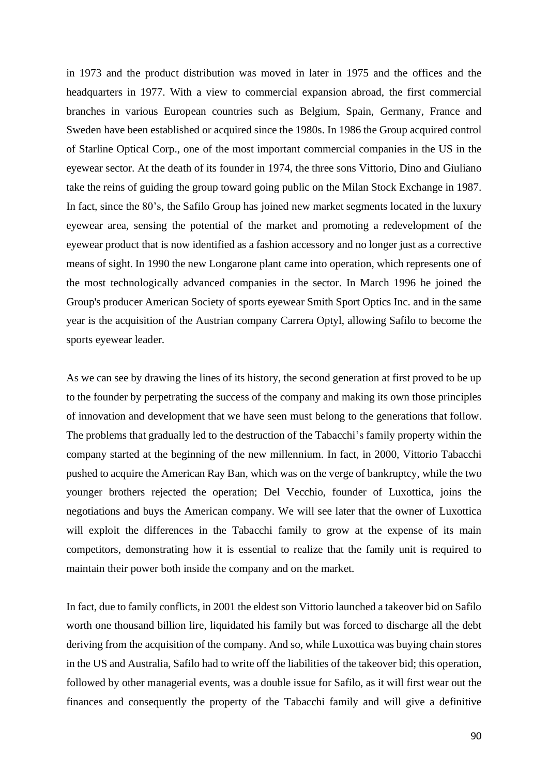in 1973 and the product distribution was moved in later in 1975 and the offices and the headquarters in 1977. With a view to commercial expansion abroad, the first commercial branches in various European countries such as Belgium, Spain, Germany, France and Sweden have been established or acquired since the 1980s. In 1986 the Group acquired control of Starline Optical Corp., one of the most important commercial companies in the US in the eyewear sector. At the death of its founder in 1974, the three sons Vittorio, Dino and Giuliano take the reins of guiding the group toward going public on the Milan Stock Exchange in 1987. In fact, since the 80's, the Safilo Group has joined new market segments located in the luxury eyewear area, sensing the potential of the market and promoting a redevelopment of the eyewear product that is now identified as a fashion accessory and no longer just as a corrective means of sight. In 1990 the new Longarone plant came into operation, which represents one of the most technologically advanced companies in the sector. In March 1996 he joined the Group's producer American Society of sports eyewear Smith Sport Optics Inc. and in the same year is the acquisition of the Austrian company Carrera Optyl, allowing Safilo to become the sports eyewear leader.

As we can see by drawing the lines of its history, the second generation at first proved to be up to the founder by perpetrating the success of the company and making its own those principles of innovation and development that we have seen must belong to the generations that follow. The problems that gradually led to the destruction of the Tabacchi's family property within the company started at the beginning of the new millennium. In fact, in 2000, Vittorio Tabacchi pushed to acquire the American Ray Ban, which was on the verge of bankruptcy, while the two younger brothers rejected the operation; Del Vecchio, founder of Luxottica, joins the negotiations and buys the American company. We will see later that the owner of Luxottica will exploit the differences in the Tabacchi family to grow at the expense of its main competitors, demonstrating how it is essential to realize that the family unit is required to maintain their power both inside the company and on the market.

In fact, due to family conflicts, in 2001 the eldest son Vittorio launched a takeover bid on Safilo worth one thousand billion lire, liquidated his family but was forced to discharge all the debt deriving from the acquisition of the company. And so, while Luxottica was buying chain stores in the US and Australia, Safilo had to write off the liabilities of the takeover bid; this operation, followed by other managerial events, was a double issue for Safilo, as it will first wear out the finances and consequently the property of the Tabacchi family and will give a definitive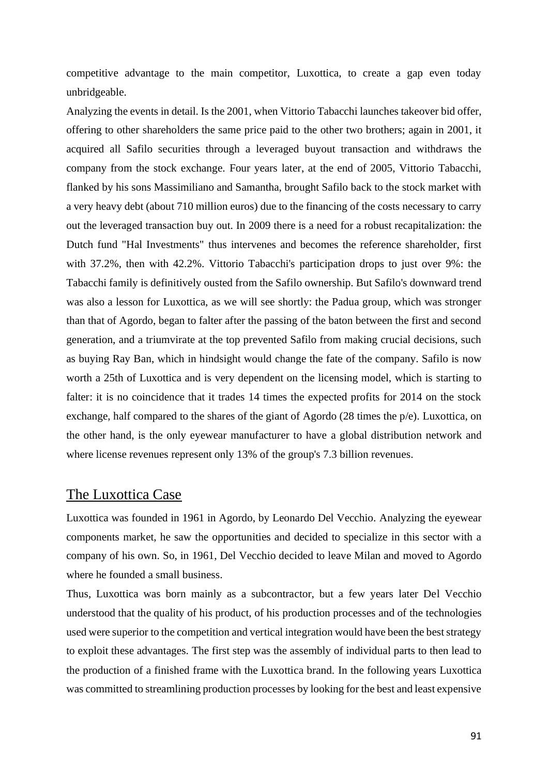competitive advantage to the main competitor, Luxottica, to create a gap even today unbridgeable.

Analyzing the events in detail. Is the 2001, when Vittorio Tabacchi launches takeover bid offer, offering to other shareholders the same price paid to the other two brothers; again in 2001, it acquired all Safilo securities through a leveraged buyout transaction and withdraws the company from the stock exchange. Four years later, at the end of 2005, Vittorio Tabacchi, flanked by his sons Massimiliano and Samantha, brought Safilo back to the stock market with a very heavy debt (about 710 million euros) due to the financing of the costs necessary to carry out the leveraged transaction buy out. In 2009 there is a need for a robust recapitalization: the Dutch fund "Hal Investments" thus intervenes and becomes the reference shareholder, first with 37.2%, then with 42.2%. Vittorio Tabacchi's participation drops to just over 9%: the Tabacchi family is definitively ousted from the Safilo ownership. But Safilo's downward trend was also a lesson for Luxottica, as we will see shortly: the Padua group, which was stronger than that of Agordo, began to falter after the passing of the baton between the first and second generation, and a triumvirate at the top prevented Safilo from making crucial decisions, such as buying Ray Ban, which in hindsight would change the fate of the company. Safilo is now worth a 25th of Luxottica and is very dependent on the licensing model, which is starting to falter: it is no coincidence that it trades 14 times the expected profits for 2014 on the stock exchange, half compared to the shares of the giant of Agordo (28 times the p/e). Luxottica, on the other hand, is the only eyewear manufacturer to have a global distribution network and where license revenues represent only 13% of the group's 7.3 billion revenues.

### The Luxottica Case

Luxottica was founded in 1961 in Agordo, by Leonardo Del Vecchio. Analyzing the eyewear components market, he saw the opportunities and decided to specialize in this sector with a company of his own. So, in 1961, Del Vecchio decided to leave Milan and moved to Agordo where he founded a small business.

Thus, Luxottica was born mainly as a subcontractor, but a few years later Del Vecchio understood that the quality of his product, of his production processes and of the technologies used were superior to the competition and vertical integration would have been the best strategy to exploit these advantages. The first step was the assembly of individual parts to then lead to the production of a finished frame with the Luxottica brand. In the following years Luxottica was committed to streamlining production processes by looking for the best and least expensive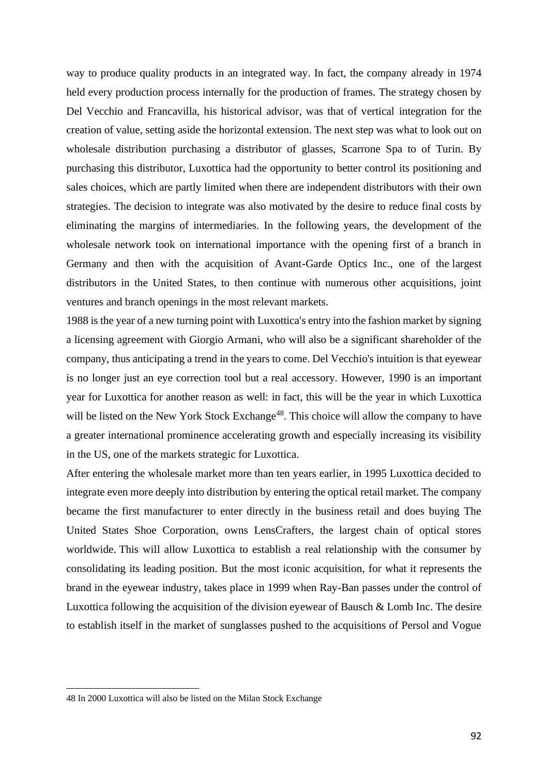way to produce quality products in an integrated way. In fact, the company already in 1974 held every production process internally for the production of frames. The strategy chosen by Del Vecchio and Francavilla, his historical advisor, was that of vertical integration for the creation of value, setting aside the horizontal extension. The next step was what to look out on wholesale distribution purchasing a distributor of glasses, Scarrone Spa to of Turin. By purchasing this distributor, Luxottica had the opportunity to better control its positioning and sales choices, which are partly limited when there are independent distributors with their own strategies. The decision to integrate was also motivated by the desire to reduce final costs by eliminating the margins of intermediaries. In the following years, the development of the wholesale network took on international importance with the opening first of a branch in Germany and then with the acquisition of Avant-Garde Optics Inc., one of the largest distributors in the United States, to then continue with numerous other acquisitions, joint ventures and branch openings in the most relevant markets.

1988 is the year of a new turning point with Luxottica's entry into the fashion market by signing a licensing agreement with Giorgio Armani, who will also be a significant shareholder of the company, thus anticipating a trend in the years to come. Del Vecchio's intuition is that eyewear is no longer just an eye correction tool but a real accessory. However, 1990 is an important year for Luxottica for another reason as well: in fact, this will be the year in which Luxottica will be listed on the New York Stock Exchange<sup>48</sup>. This choice will allow the company to have a greater international prominence accelerating growth and especially increasing its visibility in the US, one of the markets strategic for Luxottica.

After entering the wholesale market more than ten years earlier, in 1995 Luxottica decided to integrate even more deeply into distribution by entering the optical retail market. The company became the first manufacturer to enter directly in the business retail and does buying The United States Shoe Corporation, owns LensCrafters, the largest chain of optical stores worldwide. This will allow Luxottica to establish a real relationship with the consumer by consolidating its leading position. But the most iconic acquisition, for what it represents the brand in the eyewear industry, takes place in 1999 when Ray-Ban passes under the control of Luxottica following the acquisition of the division eyewear of Bausch & Lomb Inc. The desire to establish itself in the market of sunglasses pushed to the acquisitions of Persol and Vogue

<sup>48</sup> In 2000 Luxottica will also be listed on the Milan Stock Exchange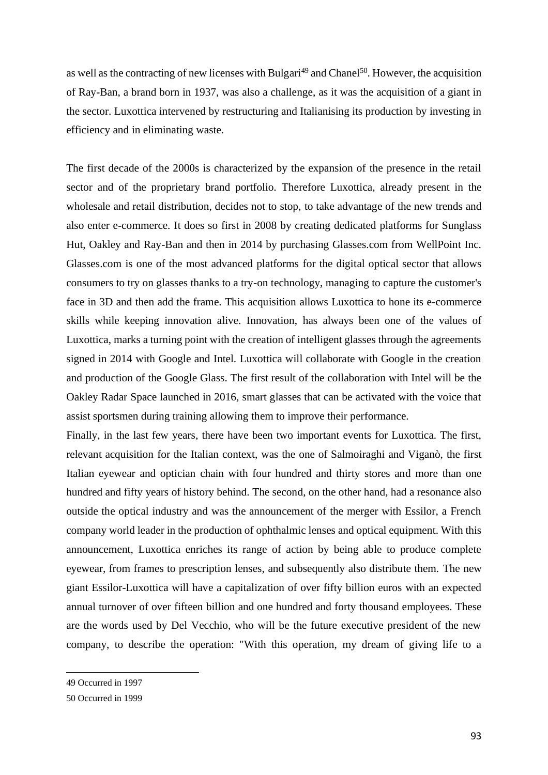as well as the contracting of new licenses with Bulgari<sup>49</sup> and Chanel<sup>50</sup>. However, the acquisition of Ray-Ban, a brand born in 1937, was also a challenge, as it was the acquisition of a giant in the sector. Luxottica intervened by restructuring and Italianising its production by investing in efficiency and in eliminating waste.

The first decade of the 2000s is characterized by the expansion of the presence in the retail sector and of the proprietary brand portfolio. Therefore Luxottica, already present in the wholesale and retail distribution, decides not to stop, to take advantage of the new trends and also enter e-commerce. It does so first in 2008 by creating dedicated platforms for Sunglass Hut, Oakley and Ray-Ban and then in 2014 by purchasing Glasses.com from WellPoint Inc. Glasses.com is one of the most advanced platforms for the digital optical sector that allows consumers to try on glasses thanks to a try-on technology, managing to capture the customer's face in 3D and then add the frame. This acquisition allows Luxottica to hone its e-commerce skills while keeping innovation alive. Innovation, has always been one of the values of Luxottica, marks a turning point with the creation of intelligent glasses through the agreements signed in 2014 with Google and Intel. Luxottica will collaborate with Google in the creation and production of the Google Glass. The first result of the collaboration with Intel will be the Oakley Radar Space launched in 2016, smart glasses that can be activated with the voice that assist sportsmen during training allowing them to improve their performance.

Finally, in the last few years, there have been two important events for Luxottica. The first, relevant acquisition for the Italian context, was the one of Salmoiraghi and Viganò, the first Italian eyewear and optician chain with four hundred and thirty stores and more than one hundred and fifty years of history behind. The second, on the other hand, had a resonance also outside the optical industry and was the announcement of the merger with Essilor, a French company world leader in the production of ophthalmic lenses and optical equipment. With this announcement, Luxottica enriches its range of action by being able to produce complete eyewear, from frames to prescription lenses, and subsequently also distribute them. The new giant Essilor-Luxottica will have a capitalization of over fifty billion euros with an expected annual turnover of over fifteen billion and one hundred and forty thousand employees. These are the words used by Del Vecchio, who will be the future executive president of the new company, to describe the operation: "With this operation, my dream of giving life to a

<sup>49</sup> Occurred in 1997

<sup>50</sup> Occurred in 1999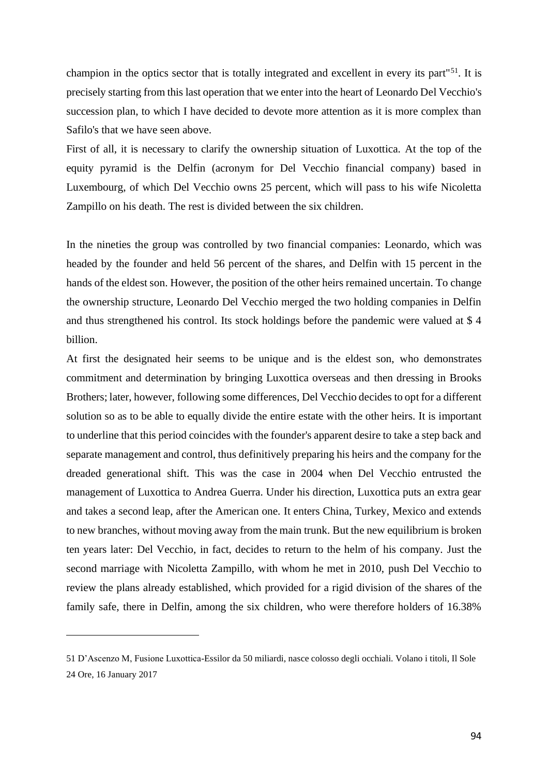champion in the optics sector that is totally integrated and excellent in every its part"<sup>51</sup>. It is precisely starting from this last operation that we enter into the heart of Leonardo Del Vecchio's succession plan, to which I have decided to devote more attention as it is more complex than Safilo's that we have seen above.

First of all, it is necessary to clarify the ownership situation of Luxottica. At the top of the equity pyramid is the Delfin (acronym for Del Vecchio financial company) based in Luxembourg, of which Del Vecchio owns 25 percent, which will pass to his wife Nicoletta Zampillo on his death. The rest is divided between the six children.

In the nineties the group was controlled by two financial companies: Leonardo, which was headed by the founder and held 56 percent of the shares, and Delfin with 15 percent in the hands of the eldest son. However, the position of the other heirs remained uncertain. To change the ownership structure, Leonardo Del Vecchio merged the two holding companies in Delfin and thus strengthened his control. Its stock holdings before the pandemic were valued at \$ 4 billion.

At first the designated heir seems to be unique and is the eldest son, who demonstrates commitment and determination by bringing Luxottica overseas and then dressing in Brooks Brothers; later, however, following some differences, Del Vecchio decides to opt for a different solution so as to be able to equally divide the entire estate with the other heirs. It is important to underline that this period coincides with the founder's apparent desire to take a step back and separate management and control, thus definitively preparing his heirs and the company for the dreaded generational shift. This was the case in 2004 when Del Vecchio entrusted the management of Luxottica to Andrea Guerra. Under his direction, Luxottica puts an extra gear and takes a second leap, after the American one. It enters China, Turkey, Mexico and extends to new branches, without moving away from the main trunk. But the new equilibrium is broken ten years later: Del Vecchio, in fact, decides to return to the helm of his company. Just the second marriage with Nicoletta Zampillo, with whom he met in 2010, push Del Vecchio to review the plans already established, which provided for a rigid division of the shares of the family safe, there in Delfin, among the six children, who were therefore holders of 16.38%

<sup>51</sup> D'Ascenzo M, Fusione Luxottica-Essilor da 50 miliardi, nasce colosso degli occhiali. Volano i titoli, Il Sole 24 Ore, 16 January 2017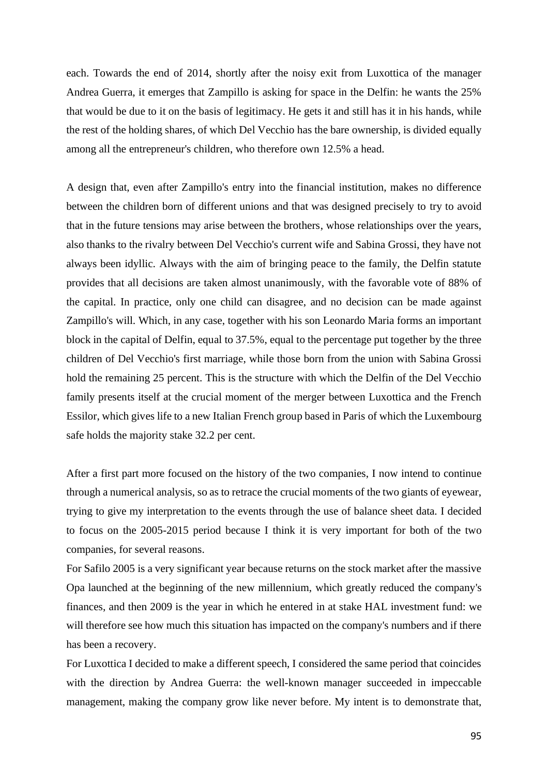each. Towards the end of 2014, shortly after the noisy exit from Luxottica of the manager Andrea Guerra, it emerges that Zampillo is asking for space in the Delfin: he wants the 25% that would be due to it on the basis of legitimacy. He gets it and still has it in his hands, while the rest of the holding shares, of which Del Vecchio has the bare ownership, is divided equally among all the entrepreneur's children, who therefore own 12.5% a head.

A design that, even after Zampillo's entry into the financial institution, makes no difference between the children born of different unions and that was designed precisely to try to avoid that in the future tensions may arise between the brothers, whose relationships over the years, also thanks to the rivalry between Del Vecchio's current wife and Sabina Grossi, they have not always been idyllic. Always with the aim of bringing peace to the family, the Delfin statute provides that all decisions are taken almost unanimously, with the favorable vote of 88% of the capital. In practice, only one child can disagree, and no decision can be made against Zampillo's will. Which, in any case, together with his son Leonardo Maria forms an important block in the capital of Delfin, equal to 37.5%, equal to the percentage put together by the three children of Del Vecchio's first marriage, while those born from the union with Sabina Grossi hold the remaining 25 percent. This is the structure with which the Delfin of the Del Vecchio family presents itself at the crucial moment of the merger between Luxottica and the French Essilor, which gives life to a new Italian French group based in Paris of which the Luxembourg safe holds the majority stake 32.2 per cent.

After a first part more focused on the history of the two companies, I now intend to continue through a numerical analysis, so as to retrace the crucial moments of the two giants of eyewear, trying to give my interpretation to the events through the use of balance sheet data. I decided to focus on the 2005-2015 period because I think it is very important for both of the two companies, for several reasons.

For Safilo 2005 is a very significant year because returns on the stock market after the massive Opa launched at the beginning of the new millennium, which greatly reduced the company's finances, and then 2009 is the year in which he entered in at stake HAL investment fund: we will therefore see how much this situation has impacted on the company's numbers and if there has been a recovery.

For Luxottica I decided to make a different speech, I considered the same period that coincides with the direction by Andrea Guerra: the well-known manager succeeded in impeccable management, making the company grow like never before. My intent is to demonstrate that,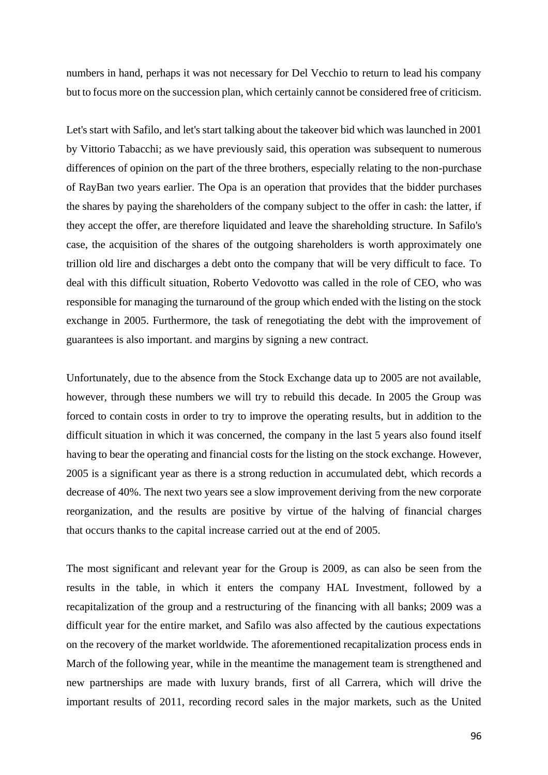numbers in hand, perhaps it was not necessary for Del Vecchio to return to lead his company but to focus more on the succession plan, which certainly cannot be considered free of criticism.

Let's start with Safilo, and let's start talking about the takeover bid which was launched in 2001 by Vittorio Tabacchi; as we have previously said, this operation was subsequent to numerous differences of opinion on the part of the three brothers, especially relating to the non-purchase of RayBan two years earlier. The Opa is an operation that provides that the bidder purchases the shares by paying the shareholders of the company subject to the offer in cash: the latter, if they accept the offer, are therefore liquidated and leave the shareholding structure. In Safilo's case, the acquisition of the shares of the outgoing shareholders is worth approximately one trillion old lire and discharges a debt onto the company that will be very difficult to face. To deal with this difficult situation, Roberto Vedovotto was called in the role of CEO, who was responsible for managing the turnaround of the group which ended with the listing on the stock exchange in 2005. Furthermore, the task of renegotiating the debt with the improvement of guarantees is also important. and margins by signing a new contract.

Unfortunately, due to the absence from the Stock Exchange data up to 2005 are not available, however, through these numbers we will try to rebuild this decade. In 2005 the Group was forced to contain costs in order to try to improve the operating results, but in addition to the difficult situation in which it was concerned, the company in the last 5 years also found itself having to bear the operating and financial costs for the listing on the stock exchange. However, 2005 is a significant year as there is a strong reduction in accumulated debt, which records a decrease of 40%. The next two years see a slow improvement deriving from the new corporate reorganization, and the results are positive by virtue of the halving of financial charges that occurs thanks to the capital increase carried out at the end of 2005.

The most significant and relevant year for the Group is 2009, as can also be seen from the results in the table, in which it enters the company HAL Investment, followed by a recapitalization of the group and a restructuring of the financing with all banks; 2009 was a difficult year for the entire market, and Safilo was also affected by the cautious expectations on the recovery of the market worldwide. The aforementioned recapitalization process ends in March of the following year, while in the meantime the management team is strengthened and new partnerships are made with luxury brands, first of all Carrera, which will drive the important results of 2011, recording record sales in the major markets, such as the United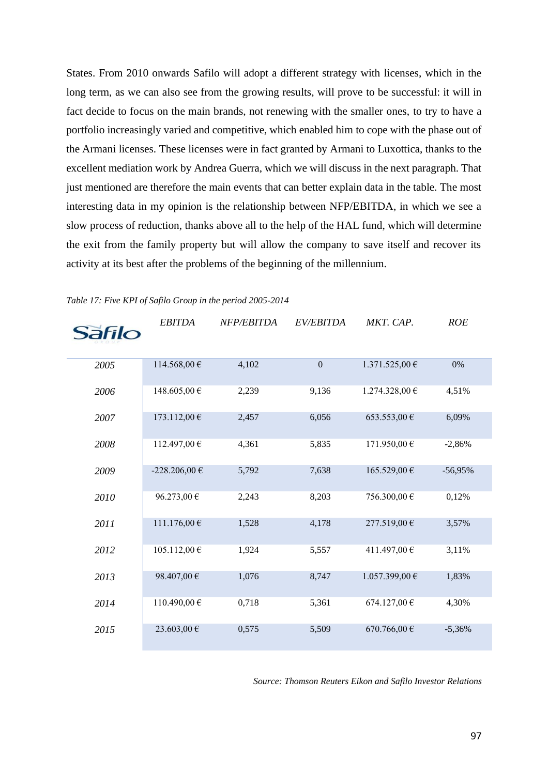States. From 2010 onwards Safilo will adopt a different strategy with licenses, which in the long term, as we can also see from the growing results, will prove to be successful: it will in fact decide to focus on the main brands, not renewing with the smaller ones, to try to have a portfolio increasingly varied and competitive, which enabled him to cope with the phase out of the Armani licenses. These licenses were in fact granted by Armani to Luxottica, thanks to the excellent mediation work by Andrea Guerra, which we will discuss in the next paragraph. That just mentioned are therefore the main events that can better explain data in the table. The most interesting data in my opinion is the relationship between NFP/EBITDA, in which we see a slow process of reduction, thanks above all to the help of the HAL fund, which will determine the exit from the family property but will allow the company to save itself and recover its activity at its best after the problems of the beginning of the millennium.

| <b>Safilo</b> | <b>EBITDA</b> | <i>NFP/EBITDA</i> | EV/EBITDA    | MKT. CAP.        | <b>ROE</b> |
|---------------|---------------|-------------------|--------------|------------------|------------|
|               |               |                   |              |                  |            |
| 2005          | 114.568,00 €  | 4,102             | $\mathbf{0}$ | 1.371.525,00€    | 0%         |
| 2006          | 148.605,00 €  | 2,239             | 9,136        | 1.274.328,00€    | 4,51%      |
| 2007          | 173.112,00 €  | 2,457             | 6,056        | 653.553,00 €     | 6,09%      |
| 2008          | 112.497,00€   | 4,361             | 5,835        | 171.950,00€      | $-2,86%$   |
| 2009          | -228.206,00 € | 5,792             | 7,638        | 165.529,00 €     | $-56,95%$  |
| 2010          | 96.273,00 €   | 2,243             | 8,203        | 756.300,00 €     | 0,12%      |
| 2011          | 111.176,00 €  | 1,528             | 4,178        | 277.519,00 €     | 3,57%      |
| 2012          | 105.112,00 €  | 1,924             | 5,557        | 411.497,00€      | 3,11%      |
| 2013          | 98.407,00€    | 1,076             | 8,747        | 1.057.399,00 €   | 1,83%      |
| 2014          | 110.490,00€   | 0,718             | 5,361        | 674.127,00 €     | 4,30%      |
| 2015          | 23.603,00 €   | 0,575             | 5,509        | $670.766,00 \in$ | $-5,36%$   |

*Table 17: Five KPI of Safilo Group in the period 2005-2014*

*Source: Thomson Reuters Eikon and Safilo Investor Relations*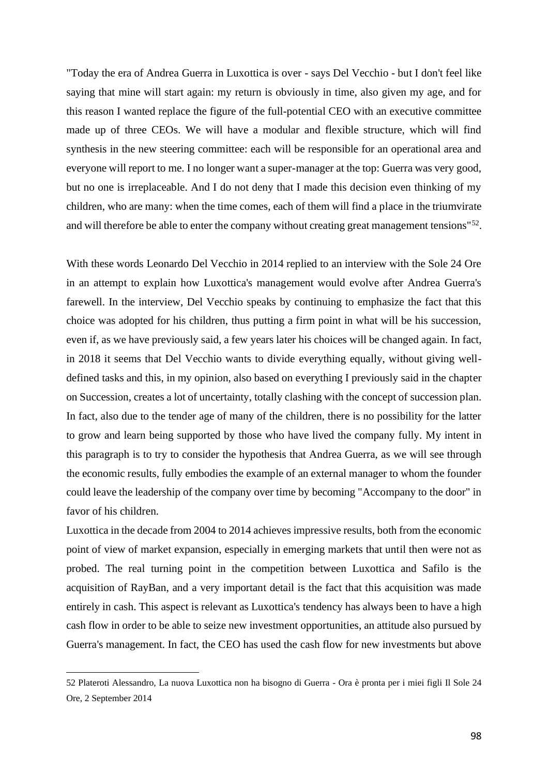"Today the era of Andrea Guerra in Luxottica is over - says Del Vecchio - but I don't feel like saying that mine will start again: my return is obviously in time, also given my age, and for this reason I wanted replace the figure of the full-potential CEO with an executive committee made up of three CEOs. We will have a modular and flexible structure, which will find synthesis in the new steering committee: each will be responsible for an operational area and everyone will report to me. I no longer want a super-manager at the top: Guerra was very good, but no one is irreplaceable. And I do not deny that I made this decision even thinking of my children, who are many: when the time comes, each of them will find a place in the triumvirate and will therefore be able to enter the company without creating great management tensions"<sup>52</sup>.

With these words Leonardo Del Vecchio in 2014 replied to an interview with the Sole 24 Ore in an attempt to explain how Luxottica's management would evolve after Andrea Guerra's farewell. In the interview, Del Vecchio speaks by continuing to emphasize the fact that this choice was adopted for his children, thus putting a firm point in what will be his succession, even if, as we have previously said, a few years later his choices will be changed again. In fact, in 2018 it seems that Del Vecchio wants to divide everything equally, without giving welldefined tasks and this, in my opinion, also based on everything I previously said in the chapter on Succession, creates a lot of uncertainty, totally clashing with the concept of succession plan. In fact, also due to the tender age of many of the children, there is no possibility for the latter to grow and learn being supported by those who have lived the company fully. My intent in this paragraph is to try to consider the hypothesis that Andrea Guerra, as we will see through the economic results, fully embodies the example of an external manager to whom the founder could leave the leadership of the company over time by becoming "Accompany to the door" in favor of his children.

Luxottica in the decade from 2004 to 2014 achieves impressive results, both from the economic point of view of market expansion, especially in emerging markets that until then were not as probed. The real turning point in the competition between Luxottica and Safilo is the acquisition of RayBan, and a very important detail is the fact that this acquisition was made entirely in cash. This aspect is relevant as Luxottica's tendency has always been to have a high cash flow in order to be able to seize new investment opportunities, an attitude also pursued by Guerra's management. In fact, the CEO has used the cash flow for new investments but above

<sup>52</sup> Plateroti Alessandro, La nuova Luxottica non ha bisogno di Guerra - Ora è pronta per i miei figli Il Sole 24 Ore, 2 September 2014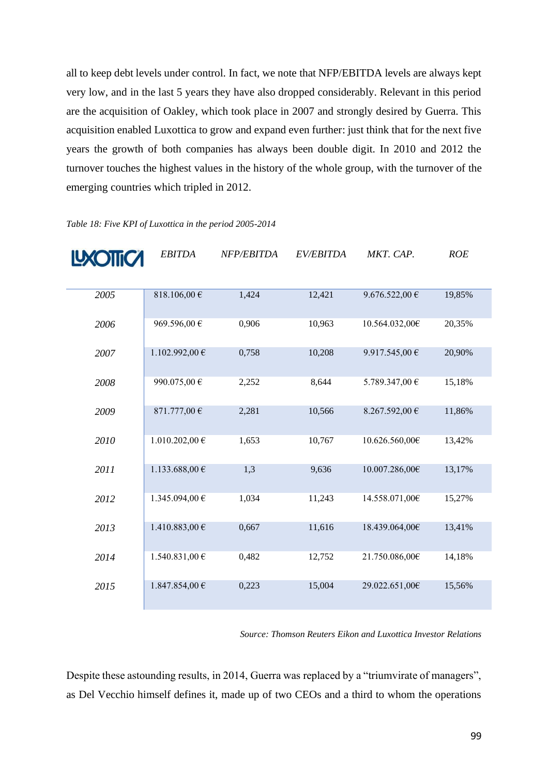all to keep debt levels under control. In fact, we note that NFP/EBITDA levels are always kept very low, and in the last 5 years they have also dropped considerably. Relevant in this period are the acquisition of Oakley, which took place in 2007 and strongly desired by Guerra. This acquisition enabled Luxottica to grow and expand even further: just think that for the next five years the growth of both companies has always been double digit. In 2010 and 2012 the turnover touches the highest values in the history of the whole group, with the turnover of the emerging countries which tripled in 2012.

| LXOTTCA | <b>EBITDA</b>             | NFP/EBITDA | EV/EBITDA | MKT. CAP.          | <b>ROE</b> |
|---------|---------------------------|------------|-----------|--------------------|------------|
| 2005    | 818.106,00 $\overline{e}$ | 1,424      | 12,421    | 9.676.522,00 $\in$ | 19,85%     |
| 2006    | 969.596,00€               | 0,906      | 10,963    | 10.564.032,00€     | 20,35%     |
| 2007    | 1.102.992,00 €            | 0,758      | 10,208    | 9.917.545,00 €     | 20,90%     |
| 2008    | 990.075,00€               | 2,252      | 8,644     | 5.789.347,00 €     | 15,18%     |
| 2009    | 871.777,00 €              | 2,281      | 10,566    | 8.267.592,00 €     | 11,86%     |
| 2010    | $1.010.202,00 \in$        | 1,653      | 10,767    | 10.626.560,00€     | 13,42%     |
| 2011    | 1.133.688,00 €            | 1,3        | 9,636     | 10.007.286,00€     | 13,17%     |
| 2012    | 1.345.094,00 €            | 1,034      | 11,243    | 14.558.071,00€     | 15,27%     |
| 2013    | 1.410.883,00 €            | 0,667      | 11,616    | 18.439.064,00€     | 13,41%     |
| 2014    | 1.540.831,00 €            | 0,482      | 12,752    | 21.750.086,00€     | 14,18%     |
| 2015    | 1.847.854,00€             | 0,223      | 15,004    | 29.022.651,00€     | 15,56%     |

*Table 18: Five KPI of Luxottica in the period 2005-2014*

*Source: Thomson Reuters Eikon and Luxottica Investor Relations*

Despite these astounding results, in 2014, Guerra was replaced by a "triumvirate of managers", as Del Vecchio himself defines it, made up of two CEOs and a third to whom the operations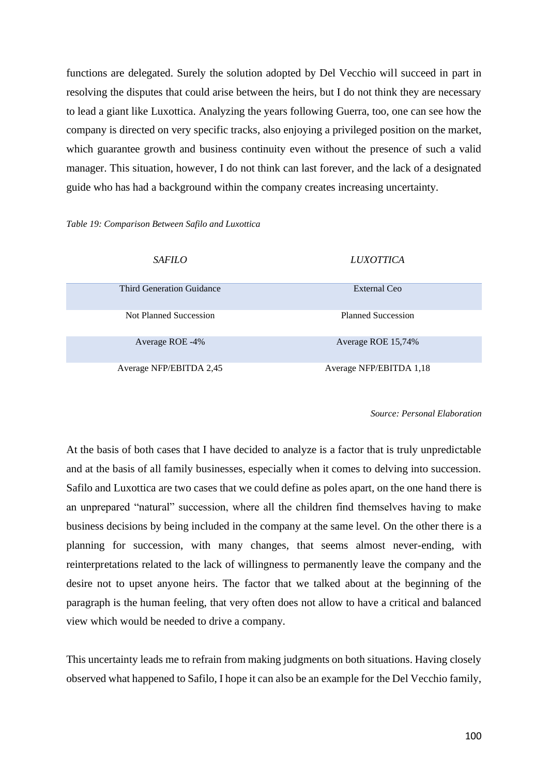functions are delegated. Surely the solution adopted by Del Vecchio will succeed in part in resolving the disputes that could arise between the heirs, but I do not think they are necessary to lead a giant like Luxottica. Analyzing the years following Guerra, too, one can see how the company is directed on very specific tracks, also enjoying a privileged position on the market, which guarantee growth and business continuity even without the presence of such a valid manager. This situation, however, I do not think can last forever, and the lack of a designated guide who has had a background within the company creates increasing uncertainty.

#### *Table 19: Comparison Between Safilo and Luxottica*

| <i>SAFILO</i>             | LUXOTTICA                 |
|---------------------------|---------------------------|
| Third Generation Guidance | External Ceo              |
| Not Planned Succession    | <b>Planned Succession</b> |
| Average ROE -4%           | Average ROE 15,74%        |
| Average NFP/EBITDA 2,45   | Average NFP/EBITDA 1,18   |

*Source: Personal Elaboration* 

At the basis of both cases that I have decided to analyze is a factor that is truly unpredictable and at the basis of all family businesses, especially when it comes to delving into succession. Safilo and Luxottica are two cases that we could define as poles apart, on the one hand there is an unprepared "natural" succession, where all the children find themselves having to make business decisions by being included in the company at the same level. On the other there is a planning for succession, with many changes, that seems almost never-ending, with reinterpretations related to the lack of willingness to permanently leave the company and the desire not to upset anyone heirs. The factor that we talked about at the beginning of the paragraph is the human feeling, that very often does not allow to have a critical and balanced view which would be needed to drive a company.

This uncertainty leads me to refrain from making judgments on both situations. Having closely observed what happened to Safilo, I hope it can also be an example for the Del Vecchio family,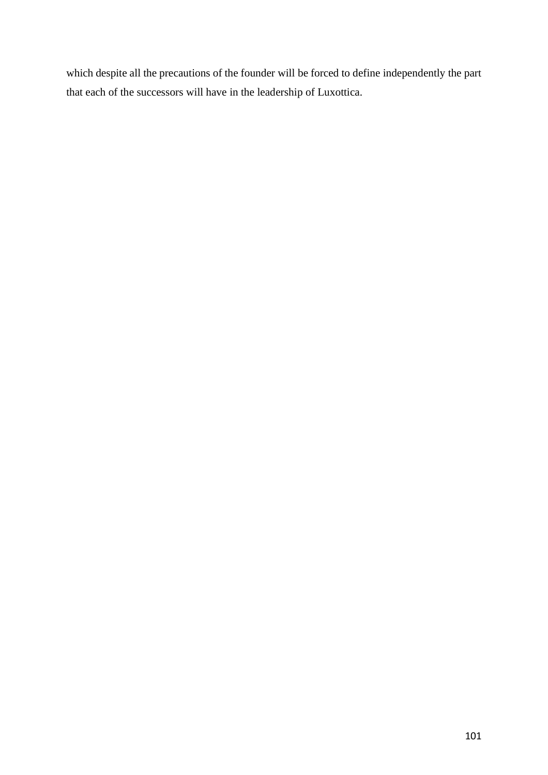which despite all the precautions of the founder will be forced to define independently the part that each of the successors will have in the leadership of Luxottica.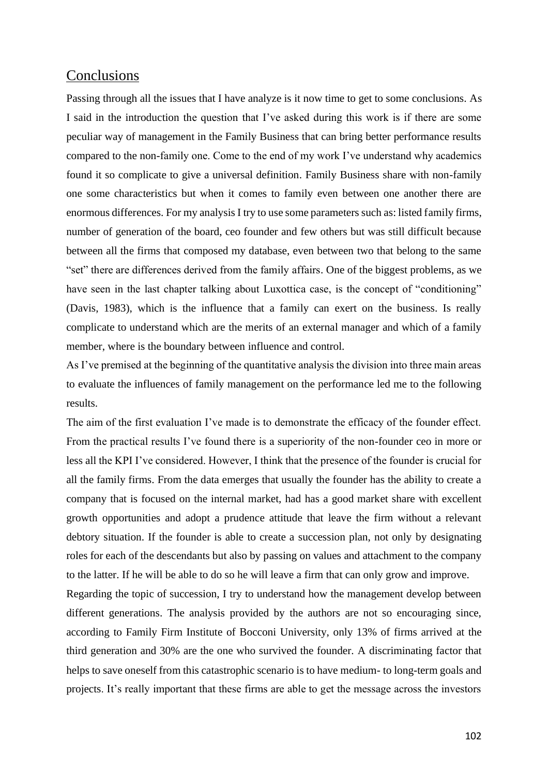### **Conclusions**

Passing through all the issues that I have analyze is it now time to get to some conclusions. As I said in the introduction the question that I've asked during this work is if there are some peculiar way of management in the Family Business that can bring better performance results compared to the non-family one. Come to the end of my work I've understand why academics found it so complicate to give a universal definition. Family Business share with non-family one some characteristics but when it comes to family even between one another there are enormous differences. For my analysis I try to use some parameters such as: listed family firms, number of generation of the board, ceo founder and few others but was still difficult because between all the firms that composed my database, even between two that belong to the same "set" there are differences derived from the family affairs. One of the biggest problems, as we have seen in the last chapter talking about Luxottica case, is the concept of "conditioning" (Davis, 1983), which is the influence that a family can exert on the business. Is really complicate to understand which are the merits of an external manager and which of a family member, where is the boundary between influence and control.

As I've premised at the beginning of the quantitative analysis the division into three main areas to evaluate the influences of family management on the performance led me to the following results.

The aim of the first evaluation I've made is to demonstrate the efficacy of the founder effect. From the practical results I've found there is a superiority of the non-founder ceo in more or less all the KPI I've considered. However, I think that the presence of the founder is crucial for all the family firms. From the data emerges that usually the founder has the ability to create a company that is focused on the internal market, had has a good market share with excellent growth opportunities and adopt a prudence attitude that leave the firm without a relevant debtory situation. If the founder is able to create a succession plan, not only by designating roles for each of the descendants but also by passing on values and attachment to the company to the latter. If he will be able to do so he will leave a firm that can only grow and improve.

Regarding the topic of succession, I try to understand how the management develop between different generations. The analysis provided by the authors are not so encouraging since, according to Family Firm Institute of Bocconi University, only 13% of firms arrived at the third generation and 30% are the one who survived the founder. A discriminating factor that helps to save oneself from this catastrophic scenario is to have medium- to long-term goals and projects. It's really important that these firms are able to get the message across the investors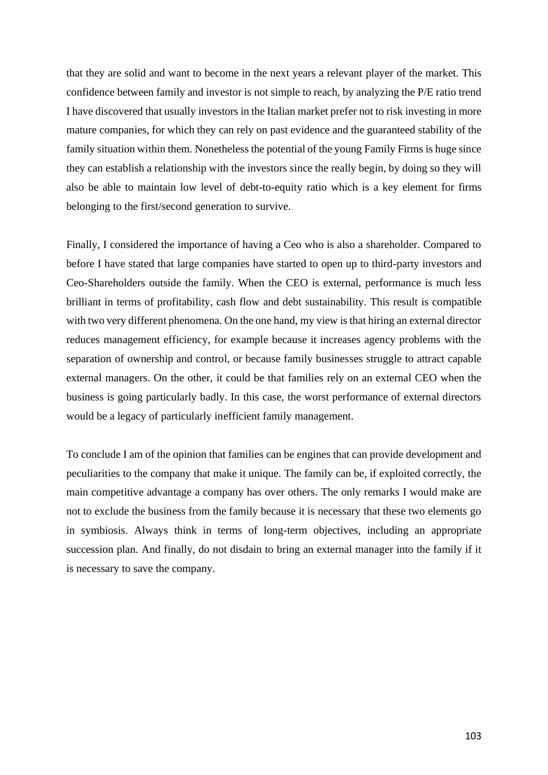that they are solid and want to become in the next years a relevant player of the market. This confidence between family and investor is not simple to reach, by analyzing the P/E ratio trend I have discovered that usually investors in the Italian market prefer not to risk investing in more mature companies, for which they can rely on past evidence and the guaranteed stability of the family situation within them. Nonetheless the potential of the young Family Firms is huge since they can establish a relationship with the investors since the really begin, by doing so they will also be able to maintain low level of debt-to-equity ratio which is a key element for firms belonging to the first/second generation to survive.

Finally, I considered the importance of having a Ceo who is also a shareholder. Compared to before I have stated that large companies have started to open up to third-party investors and Ceo-Shareholders outside the family. When the CEO is external, performance is much less brilliant in terms of profitability, cash flow and debt sustainability. This result is compatible with two very different phenomena. On the one hand, my view is that hiring an external director reduces management efficiency, for example because it increases agency problems with the separation of ownership and control, or because family businesses struggle to attract capable external managers. On the other, it could be that families rely on an external CEO when the business is going particularly badly. In this case, the worst performance of external directors would be a legacy of particularly inefficient family management.

To conclude I am of the opinion that families can be engines that can provide development and peculiarities to the company that make it unique. The family can be, if exploited correctly, the main competitive advantage a company has over others. The only remarks I would make are not to exclude the business from the family because it is necessary that these two elements go in symbiosis. Always think in terms of long-term objectives, including an appropriate succession plan. And finally, do not disdain to bring an external manager into the family if it is necessary to save the company.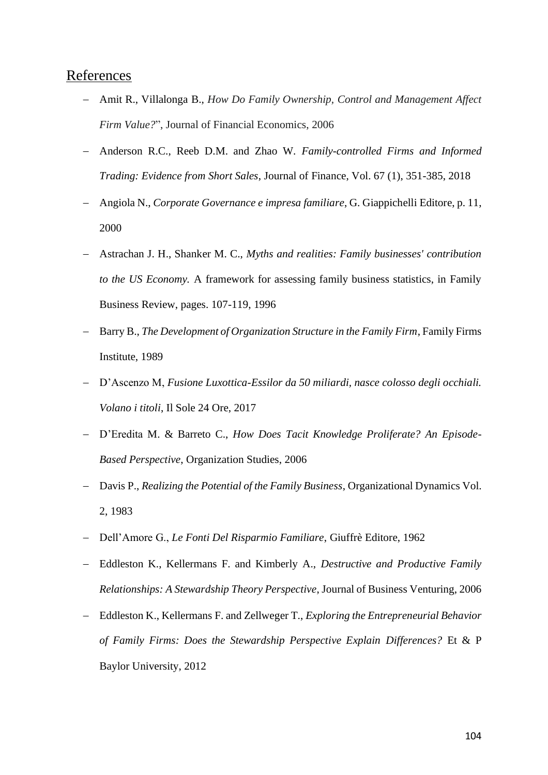### References

- − Amit R., Villalonga B., *How Do Family Ownership, Control and Management Affect Firm Value?*", Journal of Financial Economics, 2006
- − Anderson R.C., Reeb D.M. and Zhao W. *Family-controlled Firms and Informed Trading: Evidence from Short Sales*, Journal of Finance, Vol. 67 (1), 351-385, 2018
- − Angiola N., *Corporate Governance e impresa familiare*, G. Giappichelli Editore, p. 11, 2000
- − Astrachan J. H., Shanker M. C., *Myths and realities: Family businesses' contribution to the US Economy.* A framework for assessing family business statistics, in Family Business Review, pages. 107-119, 1996
- − Barry B., *The Development of Organization Structure in the Family Firm*, Family Firms Institute, 1989
- − D'Ascenzo M, *Fusione Luxottica-Essilor da 50 miliardi, nasce colosso degli occhiali. Volano i titoli*, Il Sole 24 Ore, 2017
- − D'Eredita M. & Barreto C., *How Does Tacit Knowledge Proliferate? An Episode-Based Perspective*, Organization Studies, 2006
- − Davis P., *Realizing the Potential of the Family Business*, Organizational Dynamics Vol. 2, 1983
- − Dell'Amore G., *Le Fonti Del Risparmio Familiare*, Giuffrè Editore, 1962
- − Eddleston K., Kellermans F. and Kimberly A., *Destructive and Productive Family Relationships: A Stewardship Theory Perspective*, Journal of Business Venturing, 2006
- − Eddleston K., Kellermans F. and Zellweger T., *Exploring the Entrepreneurial Behavior of Family Firms: Does the Stewardship Perspective Explain Differences?* Et & P Baylor University, 2012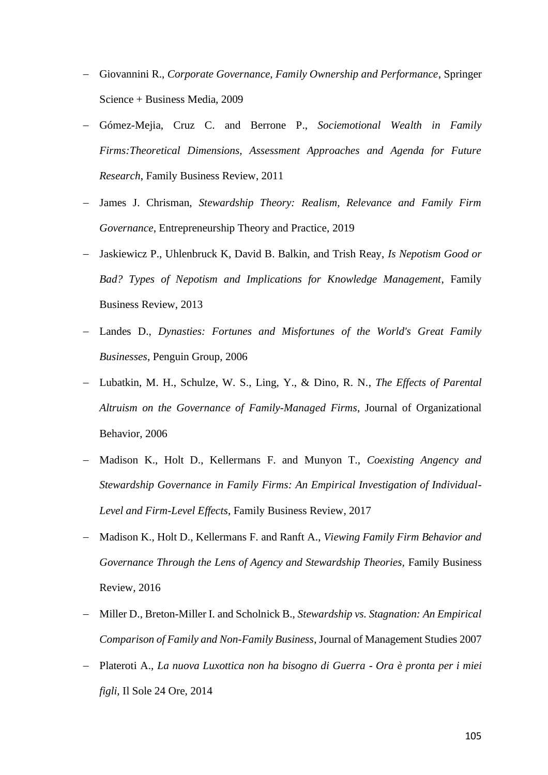- − Giovannini R., *Corporate Governance, Family Ownership and Performance*, Springer Science + Business Media, 2009
- − Gómez-Mejia, Cruz C. and Berrone P., *Sociemotional Wealth in Family Firms:Theoretical Dimensions, Assessment Approaches and Agenda for Future Research*, Family Business Review, 2011
- James J. Chrisman, *Stewardship Theory: Realism, Relevance and Family Firm Governance*, Entrepreneurship Theory and Practice, 2019
- − Jaskiewicz P., Uhlenbruck K, David B. Balkin, and Trish Reay, *Is Nepotism Good or Bad? Types of Nepotism and Implications for Knowledge Management*, Family Business Review, 2013
- − Landes D., *Dynasties: Fortunes and Misfortunes of the World's Great Family Businesses*, Penguin Group, 2006
- − Lubatkin, M. H., Schulze, W. S., Ling, Y., & Dino, R. N., *The Effects of Parental Altruism on the Governance of Family-Managed Firms*, Journal of Organizational Behavior, 2006
- − Madison K., Holt D., Kellermans F. and Munyon T., *Coexisting Angency and Stewardship Governance in Family Firms: An Empirical Investigation of Individual-Level and Firm-Level Effects*, Family Business Review, 2017
- − Madison K., Holt D., Kellermans F. and Ranft A., *Viewing Family Firm Behavior and*  Governance Through the Lens of Agency and Stewardship Theories, Family Business Review, 2016
- − Miller D., Breton-Miller I. and Scholnick B., *Stewardship vs. Stagnation: An Empirical Comparison of Family and Non-Family Business*, Journal of Management Studies 2007
- − Plateroti A., *La nuova Luxottica non ha bisogno di Guerra - Ora è pronta per i miei figli,* Il Sole 24 Ore, 2014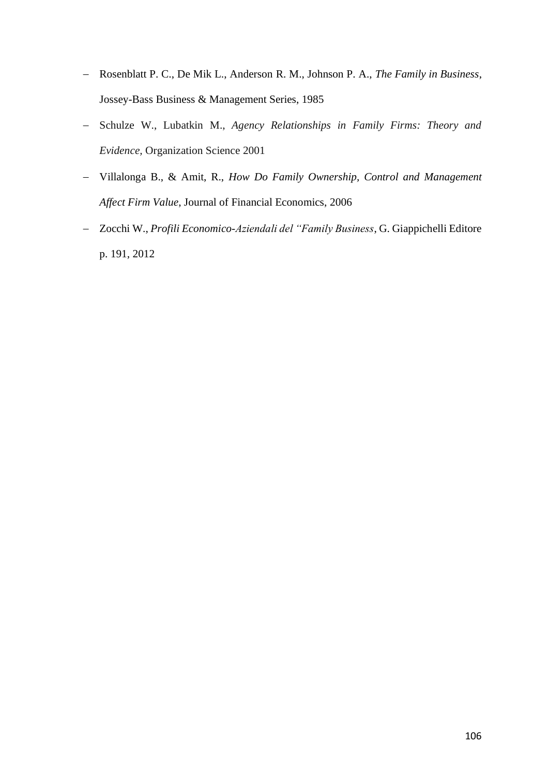- − Rosenblatt P. C., De Mik L., Anderson R. M., Johnson P. A., *The Family in Business*, Jossey-Bass Business & Management Series, 1985
- − Schulze W., Lubatkin M., *Agency Relationships in Family Firms: Theory and Evidence,* Organization Science 2001
- − Villalonga B., & Amit, R., *How Do Family Ownership, Control and Management Affect Firm Value*, Journal of Financial Economics, 2006
- − Zocchi W., *Profili Economico-Aziendali del "Family Business*, G. Giappichelli Editore p. 191, 2012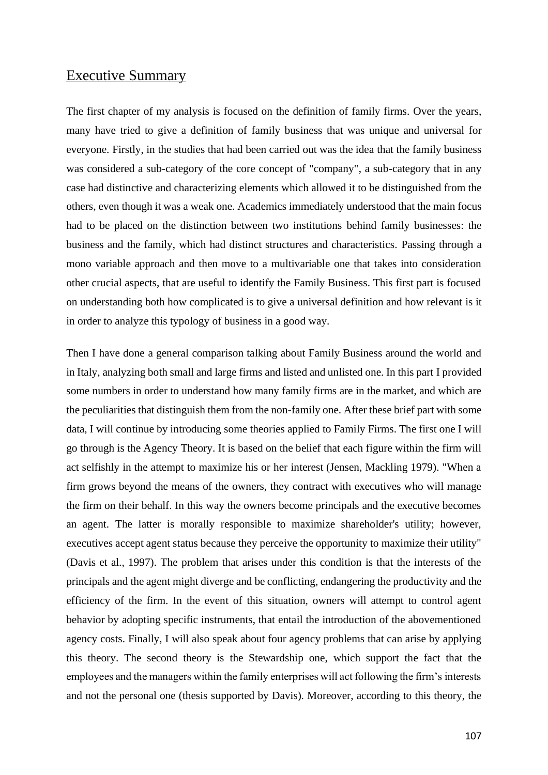### Executive Summary

The first chapter of my analysis is focused on the definition of family firms. Over the years, many have tried to give a definition of family business that was unique and universal for everyone. Firstly, in the studies that had been carried out was the idea that the family business was considered a sub-category of the core concept of "company", a sub-category that in any case had distinctive and characterizing elements which allowed it to be distinguished from the others, even though it was a weak one. Academics immediately understood that the main focus had to be placed on the distinction between two institutions behind family businesses: the business and the family, which had distinct structures and characteristics. Passing through a mono variable approach and then move to a multivariable one that takes into consideration other crucial aspects, that are useful to identify the Family Business. This first part is focused on understanding both how complicated is to give a universal definition and how relevant is it in order to analyze this typology of business in a good way.

Then I have done a general comparison talking about Family Business around the world and in Italy, analyzing both small and large firms and listed and unlisted one. In this part I provided some numbers in order to understand how many family firms are in the market, and which are the peculiarities that distinguish them from the non-family one. After these brief part with some data, I will continue by introducing some theories applied to Family Firms. The first one I will go through is the Agency Theory. It is based on the belief that each figure within the firm will act selfishly in the attempt to maximize his or her interest (Jensen, Mackling 1979). "When a firm grows beyond the means of the owners, they contract with executives who will manage the firm on their behalf. In this way the owners become principals and the executive becomes an agent. The latter is morally responsible to maximize shareholder's utility; however, executives accept agent status because they perceive the opportunity to maximize their utility" (Davis et al., 1997). The problem that arises under this condition is that the interests of the principals and the agent might diverge and be conflicting, endangering the productivity and the efficiency of the firm. In the event of this situation, owners will attempt to control agent behavior by adopting specific instruments, that entail the introduction of the abovementioned agency costs. Finally, I will also speak about four agency problems that can arise by applying this theory. The second theory is the Stewardship one, which support the fact that the employees and the managers within the family enterprises will act following the firm's interests and not the personal one (thesis supported by Davis). Moreover, according to this theory, the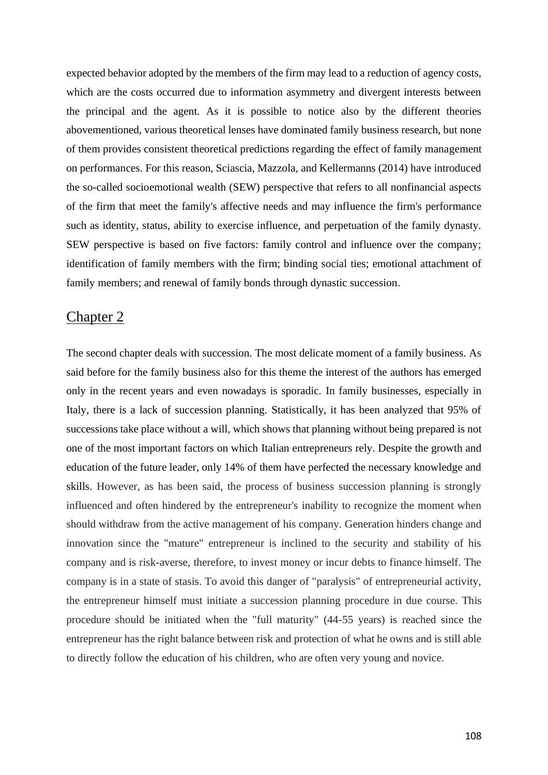expected behavior adopted by the members of the firm may lead to a reduction of agency costs, which are the costs occurred due to information asymmetry and divergent interests between the principal and the agent. As it is possible to notice also by the different theories abovementioned, various theoretical lenses have dominated family business research, but none of them provides consistent theoretical predictions regarding the effect of family management on performances. For this reason, Sciascia, Mazzola, and Kellermanns (2014) have introduced the so-called socioemotional wealth (SEW) perspective that refers to all nonfinancial aspects of the firm that meet the family's affective needs and may influence the firm's performance such as identity, status, ability to exercise influence, and perpetuation of the family dynasty. SEW perspective is based on five factors: family control and influence over the company; identification of family members with the firm; binding social ties; emotional attachment of family members; and renewal of family bonds through dynastic succession.

### Chapter 2

The second chapter deals with succession. The most delicate moment of a family business. As said before for the family business also for this theme the interest of the authors has emerged only in the recent years and even nowadays is sporadic. In family businesses, especially in Italy, there is a lack of succession planning. Statistically, it has been analyzed that 95% of successions take place without a will, which shows that planning without being prepared is not one of the most important factors on which Italian entrepreneurs rely. Despite the growth and education of the future leader, only 14% of them have perfected the necessary knowledge and skills. However, as has been said, the process of business succession planning is strongly influenced and often hindered by the entrepreneur's inability to recognize the moment when should withdraw from the active management of his company. Generation hinders change and innovation since the "mature" entrepreneur is inclined to the security and stability of his company and is risk-averse, therefore, to invest money or incur debts to finance himself. The company is in a state of stasis. To avoid this danger of "paralysis" of entrepreneurial activity, the entrepreneur himself must initiate a succession planning procedure in due course. This procedure should be initiated when the "full maturity" (44-55 years) is reached since the entrepreneur has the right balance between risk and protection of what he owns and is still able to directly follow the education of his children, who are often very young and novice.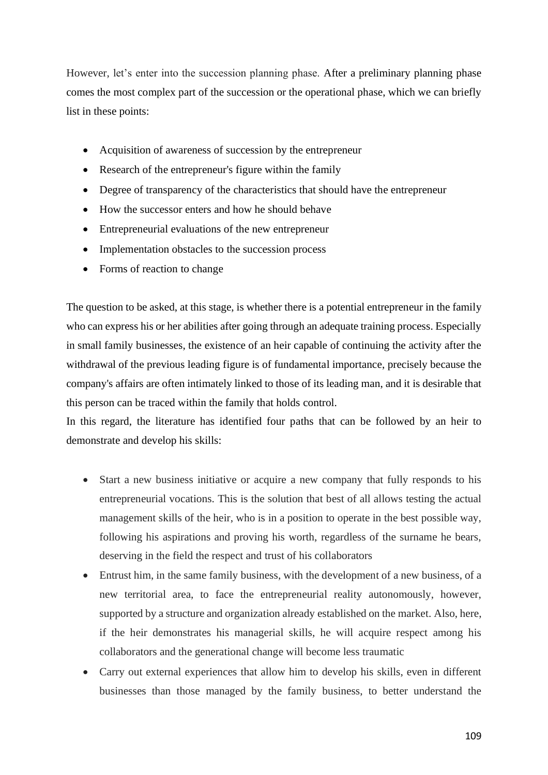However, let's enter into the succession planning phase. After a preliminary planning phase comes the most complex part of the succession or the operational phase, which we can briefly list in these points:

- Acquisition of awareness of succession by the entrepreneur
- Research of the entrepreneur's figure within the family
- Degree of transparency of the characteristics that should have the entrepreneur
- How the successor enters and how he should behave
- Entrepreneurial evaluations of the new entrepreneur
- Implementation obstacles to the succession process
- Forms of reaction to change

The question to be asked, at this stage, is whether there is a potential entrepreneur in the family who can express his or her abilities after going through an adequate training process. Especially in small family businesses, the existence of an heir capable of continuing the activity after the withdrawal of the previous leading figure is of fundamental importance, precisely because the company's affairs are often intimately linked to those of its leading man, and it is desirable that this person can be traced within the family that holds control.

In this regard, the literature has identified four paths that can be followed by an heir to demonstrate and develop his skills:

- Start a new business initiative or acquire a new company that fully responds to his entrepreneurial vocations. This is the solution that best of all allows testing the actual management skills of the heir, who is in a position to operate in the best possible way, following his aspirations and proving his worth, regardless of the surname he bears, deserving in the field the respect and trust of his collaborators
- Entrust him, in the same family business, with the development of a new business, of a new territorial area, to face the entrepreneurial reality autonomously, however, supported by a structure and organization already established on the market. Also, here, if the heir demonstrates his managerial skills, he will acquire respect among his collaborators and the generational change will become less traumatic
- Carry out external experiences that allow him to develop his skills, even in different businesses than those managed by the family business, to better understand the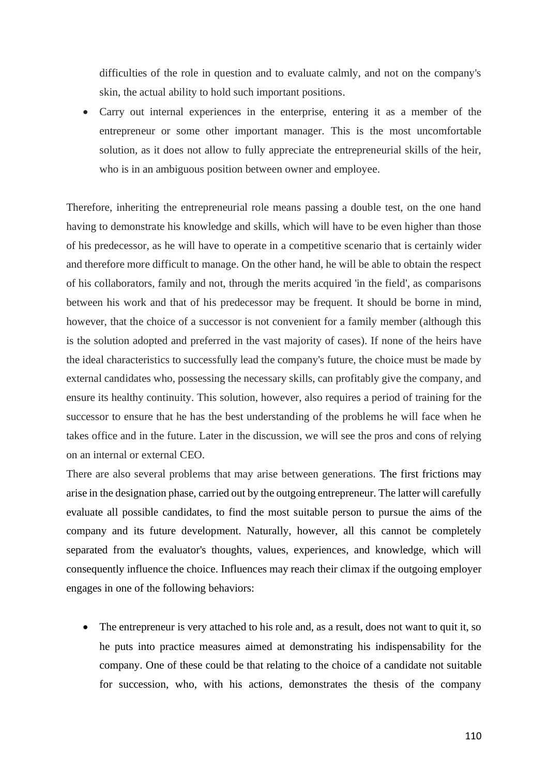difficulties of the role in question and to evaluate calmly, and not on the company's skin, the actual ability to hold such important positions.

• Carry out internal experiences in the enterprise, entering it as a member of the entrepreneur or some other important manager. This is the most uncomfortable solution, as it does not allow to fully appreciate the entrepreneurial skills of the heir, who is in an ambiguous position between owner and employee.

Therefore, inheriting the entrepreneurial role means passing a double test, on the one hand having to demonstrate his knowledge and skills, which will have to be even higher than those of his predecessor, as he will have to operate in a competitive scenario that is certainly wider and therefore more difficult to manage. On the other hand, he will be able to obtain the respect of his collaborators, family and not, through the merits acquired 'in the field', as comparisons between his work and that of his predecessor may be frequent. It should be borne in mind, however, that the choice of a successor is not convenient for a family member (although this is the solution adopted and preferred in the vast majority of cases). If none of the heirs have the ideal characteristics to successfully lead the company's future, the choice must be made by external candidates who, possessing the necessary skills, can profitably give the company, and ensure its healthy continuity. This solution, however, also requires a period of training for the successor to ensure that he has the best understanding of the problems he will face when he takes office and in the future. Later in the discussion, we will see the pros and cons of relying on an internal or external CEO.

There are also several problems that may arise between generations. The first frictions may arise in the designation phase, carried out by the outgoing entrepreneur. The latter will carefully evaluate all possible candidates, to find the most suitable person to pursue the aims of the company and its future development. Naturally, however, all this cannot be completely separated from the evaluator's thoughts, values, experiences, and knowledge, which will consequently influence the choice. Influences may reach their climax if the outgoing employer engages in one of the following behaviors:

The entrepreneur is very attached to his role and, as a result, does not want to quit it, so he puts into practice measures aimed at demonstrating his indispensability for the company. One of these could be that relating to the choice of a candidate not suitable for succession, who, with his actions, demonstrates the thesis of the company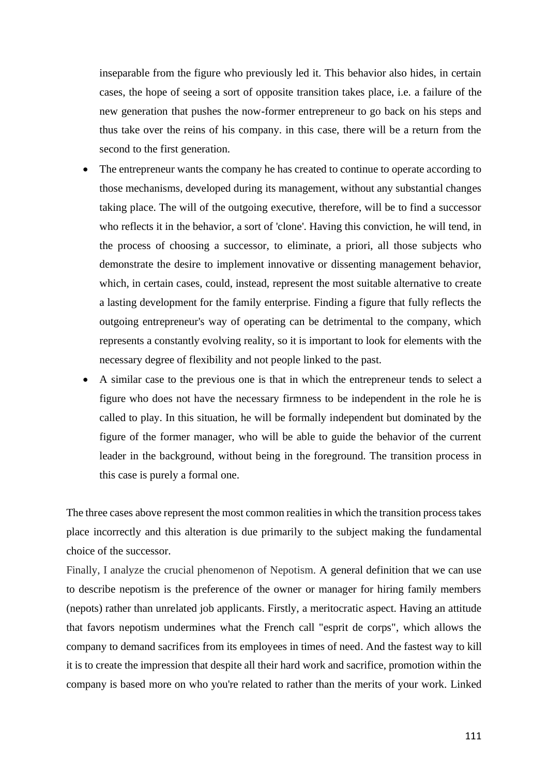inseparable from the figure who previously led it. This behavior also hides, in certain cases, the hope of seeing a sort of opposite transition takes place, i.e. a failure of the new generation that pushes the now-former entrepreneur to go back on his steps and thus take over the reins of his company. in this case, there will be a return from the second to the first generation.

- The entrepreneur wants the company he has created to continue to operate according to those mechanisms, developed during its management, without any substantial changes taking place. The will of the outgoing executive, therefore, will be to find a successor who reflects it in the behavior, a sort of 'clone'. Having this conviction, he will tend, in the process of choosing a successor, to eliminate, a priori, all those subjects who demonstrate the desire to implement innovative or dissenting management behavior, which, in certain cases, could, instead, represent the most suitable alternative to create a lasting development for the family enterprise. Finding a figure that fully reflects the outgoing entrepreneur's way of operating can be detrimental to the company, which represents a constantly evolving reality, so it is important to look for elements with the necessary degree of flexibility and not people linked to the past.
- A similar case to the previous one is that in which the entrepreneur tends to select a figure who does not have the necessary firmness to be independent in the role he is called to play. In this situation, he will be formally independent but dominated by the figure of the former manager, who will be able to guide the behavior of the current leader in the background, without being in the foreground. The transition process in this case is purely a formal one.

The three cases above represent the most common realities in which the transition process takes place incorrectly and this alteration is due primarily to the subject making the fundamental choice of the successor.

Finally, I analyze the crucial phenomenon of Nepotism. A general definition that we can use to describe nepotism is the preference of the owner or manager for hiring family members (nepots) rather than unrelated job applicants. Firstly, a meritocratic aspect. Having an attitude that favors nepotism undermines what the French call "esprit de corps", which allows the company to demand sacrifices from its employees in times of need. And the fastest way to kill it is to create the impression that despite all their hard work and sacrifice, promotion within the company is based more on who you're related to rather than the merits of your work. Linked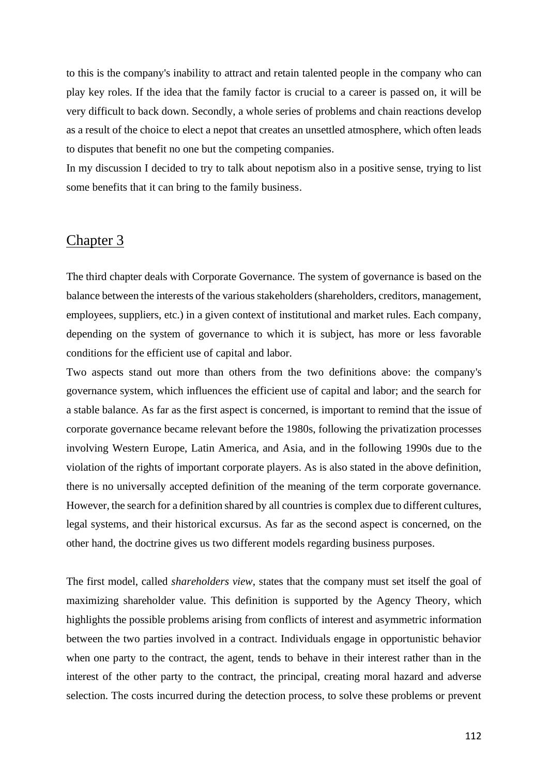to this is the company's inability to attract and retain talented people in the company who can play key roles. If the idea that the family factor is crucial to a career is passed on, it will be very difficult to back down. Secondly, a whole series of problems and chain reactions develop as a result of the choice to elect a nepot that creates an unsettled atmosphere, which often leads to disputes that benefit no one but the competing companies.

In my discussion I decided to try to talk about nepotism also in a positive sense, trying to list some benefits that it can bring to the family business.

## Chapter 3

The third chapter deals with Corporate Governance. The system of governance is based on the balance between the interests of the various stakeholders (shareholders, creditors, management, employees, suppliers, etc.) in a given context of institutional and market rules. Each company, depending on the system of governance to which it is subject, has more or less favorable conditions for the efficient use of capital and labor.

Two aspects stand out more than others from the two definitions above: the company's governance system, which influences the efficient use of capital and labor; and the search for a stable balance. As far as the first aspect is concerned, is important to remind that the issue of corporate governance became relevant before the 1980s, following the privatization processes involving Western Europe, Latin America, and Asia, and in the following 1990s due to the violation of the rights of important corporate players. As is also stated in the above definition, there is no universally accepted definition of the meaning of the term corporate governance. However, the search for a definition shared by all countries is complex due to different cultures, legal systems, and their historical excursus. As far as the second aspect is concerned, on the other hand, the doctrine gives us two different models regarding business purposes.

The first model, called *shareholders view*, states that the company must set itself the goal of maximizing shareholder value. This definition is supported by the Agency Theory, which highlights the possible problems arising from conflicts of interest and asymmetric information between the two parties involved in a contract. Individuals engage in opportunistic behavior when one party to the contract, the agent, tends to behave in their interest rather than in the interest of the other party to the contract, the principal, creating moral hazard and adverse selection. The costs incurred during the detection process, to solve these problems or prevent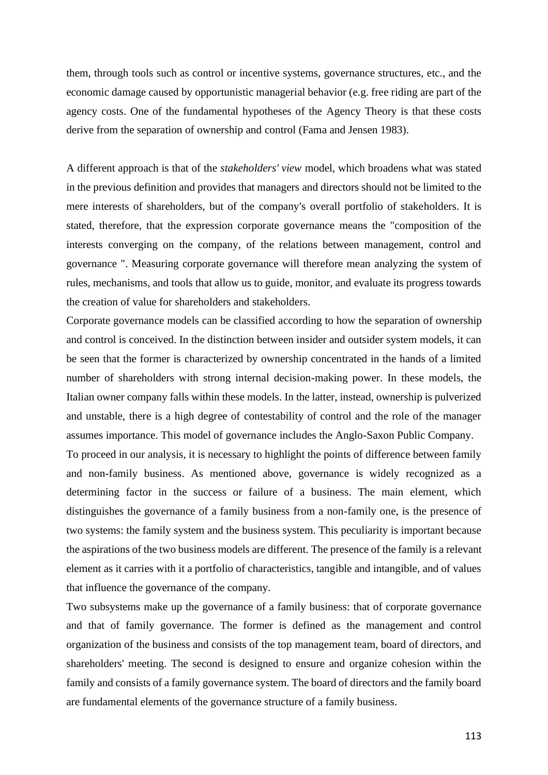them, through tools such as control or incentive systems, governance structures, etc., and the economic damage caused by opportunistic managerial behavior (e.g. free riding are part of the agency costs. One of the fundamental hypotheses of the Agency Theory is that these costs derive from the separation of ownership and control (Fama and Jensen 1983).

A different approach is that of the *stakeholders' view* model, which broadens what was stated in the previous definition and provides that managers and directors should not be limited to the mere interests of shareholders, but of the company's overall portfolio of stakeholders. It is stated, therefore, that the expression corporate governance means the "composition of the interests converging on the company, of the relations between management, control and governance ". Measuring corporate governance will therefore mean analyzing the system of rules, mechanisms, and tools that allow us to guide, monitor, and evaluate its progress towards the creation of value for shareholders and stakeholders.

Corporate governance models can be classified according to how the separation of ownership and control is conceived. In the distinction between insider and outsider system models, it can be seen that the former is characterized by ownership concentrated in the hands of a limited number of shareholders with strong internal decision-making power. In these models, the Italian owner company falls within these models. In the latter, instead, ownership is pulverized and unstable, there is a high degree of contestability of control and the role of the manager assumes importance. This model of governance includes the Anglo-Saxon Public Company.

To proceed in our analysis, it is necessary to highlight the points of difference between family and non-family business. As mentioned above, governance is widely recognized as a determining factor in the success or failure of a business. The main element, which distinguishes the governance of a family business from a non-family one, is the presence of two systems: the family system and the business system. This peculiarity is important because the aspirations of the two business models are different. The presence of the family is a relevant element as it carries with it a portfolio of characteristics, tangible and intangible, and of values that influence the governance of the company.

Two subsystems make up the governance of a family business: that of corporate governance and that of family governance. The former is defined as the management and control organization of the business and consists of the top management team, board of directors, and shareholders' meeting. The second is designed to ensure and organize cohesion within the family and consists of a family governance system. The board of directors and the family board are fundamental elements of the governance structure of a family business.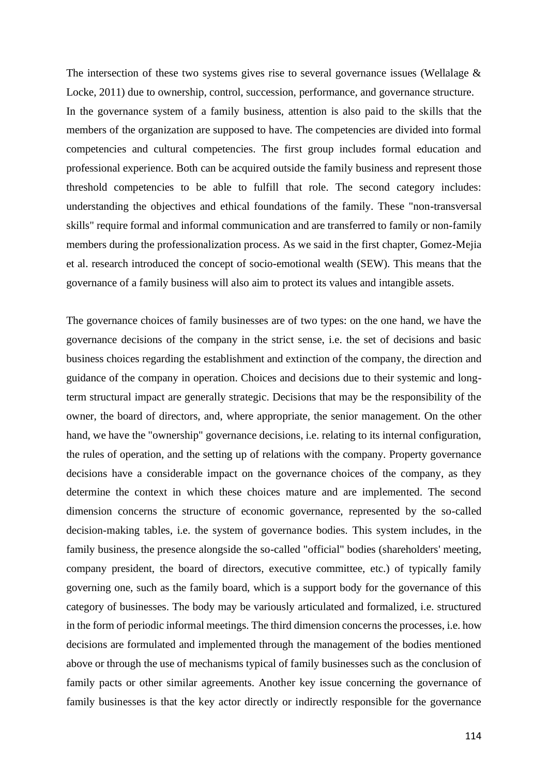The intersection of these two systems gives rise to several governance issues (Wellalage & Locke, 2011) due to ownership, control, succession, performance, and governance structure. In the governance system of a family business, attention is also paid to the skills that the members of the organization are supposed to have. The competencies are divided into formal competencies and cultural competencies. The first group includes formal education and professional experience. Both can be acquired outside the family business and represent those threshold competencies to be able to fulfill that role. The second category includes: understanding the objectives and ethical foundations of the family. These "non-transversal skills" require formal and informal communication and are transferred to family or non-family members during the professionalization process. As we said in the first chapter, Gomez-Mejia et al. research introduced the concept of socio-emotional wealth (SEW). This means that the governance of a family business will also aim to protect its values and intangible assets.

The governance choices of family businesses are of two types: on the one hand, we have the governance decisions of the company in the strict sense, i.e. the set of decisions and basic business choices regarding the establishment and extinction of the company, the direction and guidance of the company in operation. Choices and decisions due to their systemic and longterm structural impact are generally strategic. Decisions that may be the responsibility of the owner, the board of directors, and, where appropriate, the senior management. On the other hand, we have the "ownership" governance decisions, i.e. relating to its internal configuration, the rules of operation, and the setting up of relations with the company. Property governance decisions have a considerable impact on the governance choices of the company, as they determine the context in which these choices mature and are implemented. The second dimension concerns the structure of economic governance, represented by the so-called decision-making tables, i.e. the system of governance bodies. This system includes, in the family business, the presence alongside the so-called "official" bodies (shareholders' meeting, company president, the board of directors, executive committee, etc.) of typically family governing one, such as the family board, which is a support body for the governance of this category of businesses. The body may be variously articulated and formalized, i.e. structured in the form of periodic informal meetings. The third dimension concerns the processes, i.e. how decisions are formulated and implemented through the management of the bodies mentioned above or through the use of mechanisms typical of family businesses such as the conclusion of family pacts or other similar agreements. Another key issue concerning the governance of family businesses is that the key actor directly or indirectly responsible for the governance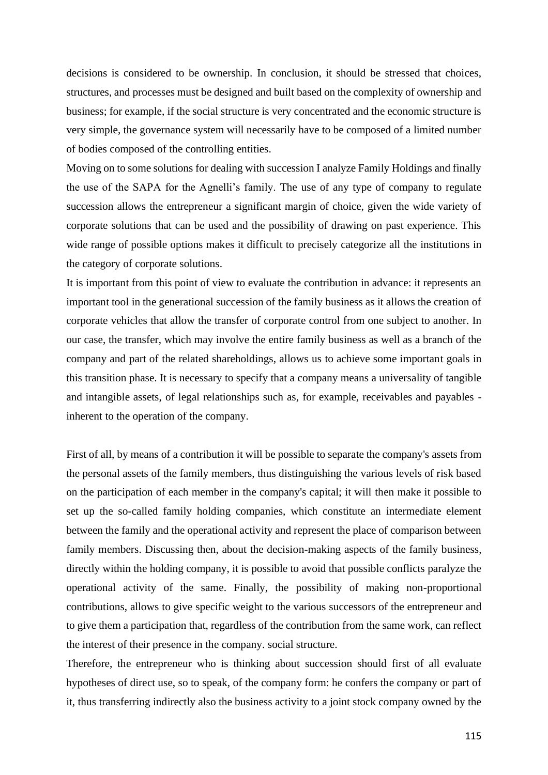decisions is considered to be ownership. In conclusion, it should be stressed that choices, structures, and processes must be designed and built based on the complexity of ownership and business; for example, if the social structure is very concentrated and the economic structure is very simple, the governance system will necessarily have to be composed of a limited number of bodies composed of the controlling entities.

Moving on to some solutions for dealing with succession I analyze Family Holdings and finally the use of the SAPA for the Agnelli's family. The use of any type of company to regulate succession allows the entrepreneur a significant margin of choice, given the wide variety of corporate solutions that can be used and the possibility of drawing on past experience. This wide range of possible options makes it difficult to precisely categorize all the institutions in the category of corporate solutions.

It is important from this point of view to evaluate the contribution in advance: it represents an important tool in the generational succession of the family business as it allows the creation of corporate vehicles that allow the transfer of corporate control from one subject to another. In our case, the transfer, which may involve the entire family business as well as a branch of the company and part of the related shareholdings, allows us to achieve some important goals in this transition phase. It is necessary to specify that a company means a universality of tangible and intangible assets, of legal relationships such as, for example, receivables and payables inherent to the operation of the company.

First of all, by means of a contribution it will be possible to separate the company's assets from the personal assets of the family members, thus distinguishing the various levels of risk based on the participation of each member in the company's capital; it will then make it possible to set up the so-called family holding companies, which constitute an intermediate element between the family and the operational activity and represent the place of comparison between family members. Discussing then, about the decision-making aspects of the family business, directly within the holding company, it is possible to avoid that possible conflicts paralyze the operational activity of the same. Finally, the possibility of making non-proportional contributions, allows to give specific weight to the various successors of the entrepreneur and to give them a participation that, regardless of the contribution from the same work, can reflect the interest of their presence in the company. social structure.

Therefore, the entrepreneur who is thinking about succession should first of all evaluate hypotheses of direct use, so to speak, of the company form: he confers the company or part of it, thus transferring indirectly also the business activity to a joint stock company owned by the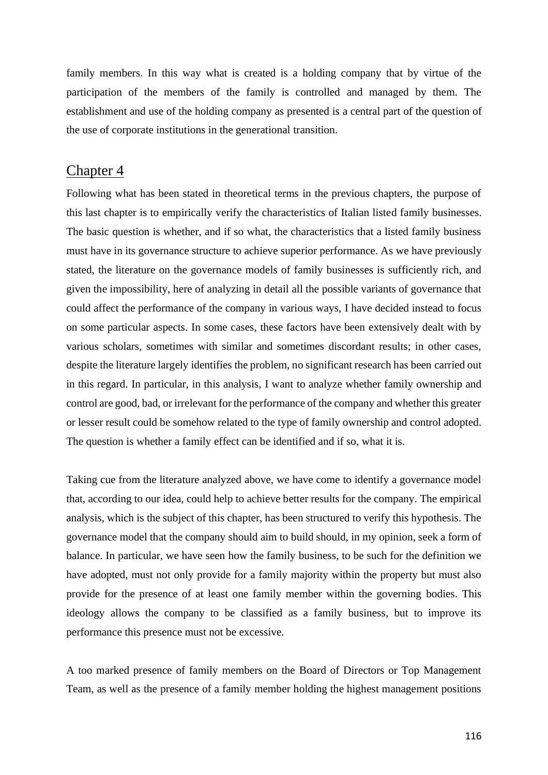family members. In this way what is created is a holding company that by virtue of the participation of the members of the family is controlled and managed by them. The establishment and use of the holding company as presented is a central part of the question of the use of corporate institutions in the generational transition.

## Chapter 4

Following what has been stated in theoretical terms in the previous chapters, the purpose of this last chapter is to empirically verify the characteristics of Italian listed family businesses. The basic question is whether, and if so what, the characteristics that a listed family business must have in its governance structure to achieve superior performance. As we have previously stated, the literature on the governance models of family businesses is sufficiently rich, and given the impossibility, here of analyzing in detail all the possible variants of governance that could affect the performance of the company in various ways, I have decided instead to focus on some particular aspects. In some cases, these factors have been extensively dealt with by various scholars, sometimes with similar and sometimes discordant results; in other cases, despite the literature largely identifies the problem, no significant research has been carried out in this regard. In particular, in this analysis, I want to analyze whether family ownership and control are good, bad, or irrelevant for the performance of the company and whether this greater or lesser result could be somehow related to the type of family ownership and control adopted. The question is whether a family effect can be identified and if so, what it is.

Taking cue from the literature analyzed above, we have come to identify a governance model that, according to our idea, could help to achieve better results for the company. The empirical analysis, which is the subject of this chapter, has been structured to verify this hypothesis. The governance model that the company should aim to build should, in my opinion, seek a form of balance. In particular, we have seen how the family business, to be such for the definition we have adopted, must not only provide for a family majority within the property but must also provide for the presence of at least one family member within the governing bodies. This ideology allows the company to be classified as a family business, but to improve its performance this presence must not be excessive.

A too marked presence of family members on the Board of Directors or Top Management Team, as well as the presence of a family member holding the highest management positions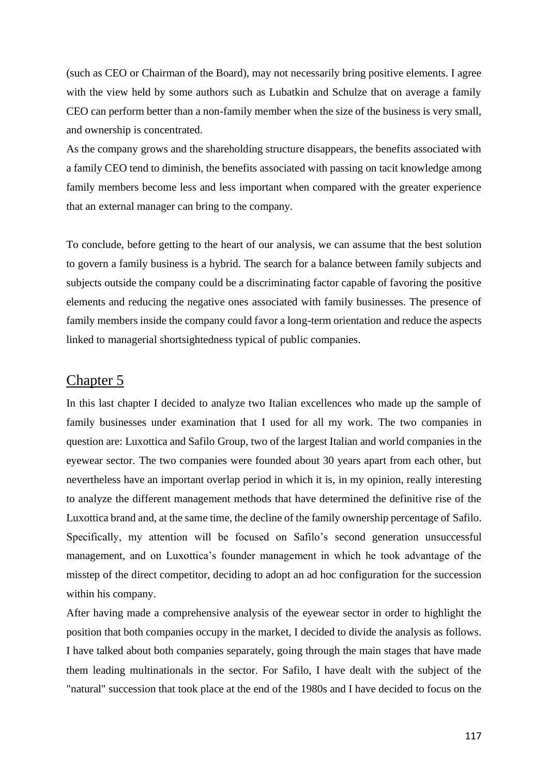(such as CEO or Chairman of the Board), may not necessarily bring positive elements. I agree with the view held by some authors such as Lubatkin and Schulze that on average a family CEO can perform better than a non-family member when the size of the business is very small, and ownership is concentrated.

As the company grows and the shareholding structure disappears, the benefits associated with a family CEO tend to diminish, the benefits associated with passing on tacit knowledge among family members become less and less important when compared with the greater experience that an external manager can bring to the company.

To conclude, before getting to the heart of our analysis, we can assume that the best solution to govern a family business is a hybrid. The search for a balance between family subjects and subjects outside the company could be a discriminating factor capable of favoring the positive elements and reducing the negative ones associated with family businesses. The presence of family members inside the company could favor a long-term orientation and reduce the aspects linked to managerial shortsightedness typical of public companies.

## Chapter 5

In this last chapter I decided to analyze two Italian excellences who made up the sample of family businesses under examination that I used for all my work. The two companies in question are: Luxottica and Safilo Group, two of the largest Italian and world companies in the eyewear sector. The two companies were founded about 30 years apart from each other, but nevertheless have an important overlap period in which it is, in my opinion, really interesting to analyze the different management methods that have determined the definitive rise of the Luxottica brand and, at the same time, the decline of the family ownership percentage of Safilo. Specifically, my attention will be focused on Safilo's second generation unsuccessful management, and on Luxottica's founder management in which he took advantage of the misstep of the direct competitor, deciding to adopt an ad hoc configuration for the succession within his company.

After having made a comprehensive analysis of the eyewear sector in order to highlight the position that both companies occupy in the market, I decided to divide the analysis as follows. I have talked about both companies separately, going through the main stages that have made them leading multinationals in the sector. For Safilo, I have dealt with the subject of the "natural" succession that took place at the end of the 1980s and I have decided to focus on the